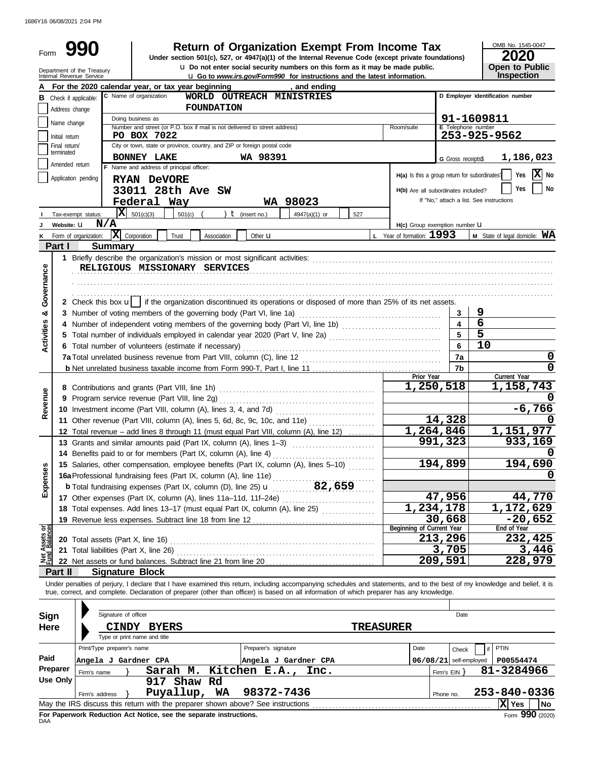1686Y16 06/08/2021 2:04 PM

| Form              | <b>Return of Organization Exempt From Income Tax</b><br>990<br>Under section 501(c), 527, or 4947(a)(1) of the Internal Revenue Code (except private foundations)                                 |                                                                                       |                                                                                                                                                          |             |                   |                      |                                                                                                                                                                                                                                                                                                                          |     |  |                                     |                                    |                                          | OMB No. 1545-0047<br><b>2020</b>    |  |  |
|-------------------|---------------------------------------------------------------------------------------------------------------------------------------------------------------------------------------------------|---------------------------------------------------------------------------------------|----------------------------------------------------------------------------------------------------------------------------------------------------------|-------------|-------------------|----------------------|--------------------------------------------------------------------------------------------------------------------------------------------------------------------------------------------------------------------------------------------------------------------------------------------------------------------------|-----|--|-------------------------------------|------------------------------------|------------------------------------------|-------------------------------------|--|--|
|                   |                                                                                                                                                                                                   | Department of the Treasury<br>Internal Revenue Service                                |                                                                                                                                                          |             |                   |                      | La Do not enter social security numbers on this form as it may be made public.<br><b>u</b> Go to www.irs.gov/Form990 for instructions and the latest information.                                                                                                                                                        |     |  |                                     |                                    |                                          | <b>Open to Public</b><br>Inspection |  |  |
|                   |                                                                                                                                                                                                   | For the 2020 calendar year, or tax year beginning                                     |                                                                                                                                                          |             |                   |                      | , and ending                                                                                                                                                                                                                                                                                                             |     |  |                                     |                                    |                                          |                                     |  |  |
|                   | Address change                                                                                                                                                                                    | <b>B</b> Check if applicable:                                                         | C Name of organization                                                                                                                                   |             | <b>FOUNDATION</b> |                      | WORLD OUTREACH MINISTRIES                                                                                                                                                                                                                                                                                                |     |  |                                     |                                    | D Employer identification number         |                                     |  |  |
|                   |                                                                                                                                                                                                   |                                                                                       | Doing business as                                                                                                                                        |             |                   |                      |                                                                                                                                                                                                                                                                                                                          |     |  |                                     |                                    | 91-1609811                               |                                     |  |  |
|                   | Name change<br>Initial return                                                                                                                                                                     |                                                                                       | Number and street (or P.O. box if mail is not delivered to street address)<br>PO BOX 7022                                                                |             |                   |                      |                                                                                                                                                                                                                                                                                                                          |     |  | Room/suite                          | E Telephone number<br>253-925-9562 |                                          |                                     |  |  |
|                   | Final return/                                                                                                                                                                                     |                                                                                       | City or town, state or province, country, and ZIP or foreign postal code                                                                                 |             |                   |                      |                                                                                                                                                                                                                                                                                                                          |     |  |                                     |                                    |                                          |                                     |  |  |
|                   | terminated                                                                                                                                                                                        |                                                                                       | <b>BONNEY LAKE</b>                                                                                                                                       |             |                   | WA 98391             |                                                                                                                                                                                                                                                                                                                          |     |  |                                     | G Gross receipts\$                 | 1,186,023                                |                                     |  |  |
|                   | Amended return                                                                                                                                                                                    |                                                                                       | F Name and address of principal officer:                                                                                                                 |             |                   |                      |                                                                                                                                                                                                                                                                                                                          |     |  |                                     |                                    |                                          | X No<br>Yes                         |  |  |
|                   | H(a) Is this a group return for subordinates?<br>Application pending<br><b>RYAN DeVORE</b>                                                                                                        |                                                                                       |                                                                                                                                                          |             |                   |                      |                                                                                                                                                                                                                                                                                                                          |     |  |                                     |                                    |                                          |                                     |  |  |
|                   |                                                                                                                                                                                                   |                                                                                       | 33011 28th Ave SW                                                                                                                                        |             |                   |                      |                                                                                                                                                                                                                                                                                                                          |     |  | H(b) Are all subordinates included? |                                    |                                          | No<br>Yes                           |  |  |
|                   |                                                                                                                                                                                                   |                                                                                       | Federal Way                                                                                                                                              |             |                   |                      | WA 98023                                                                                                                                                                                                                                                                                                                 |     |  |                                     |                                    | If "No," attach a list. See instructions |                                     |  |  |
|                   |                                                                                                                                                                                                   | Tax-exempt status:                                                                    | $ \mathbf{X} $ 501(c)(3)                                                                                                                                 | 501(c)      |                   | $t$ (insert no.)     | 4947(a)(1) or                                                                                                                                                                                                                                                                                                            | 527 |  |                                     |                                    |                                          |                                     |  |  |
|                   | Website: U                                                                                                                                                                                        | N/A                                                                                   |                                                                                                                                                          |             |                   |                      |                                                                                                                                                                                                                                                                                                                          |     |  | $H(c)$ Group exemption number $U$   |                                    |                                          |                                     |  |  |
| ĸ                 |                                                                                                                                                                                                   | Form of organization:                                                                 | $ \mathbf{X} $ Corporation                                                                                                                               | Trust       | Association       | Other <b>u</b>       |                                                                                                                                                                                                                                                                                                                          |     |  | L Year of formation: 1993           |                                    |                                          | M State of legal domicile: WA       |  |  |
|                   | Part I                                                                                                                                                                                            | Summary                                                                               |                                                                                                                                                          |             |                   |                      |                                                                                                                                                                                                                                                                                                                          |     |  |                                     |                                    |                                          |                                     |  |  |
| Governance        | RELIGIOUS MISSIONARY SERVICES<br>2 Check this box u    if the organization discontinued its operations or disposed of more than 25% of its net assets.                                            |                                                                                       |                                                                                                                                                          |             |                   |                      |                                                                                                                                                                                                                                                                                                                          |     |  |                                     |                                    |                                          |                                     |  |  |
| ಯ                 |                                                                                                                                                                                                   |                                                                                       |                                                                                                                                                          |             |                   |                      |                                                                                                                                                                                                                                                                                                                          |     |  |                                     |                                    | 9                                        |                                     |  |  |
|                   | 3 Number of voting members of the governing body (Part VI, line 1a)<br>3<br>4                                                                                                                     |                                                                                       |                                                                                                                                                          |             |                   |                      |                                                                                                                                                                                                                                                                                                                          |     |  |                                     |                                    |                                          |                                     |  |  |
| <b>Activities</b> | 4 Number of independent voting members of the governing body (Part VI, line 1b)<br>5 Total number of individuals employed in calendar year 2020 (Part V, line 2a) [[[[[[[[[[[[[[[[[[[[[[[[[[[[[[[ |                                                                                       |                                                                                                                                                          |             |                   |                      |                                                                                                                                                                                                                                                                                                                          |     |  |                                     |                                    | 6<br>5                                   |                                     |  |  |
|                   | 6 Total number of volunteers (estimate if necessary)                                                                                                                                              |                                                                                       |                                                                                                                                                          |             |                   |                      |                                                                                                                                                                                                                                                                                                                          |     |  |                                     | 5<br>6                             | 10                                       |                                     |  |  |
|                   |                                                                                                                                                                                                   |                                                                                       |                                                                                                                                                          |             |                   |                      |                                                                                                                                                                                                                                                                                                                          |     |  |                                     | 7a                                 |                                          | $\mathbf 0$                         |  |  |
|                   |                                                                                                                                                                                                   |                                                                                       |                                                                                                                                                          |             |                   |                      |                                                                                                                                                                                                                                                                                                                          |     |  |                                     | 7b                                 |                                          | 0                                   |  |  |
|                   |                                                                                                                                                                                                   |                                                                                       |                                                                                                                                                          |             |                   |                      |                                                                                                                                                                                                                                                                                                                          |     |  | Prior Year                          |                                    |                                          | Current Year                        |  |  |
|                   |                                                                                                                                                                                                   |                                                                                       |                                                                                                                                                          |             |                   |                      |                                                                                                                                                                                                                                                                                                                          |     |  |                                     | 1,250,518                          |                                          | 1,158,743                           |  |  |
|                   |                                                                                                                                                                                                   |                                                                                       |                                                                                                                                                          |             |                   |                      |                                                                                                                                                                                                                                                                                                                          |     |  |                                     |                                    |                                          |                                     |  |  |
| Revenue           |                                                                                                                                                                                                   |                                                                                       |                                                                                                                                                          |             |                   |                      |                                                                                                                                                                                                                                                                                                                          |     |  |                                     |                                    |                                          | $-6,766$                            |  |  |
|                   |                                                                                                                                                                                                   |                                                                                       |                                                                                                                                                          |             |                   |                      | 11 Other revenue (Part VIII, column (A), lines 5, 6d, 8c, 9c, 10c, and 11e)                                                                                                                                                                                                                                              |     |  |                                     | 14,328                             |                                          | O                                   |  |  |
|                   |                                                                                                                                                                                                   | 12 Total revenue - add lines 8 through 11 (must equal Part VIII, column (A), line 12) |                                                                                                                                                          |             |                   |                      |                                                                                                                                                                                                                                                                                                                          |     |  |                                     | 1,264,846                          |                                          | 1, 151, 977                         |  |  |
|                   |                                                                                                                                                                                                   | 13 Grants and similar amounts paid (Part IX, column (A), lines 1-3)                   |                                                                                                                                                          |             |                   |                      |                                                                                                                                                                                                                                                                                                                          |     |  |                                     | 991,323                            |                                          | 933,169                             |  |  |
|                   |                                                                                                                                                                                                   |                                                                                       | 14 Benefits paid to or for members (Part IX, column (A), line 4)<br>15 Salaries, other compensation, employee benefits (Part IX, column (A), lines 5-10) |             |                   |                      |                                                                                                                                                                                                                                                                                                                          |     |  |                                     |                                    |                                          | 0                                   |  |  |
|                   |                                                                                                                                                                                                   |                                                                                       |                                                                                                                                                          |             |                   |                      |                                                                                                                                                                                                                                                                                                                          |     |  |                                     | 194,899                            |                                          | 194,690                             |  |  |
| Expenses          |                                                                                                                                                                                                   | 16a Professional fundraising fees (Part IX, column (A), line 11e)                     |                                                                                                                                                          |             |                   |                      |                                                                                                                                                                                                                                                                                                                          |     |  |                                     |                                    |                                          |                                     |  |  |
|                   |                                                                                                                                                                                                   |                                                                                       |                                                                                                                                                          |             |                   |                      |                                                                                                                                                                                                                                                                                                                          |     |  |                                     |                                    |                                          |                                     |  |  |
|                   |                                                                                                                                                                                                   |                                                                                       |                                                                                                                                                          |             |                   |                      |                                                                                                                                                                                                                                                                                                                          |     |  |                                     | 47,956<br>1,234,178                |                                          | 44,770                              |  |  |
|                   |                                                                                                                                                                                                   |                                                                                       |                                                                                                                                                          |             |                   |                      | 18 Total expenses. Add lines 13-17 (must equal Part IX, column (A), line 25)                                                                                                                                                                                                                                             |     |  |                                     | 30,668                             |                                          | 1, 172, 629                         |  |  |
| हूँ               |                                                                                                                                                                                                   |                                                                                       |                                                                                                                                                          |             |                   |                      |                                                                                                                                                                                                                                                                                                                          |     |  | Beginning of Current Year           |                                    |                                          | $-20,652$<br>End of Year            |  |  |
|                   |                                                                                                                                                                                                   |                                                                                       |                                                                                                                                                          |             |                   |                      |                                                                                                                                                                                                                                                                                                                          |     |  |                                     | 213,296                            |                                          | 232,425                             |  |  |
| Net Assets        |                                                                                                                                                                                                   |                                                                                       |                                                                                                                                                          |             |                   |                      |                                                                                                                                                                                                                                                                                                                          |     |  |                                     | 3,705                              |                                          | 3,446                               |  |  |
|                   |                                                                                                                                                                                                   |                                                                                       |                                                                                                                                                          |             |                   |                      |                                                                                                                                                                                                                                                                                                                          |     |  |                                     | 209,591                            |                                          | 228,979                             |  |  |
|                   | Part II                                                                                                                                                                                           |                                                                                       | <b>Signature Block</b>                                                                                                                                   |             |                   |                      |                                                                                                                                                                                                                                                                                                                          |     |  |                                     |                                    |                                          |                                     |  |  |
|                   |                                                                                                                                                                                                   |                                                                                       |                                                                                                                                                          |             |                   |                      | Under penalties of perjury, I declare that I have examined this return, including accompanying schedules and statements, and to the best of my knowledge and belief, it is<br>true, correct, and complete. Declaration of preparer (other than officer) is based on all information of which preparer has any knowledge. |     |  |                                     |                                    |                                          |                                     |  |  |
|                   |                                                                                                                                                                                                   | Signature of officer                                                                  |                                                                                                                                                          |             |                   |                      |                                                                                                                                                                                                                                                                                                                          |     |  |                                     | Date                               |                                          |                                     |  |  |
| Sign              |                                                                                                                                                                                                   |                                                                                       |                                                                                                                                                          |             |                   |                      |                                                                                                                                                                                                                                                                                                                          |     |  | <b>TREASURER</b>                    |                                    |                                          |                                     |  |  |
| Here              |                                                                                                                                                                                                   |                                                                                       | CINDY BYERS<br>Type or print name and title                                                                                                              |             |                   |                      |                                                                                                                                                                                                                                                                                                                          |     |  |                                     |                                    |                                          |                                     |  |  |
|                   |                                                                                                                                                                                                   | Print/Type preparer's name                                                            |                                                                                                                                                          |             |                   | Preparer's signature |                                                                                                                                                                                                                                                                                                                          |     |  | Date                                | Check                              | if                                       | <b>PTIN</b>                         |  |  |
| Paid              |                                                                                                                                                                                                   | Angela J Gardner CPA<br>$06/08/21$ self-employed<br>Angela J Gardner CPA              |                                                                                                                                                          |             |                   |                      |                                                                                                                                                                                                                                                                                                                          |     |  |                                     |                                    | P00554474                                |                                     |  |  |
|                   | Preparer                                                                                                                                                                                          |                                                                                       |                                                                                                                                                          | Sarah M.    |                   | Kitchen E.A.,        | Inc.                                                                                                                                                                                                                                                                                                                     |     |  |                                     |                                    |                                          | 81-3284966                          |  |  |
|                   | <b>Use Only</b>                                                                                                                                                                                   | Firm's name                                                                           |                                                                                                                                                          | 917 Shaw Rd |                   |                      |                                                                                                                                                                                                                                                                                                                          |     |  |                                     | Firm's $EIN$ }                     |                                          |                                     |  |  |
|                   |                                                                                                                                                                                                   | Firm's address                                                                        |                                                                                                                                                          |             | Puyallup, WA      | 98372-7436           |                                                                                                                                                                                                                                                                                                                          |     |  |                                     | Phone no.                          |                                          | 253-840-0336                        |  |  |
|                   |                                                                                                                                                                                                   |                                                                                       |                                                                                                                                                          |             |                   |                      |                                                                                                                                                                                                                                                                                                                          |     |  |                                     |                                    |                                          | X Yes<br>No                         |  |  |

| For Paperwork Reduction Act Notice, see the separate instructions.<br>DAA |  |
|---------------------------------------------------------------------------|--|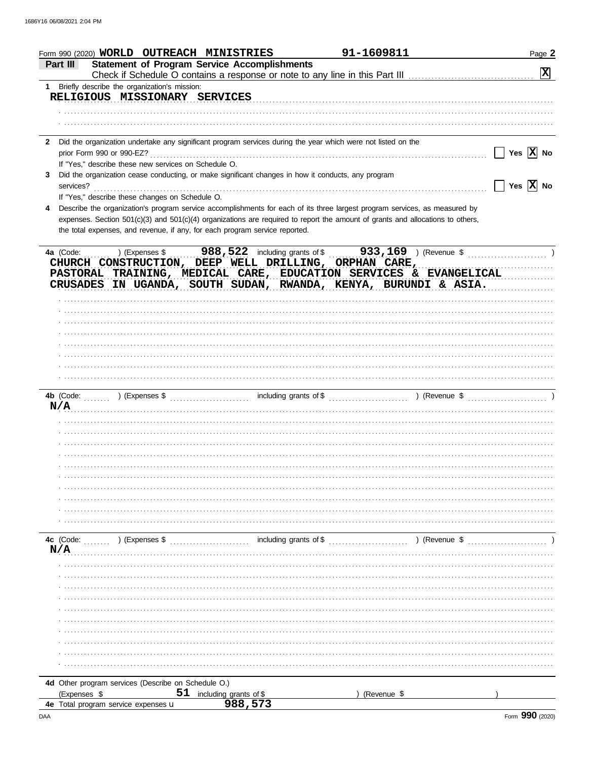|                | Form 990 (2020) WORLD OUTREACH MINISTRIES                 |                                                                                                    | 91-1609811                                                                                                                     | Page 2                                                                      |
|----------------|-----------------------------------------------------------|----------------------------------------------------------------------------------------------------|--------------------------------------------------------------------------------------------------------------------------------|-----------------------------------------------------------------------------|
| Part III       |                                                           | <b>Statement of Program Service Accomplishments</b>                                                |                                                                                                                                | $\mathbf{x}$                                                                |
|                | 1 Briefly describe the organization's mission:            |                                                                                                    |                                                                                                                                |                                                                             |
|                | RELIGIOUS MISSIONARY SERVICES                             |                                                                                                    |                                                                                                                                |                                                                             |
|                |                                                           |                                                                                                    |                                                                                                                                |                                                                             |
|                |                                                           |                                                                                                    |                                                                                                                                |                                                                             |
|                |                                                           |                                                                                                    | 2 Did the organization undertake any significant program services during the year which were not listed on the                 |                                                                             |
|                |                                                           |                                                                                                    |                                                                                                                                | Yes $\boxed{\mathbf{X}}$ No                                                 |
|                | If "Yes," describe these new services on Schedule O.      |                                                                                                    |                                                                                                                                |                                                                             |
| 3<br>services? |                                                           | Did the organization cease conducting, or make significant changes in how it conducts, any program |                                                                                                                                | $\boxed{\phantom{1}}$ Yes $\boxed{\mathbf{X}}$ No                           |
|                | If "Yes," describe these changes on Schedule O.           |                                                                                                    |                                                                                                                                |                                                                             |
|                |                                                           |                                                                                                    | Describe the organization's program service accomplishments for each of its three largest program services, as measured by     |                                                                             |
|                |                                                           |                                                                                                    | expenses. Section 501(c)(3) and 501(c)(4) organizations are required to report the amount of grants and allocations to others, |                                                                             |
|                |                                                           | the total expenses, and revenue, if any, for each program service reported.                        |                                                                                                                                |                                                                             |
|                |                                                           |                                                                                                    |                                                                                                                                | 4a (Code: ) (Expenses \$988,522 including grants of \$933,169) (Revenue \$) |
|                |                                                           |                                                                                                    | CHURCH CONSTRUCTION, DEEP WELL DRILLING, ORPHAN CARE,                                                                          |                                                                             |
|                |                                                           |                                                                                                    | PASTORAL TRAINING, MEDICAL CARE, EDUCATION SERVICES & EVANGELICAL                                                              |                                                                             |
|                |                                                           |                                                                                                    | CRUSADES IN UGANDA, SOUTH SUDAN, RWANDA, KENYA, BURUNDI & ASIA.                                                                |                                                                             |
|                |                                                           |                                                                                                    |                                                                                                                                |                                                                             |
|                |                                                           |                                                                                                    |                                                                                                                                |                                                                             |
|                |                                                           |                                                                                                    |                                                                                                                                |                                                                             |
|                |                                                           |                                                                                                    |                                                                                                                                |                                                                             |
|                |                                                           |                                                                                                    |                                                                                                                                |                                                                             |
|                |                                                           |                                                                                                    |                                                                                                                                |                                                                             |
|                |                                                           |                                                                                                    |                                                                                                                                |                                                                             |
|                |                                                           |                                                                                                    |                                                                                                                                |                                                                             |
|                |                                                           |                                                                                                    | N/A                                                                                                                            |                                                                             |
|                |                                                           |                                                                                                    |                                                                                                                                |                                                                             |
|                |                                                           |                                                                                                    |                                                                                                                                |                                                                             |
|                |                                                           |                                                                                                    |                                                                                                                                |                                                                             |
|                |                                                           |                                                                                                    |                                                                                                                                |                                                                             |
|                |                                                           |                                                                                                    |                                                                                                                                |                                                                             |
|                |                                                           |                                                                                                    |                                                                                                                                |                                                                             |
|                |                                                           |                                                                                                    |                                                                                                                                |                                                                             |
|                |                                                           |                                                                                                    |                                                                                                                                |                                                                             |
|                |                                                           |                                                                                                    |                                                                                                                                |                                                                             |
|                | 4c $(Code:$ $\ldots$ $)$ $(Expenses \$                    |                                                                                                    |                                                                                                                                |                                                                             |
| N/A            |                                                           |                                                                                                    |                                                                                                                                |                                                                             |
|                |                                                           |                                                                                                    |                                                                                                                                |                                                                             |
|                |                                                           |                                                                                                    |                                                                                                                                |                                                                             |
|                |                                                           |                                                                                                    |                                                                                                                                |                                                                             |
|                |                                                           |                                                                                                    |                                                                                                                                |                                                                             |
|                |                                                           |                                                                                                    |                                                                                                                                |                                                                             |
|                |                                                           |                                                                                                    |                                                                                                                                |                                                                             |
|                |                                                           |                                                                                                    |                                                                                                                                |                                                                             |
|                |                                                           |                                                                                                    |                                                                                                                                |                                                                             |
|                |                                                           |                                                                                                    |                                                                                                                                |                                                                             |
|                |                                                           |                                                                                                    |                                                                                                                                |                                                                             |
| (Expenses \$   | 4d Other program services (Describe on Schedule O.)<br>51 | including grants of \$                                                                             | (Revenue \$                                                                                                                    |                                                                             |
|                | 4e Total program service expenses u                       | 988,573                                                                                            |                                                                                                                                |                                                                             |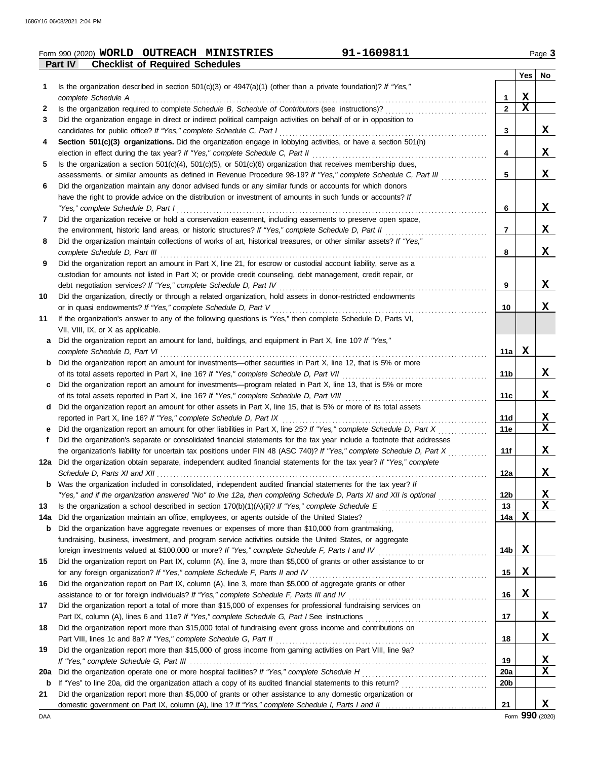|     | 91-1609811<br>Form 990 (2020) WORLD OUTREACH MINISTRIES                                                                                                                              |                 |             | Page 3                     |
|-----|--------------------------------------------------------------------------------------------------------------------------------------------------------------------------------------|-----------------|-------------|----------------------------|
|     | <b>Checklist of Required Schedules</b><br>Part IV                                                                                                                                    |                 |             |                            |
|     |                                                                                                                                                                                      |                 |             | Yes   No                   |
| 1   | Is the organization described in section $501(c)(3)$ or $4947(a)(1)$ (other than a private foundation)? If "Yes,"                                                                    |                 |             |                            |
|     | complete Schedule A                                                                                                                                                                  | 1.              | X           |                            |
| 2   | Is the organization required to complete Schedule B, Schedule of Contributors (see instructions)?                                                                                    | $\mathbf{2}$    | $\mathbf x$ |                            |
| 3   | Did the organization engage in direct or indirect political campaign activities on behalf of or in opposition to                                                                     |                 |             | X                          |
| 4   | candidates for public office? If "Yes," complete Schedule C, Part I<br>Section 501(c)(3) organizations. Did the organization engage in lobbying activities, or have a section 501(h) | 3               |             |                            |
|     | election in effect during the tax year? If "Yes," complete Schedule C, Part II                                                                                                       | 4               |             | X                          |
| 5   | Is the organization a section $501(c)(4)$ , $501(c)(5)$ , or $501(c)(6)$ organization that receives membership dues,                                                                 |                 |             |                            |
|     | assessments, or similar amounts as defined in Revenue Procedure 98-19? If "Yes," complete Schedule C, Part III                                                                       | 5               |             | X                          |
| 6   | Did the organization maintain any donor advised funds or any similar funds or accounts for which donors                                                                              |                 |             |                            |
|     | have the right to provide advice on the distribution or investment of amounts in such funds or accounts? If                                                                          |                 |             |                            |
|     | "Yes," complete Schedule D, Part I                                                                                                                                                   | 6               |             | X                          |
| 7   | Did the organization receive or hold a conservation easement, including easements to preserve open space,                                                                            |                 |             |                            |
|     | the environment, historic land areas, or historic structures? If "Yes," complete Schedule D, Part II                                                                                 | 7               |             | X                          |
| 8   | Did the organization maintain collections of works of art, historical treasures, or other similar assets? If "Yes,"                                                                  |                 |             |                            |
|     | complete Schedule D, Part III                                                                                                                                                        | 8               |             | X                          |
| 9   | Did the organization report an amount in Part X, line 21, for escrow or custodial account liability, serve as a                                                                      |                 |             |                            |
|     | custodian for amounts not listed in Part X; or provide credit counseling, debt management, credit repair, or                                                                         |                 |             |                            |
|     | debt negotiation services? If "Yes," complete Schedule D, Part IV                                                                                                                    | 9               |             | X                          |
| 10  | Did the organization, directly or through a related organization, hold assets in donor-restricted endowments                                                                         |                 |             |                            |
|     | or in quasi endowments? If "Yes," complete Schedule D, Part V                                                                                                                        | 10              |             | X                          |
| 11  | If the organization's answer to any of the following questions is "Yes," then complete Schedule D, Parts VI,                                                                         |                 |             |                            |
|     | VII, VIII, IX, or X as applicable.                                                                                                                                                   |                 |             |                            |
| a   | Did the organization report an amount for land, buildings, and equipment in Part X, line 10? If "Yes,"                                                                               |                 |             |                            |
|     | complete Schedule D, Part VI                                                                                                                                                         | 11a             | $\mathbf X$ |                            |
| b   | Did the organization report an amount for investments—other securities in Part X, line 12, that is 5% or more                                                                        |                 |             |                            |
|     | of its total assets reported in Part X, line 16? If "Yes," complete Schedule D, Part VII                                                                                             | 11 <sub>b</sub> |             | X                          |
| c   | Did the organization report an amount for investments—program related in Part X, line 13, that is 5% or more                                                                         |                 |             |                            |
|     |                                                                                                                                                                                      | 11c             |             | X                          |
| d   | Did the organization report an amount for other assets in Part X, line 15, that is 5% or more of its total assets                                                                    |                 |             |                            |
|     | reported in Part X, line 16? If "Yes," complete Schedule D, Part IX                                                                                                                  | 11d             |             | $\mathbf x$<br>$\mathbf x$ |
| е   | Did the organization report an amount for other liabilities in Part X, line 25? If "Yes," complete Schedule D, Part X                                                                | 11e             |             |                            |
|     | Did the organization's separate or consolidated financial statements for the tax year include a footnote that addresses                                                              |                 |             |                            |
|     | the organization's liability for uncertain tax positions under FIN 48 (ASC 740)? If "Yes," complete Schedule D, Part X                                                               | 11f             |             | X                          |
|     | 12a Did the organization obtain separate, independent audited financial statements for the tax year? If "Yes," complete                                                              |                 |             | X                          |
| b   | Was the organization included in consolidated, independent audited financial statements for the tax year? If                                                                         | 12a             |             |                            |
|     | "Yes," and if the organization answered "No" to line 12a, then completing Schedule D, Parts XI and XII is optional                                                                   | 12b             |             | <u>x</u>                   |
| 13  |                                                                                                                                                                                      | 13              |             | $\mathbf x$                |
| 14a | Did the organization maintain an office, employees, or agents outside of the United States?                                                                                          | 14a             | X           |                            |
| b   | Did the organization have aggregate revenues or expenses of more than \$10,000 from grantmaking,                                                                                     |                 |             |                            |
|     | fundraising, business, investment, and program service activities outside the United States, or aggregate                                                                            |                 |             |                            |
|     |                                                                                                                                                                                      | 14b             | X           |                            |
| 15  | Did the organization report on Part IX, column (A), line 3, more than \$5,000 of grants or other assistance to or                                                                    |                 |             |                            |
|     | for any foreign organization? If "Yes," complete Schedule F, Parts II and IV                                                                                                         | 15              | X           |                            |
| 16  | Did the organization report on Part IX, column (A), line 3, more than \$5,000 of aggregate grants or other                                                                           |                 |             |                            |
|     |                                                                                                                                                                                      | 16              | X           |                            |
| 17  | Did the organization report a total of more than \$15,000 of expenses for professional fundraising services on                                                                       |                 |             |                            |
|     |                                                                                                                                                                                      | 17              |             | X                          |
| 18  | Did the organization report more than \$15,000 total of fundraising event gross income and contributions on                                                                          |                 |             |                            |
|     | Part VIII, lines 1c and 8a? If "Yes," complete Schedule G, Part II                                                                                                                   | 18              |             | X                          |
| 19  | Did the organization report more than \$15,000 of gross income from gaming activities on Part VIII, line 9a?                                                                         |                 |             |                            |
|     |                                                                                                                                                                                      | 19              |             | $\mathbf x$                |
| 20a |                                                                                                                                                                                      | 20a             |             | $\mathbf X$                |
| b   |                                                                                                                                                                                      | 20 <sub>b</sub> |             |                            |
| 21  | Did the organization report more than \$5,000 of grants or other assistance to any domestic organization or                                                                          |                 |             |                            |
|     |                                                                                                                                                                                      | 21              |             | X                          |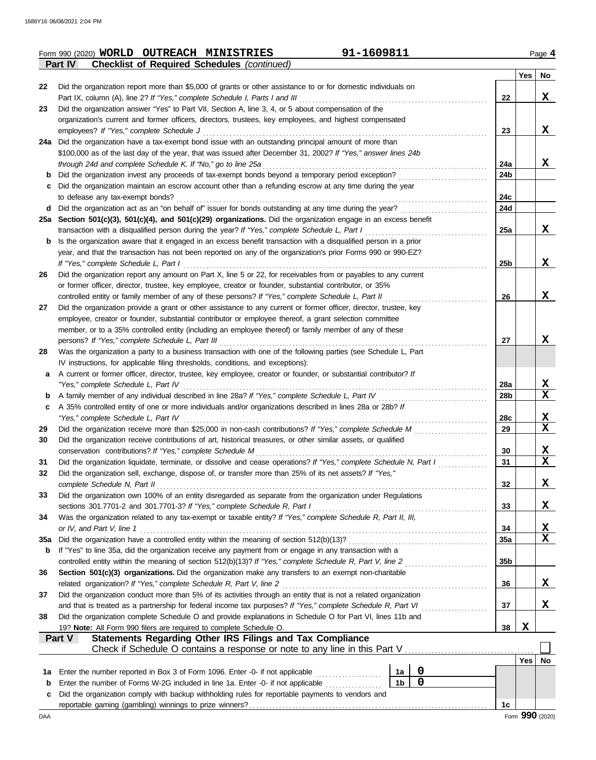|         | 91-1609811<br>Form 990 (2020) WORLD OUTREACH MINISTRIES                                                                                                                                             |                 |          | Page 4 |
|---------|-----------------------------------------------------------------------------------------------------------------------------------------------------------------------------------------------------|-----------------|----------|--------|
|         | <b>Checklist of Required Schedules (continued)</b><br>Part IV                                                                                                                                       |                 |          |        |
|         |                                                                                                                                                                                                     |                 | Yes   No |        |
| 22      | Did the organization report more than \$5,000 of grants or other assistance to or for domestic individuals on                                                                                       |                 |          |        |
|         | Part IX, column (A), line 2? If "Yes," complete Schedule I, Parts I and III                                                                                                                         | 22              |          | X      |
| 23      | Did the organization answer "Yes" to Part VII, Section A, line 3, 4, or 5 about compensation of the                                                                                                 |                 |          |        |
|         | organization's current and former officers, directors, trustees, key employees, and highest compensated<br>employees? If "Yes," complete Schedule J                                                 | 23              |          | X      |
|         | 24a Did the organization have a tax-exempt bond issue with an outstanding principal amount of more than                                                                                             |                 |          |        |
|         | \$100,000 as of the last day of the year, that was issued after December 31, 2002? If "Yes," answer lines 24b                                                                                       |                 |          |        |
|         | through 24d and complete Schedule K. If "No," go to line 25a                                                                                                                                        | 24a             |          | x      |
| b       | Did the organization invest any proceeds of tax-exempt bonds beyond a temporary period exception?                                                                                                   | 24b             |          |        |
| С       | Did the organization maintain an escrow account other than a refunding escrow at any time during the year                                                                                           |                 |          |        |
|         | to defease any tax-exempt bonds?                                                                                                                                                                    | 24c             |          |        |
| d       | Did the organization act as an "on behalf of" issuer for bonds outstanding at any time during the year?                                                                                             | 24d             |          |        |
|         | 25a Section 501(c)(3), 501(c)(4), and 501(c)(29) organizations. Did the organization engage in an excess benefit                                                                                    |                 |          |        |
|         | transaction with a disqualified person during the year? If "Yes," complete Schedule L, Part I                                                                                                       | 25a             |          | X      |
| b       | Is the organization aware that it engaged in an excess benefit transaction with a disqualified person in a prior                                                                                    |                 |          |        |
|         | year, and that the transaction has not been reported on any of the organization's prior Forms 990 or 990-EZ?                                                                                        |                 |          |        |
|         | If "Yes," complete Schedule L, Part I                                                                                                                                                               | 25b             |          | X      |
| 26      | Did the organization report any amount on Part X, line 5 or 22, for receivables from or payables to any current                                                                                     |                 |          |        |
|         | or former officer, director, trustee, key employee, creator or founder, substantial contributor, or 35%                                                                                             |                 |          |        |
|         | controlled entity or family member of any of these persons? If "Yes," complete Schedule L, Part II                                                                                                  | 26              |          | X      |
| 27      | Did the organization provide a grant or other assistance to any current or former officer, director, trustee, key                                                                                   |                 |          |        |
|         | employee, creator or founder, substantial contributor or employee thereof, a grant selection committee                                                                                              |                 |          |        |
|         | member, or to a 35% controlled entity (including an employee thereof) or family member of any of these                                                                                              |                 |          |        |
|         | persons? If "Yes," complete Schedule L, Part III                                                                                                                                                    | 27              |          | X      |
| 28      | Was the organization a party to a business transaction with one of the following parties (see Schedule L, Part                                                                                      |                 |          |        |
|         | IV instructions, for applicable filing thresholds, conditions, and exceptions):<br>A current or former officer, director, trustee, key employee, creator or founder, or substantial contributor? If |                 |          |        |
| a       | "Yes," complete Schedule L, Part IV                                                                                                                                                                 | 28a             |          | X      |
|         | A family member of any individual described in line 28a? If "Yes," complete Schedule L, Part IV                                                                                                     | 28b             |          | X      |
| b<br>c  | A 35% controlled entity of one or more individuals and/or organizations described in lines 28a or 28b? If                                                                                           |                 |          |        |
|         | "Yes," complete Schedule L, Part IV                                                                                                                                                                 | <b>28c</b>      |          | X      |
| 29      | Did the organization receive more than \$25,000 in non-cash contributions? If "Yes," complete Schedule M                                                                                            | 29              |          | X      |
| 30      | Did the organization receive contributions of art, historical treasures, or other similar assets, or qualified                                                                                      |                 |          |        |
|         | conservation contributions? If "Yes," complete Schedule M<br>.                                                                                                                                      | 30              |          | x      |
| 31      | Did the organization liquidate, terminate, or dissolve and cease operations? If "Yes," complete Schedule N, Part I                                                                                  | 31              |          | X      |
| 32      | Did the organization sell, exchange, dispose of, or transfer more than 25% of its net assets? If "Yes,"                                                                                             |                 |          |        |
|         | complete Schedule N, Part II                                                                                                                                                                        | 32              |          | X      |
| 33      | Did the organization own 100% of an entity disregarded as separate from the organization under Regulations                                                                                          |                 |          |        |
|         | sections 301.7701-2 and 301.7701-3? If "Yes," complete Schedule R, Part I                                                                                                                           | 33              |          | X      |
| 34      | Was the organization related to any tax-exempt or taxable entity? If "Yes," complete Schedule R, Part II, III,                                                                                      |                 |          |        |
|         | or IV, and Part V, line 1                                                                                                                                                                           | 34              |          | X      |
| 35a     |                                                                                                                                                                                                     | 35a             |          | X      |
| b       | If "Yes" to line 35a, did the organization receive any payment from or engage in any transaction with a                                                                                             |                 |          |        |
|         | controlled entity within the meaning of section 512(b)(13)? If "Yes," complete Schedule R, Part V, line 2                                                                                           | 35 <sub>b</sub> |          |        |
| 36      | Section 501(c)(3) organizations. Did the organization make any transfers to an exempt non-charitable                                                                                                |                 |          |        |
|         | related organization? If "Yes," complete Schedule R, Part V, line 2                                                                                                                                 | 36              |          | X      |
| 37      | Did the organization conduct more than 5% of its activities through an entity that is not a related organization                                                                                    |                 |          |        |
|         | and that is treated as a partnership for federal income tax purposes? If "Yes," complete Schedule R, Part VI                                                                                        | 37              |          | X      |
| 38      | Did the organization complete Schedule O and provide explanations in Schedule O for Part VI, lines 11b and                                                                                          |                 |          |        |
|         | 19? Note: All Form 990 filers are required to complete Schedule O.                                                                                                                                  | 38              | X        |        |
|         | Statements Regarding Other IRS Filings and Tax Compliance<br>Part V                                                                                                                                 |                 |          |        |
|         |                                                                                                                                                                                                     |                 | Yes   No |        |
|         | $\mathbf 0$<br>Enter the number reported in Box 3 of Form 1096. Enter -0- if not applicable<br>1a                                                                                                   |                 |          |        |
| 1a<br>b | .<br>$\mathbf 0$<br>1 <sub>b</sub><br>Enter the number of Forms W-2G included in line 1a. Enter -0- if not applicable                                                                               |                 |          |        |
| c       | Did the organization comply with backup withholding rules for reportable payments to vendors and                                                                                                    |                 |          |        |
|         |                                                                                                                                                                                                     | 1c              |          |        |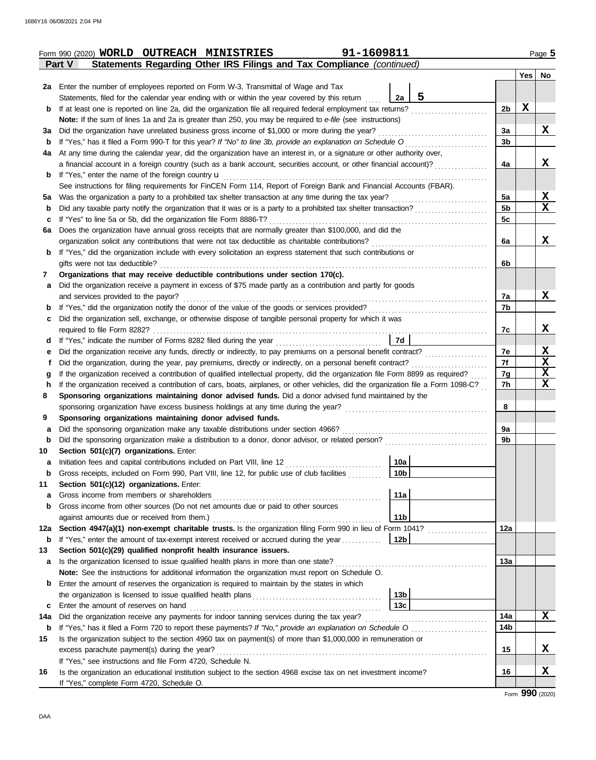|     | 91-1609811<br>Form 990 (2020) WORLD OUTREACH MINISTRIES                                                                                                                                                                                               |                      |   | Page 5           |  |  |  |  |  |  |  |  |  |
|-----|-------------------------------------------------------------------------------------------------------------------------------------------------------------------------------------------------------------------------------------------------------|----------------------|---|------------------|--|--|--|--|--|--|--|--|--|
|     | Statements Regarding Other IRS Filings and Tax Compliance (continued)<br>Part V                                                                                                                                                                       |                      |   |                  |  |  |  |  |  |  |  |  |  |
|     |                                                                                                                                                                                                                                                       |                      |   | Yes No           |  |  |  |  |  |  |  |  |  |
|     | 2a Enter the number of employees reported on Form W-3, Transmittal of Wage and Tax                                                                                                                                                                    |                      |   |                  |  |  |  |  |  |  |  |  |  |
|     | 5<br>2a<br>Statements, filed for the calendar year ending with or within the year covered by this return                                                                                                                                              |                      |   |                  |  |  |  |  |  |  |  |  |  |
| b   | If at least one is reported on line 2a, did the organization file all required federal employment tax returns?                                                                                                                                        | 2b                   | X |                  |  |  |  |  |  |  |  |  |  |
|     | Note: If the sum of lines 1a and 2a is greater than 250, you may be required to e-file (see instructions)                                                                                                                                             |                      |   |                  |  |  |  |  |  |  |  |  |  |
| За  | Did the organization have unrelated business gross income of \$1,000 or more during the year?                                                                                                                                                         | 3a                   |   | X                |  |  |  |  |  |  |  |  |  |
| b   | If "Yes," has it filed a Form 990-T for this year? If "No" to line 3b, provide an explanation on Schedule O                                                                                                                                           | 3b                   |   |                  |  |  |  |  |  |  |  |  |  |
| 4a  | At any time during the calendar year, did the organization have an interest in, or a signature or other authority over,                                                                                                                               |                      |   |                  |  |  |  |  |  |  |  |  |  |
|     | a financial account in a foreign country (such as a bank account, securities account, or other financial account)?                                                                                                                                    | 4a                   |   | x                |  |  |  |  |  |  |  |  |  |
| b   | If "Yes," enter the name of the foreign country $\mathbf u$                                                                                                                                                                                           |                      |   |                  |  |  |  |  |  |  |  |  |  |
|     | See instructions for filing requirements for FinCEN Form 114, Report of Foreign Bank and Financial Accounts (FBAR).                                                                                                                                   |                      |   |                  |  |  |  |  |  |  |  |  |  |
| 5а  | Was the organization a party to a prohibited tax shelter transaction at any time during the tax year?                                                                                                                                                 | 5a<br>5 <sub>b</sub> |   | X<br>$\mathbf x$ |  |  |  |  |  |  |  |  |  |
| b   | Did any taxable party notify the organization that it was or is a party to a prohibited tax shelter transaction?                                                                                                                                      |                      |   |                  |  |  |  |  |  |  |  |  |  |
| с   | If "Yes" to line 5a or 5b, did the organization file Form 8886-T?                                                                                                                                                                                     |                      |   |                  |  |  |  |  |  |  |  |  |  |
| 6a  | Does the organization have annual gross receipts that are normally greater than \$100,000, and did the                                                                                                                                                |                      |   |                  |  |  |  |  |  |  |  |  |  |
|     | organization solicit any contributions that were not tax deductible as charitable contributions?                                                                                                                                                      | 6a                   |   | X                |  |  |  |  |  |  |  |  |  |
| b   | If "Yes," did the organization include with every solicitation an express statement that such contributions or                                                                                                                                        |                      |   |                  |  |  |  |  |  |  |  |  |  |
|     | gifts were not tax deductible?                                                                                                                                                                                                                        | 6b                   |   |                  |  |  |  |  |  |  |  |  |  |
| 7   | Organizations that may receive deductible contributions under section 170(c).                                                                                                                                                                         |                      |   |                  |  |  |  |  |  |  |  |  |  |
| a   | Did the organization receive a payment in excess of \$75 made partly as a contribution and partly for goods                                                                                                                                           |                      |   |                  |  |  |  |  |  |  |  |  |  |
|     | and services provided to the payor?                                                                                                                                                                                                                   | 7a                   |   | X                |  |  |  |  |  |  |  |  |  |
| b   | If "Yes," did the organization notify the donor of the value of the goods or services provided?                                                                                                                                                       | 7b                   |   |                  |  |  |  |  |  |  |  |  |  |
| с   | Did the organization sell, exchange, or otherwise dispose of tangible personal property for which it was                                                                                                                                              |                      |   | X                |  |  |  |  |  |  |  |  |  |
|     | required to file Form 8282?<br>7d<br>If "Yes," indicate the number of Forms 8282 filed during the year                                                                                                                                                | 7c                   |   |                  |  |  |  |  |  |  |  |  |  |
| d   | Did the organization receive any funds, directly or indirectly, to pay premiums on a personal benefit contract?                                                                                                                                       | 7е                   |   | X                |  |  |  |  |  |  |  |  |  |
| е   |                                                                                                                                                                                                                                                       | 7f                   |   | $\mathbf x$      |  |  |  |  |  |  |  |  |  |
| g   | Did the organization, during the year, pay premiums, directly or indirectly, on a personal benefit contract?<br>t<br>If the organization received a contribution of qualified intellectual property, did the organization file Form 8899 as required? |                      |   |                  |  |  |  |  |  |  |  |  |  |
| h   | If the organization received a contribution of cars, boats, airplanes, or other vehicles, did the organization file a Form 1098-C?                                                                                                                    | 7g<br>7h             |   | X<br>$\mathbf x$ |  |  |  |  |  |  |  |  |  |
| 8   | Sponsoring organizations maintaining donor advised funds. Did a donor advised fund maintained by the                                                                                                                                                  |                      |   |                  |  |  |  |  |  |  |  |  |  |
|     |                                                                                                                                                                                                                                                       | 8                    |   |                  |  |  |  |  |  |  |  |  |  |
| 9   | Sponsoring organizations maintaining donor advised funds.                                                                                                                                                                                             |                      |   |                  |  |  |  |  |  |  |  |  |  |
| а   | Did the sponsoring organization make any taxable distributions under section 4966?                                                                                                                                                                    | 9a                   |   |                  |  |  |  |  |  |  |  |  |  |
| b   | Did the sponsoring organization make a distribution to a donor, donor advisor, or related person?                                                                                                                                                     | 9b                   |   |                  |  |  |  |  |  |  |  |  |  |
| 10  | Section 501(c)(7) organizations. Enter:                                                                                                                                                                                                               |                      |   |                  |  |  |  |  |  |  |  |  |  |
|     | $\sqrt{10a}$<br>Initiation fees and capital contributions included on Part VIII, line 12                                                                                                                                                              |                      |   |                  |  |  |  |  |  |  |  |  |  |
| b   | 10 <sub>b</sub><br>Gross receipts, included on Form 990, Part VIII, line 12, for public use of club facilities                                                                                                                                        |                      |   |                  |  |  |  |  |  |  |  |  |  |
| 11  | Section 501(c)(12) organizations. Enter:                                                                                                                                                                                                              |                      |   |                  |  |  |  |  |  |  |  |  |  |
| а   | 11a<br>Gross income from members or shareholders                                                                                                                                                                                                      |                      |   |                  |  |  |  |  |  |  |  |  |  |
| b   | Gross income from other sources (Do not net amounts due or paid to other sources                                                                                                                                                                      |                      |   |                  |  |  |  |  |  |  |  |  |  |
|     | 11 <sub>b</sub><br>against amounts due or received from them.)                                                                                                                                                                                        |                      |   |                  |  |  |  |  |  |  |  |  |  |
| 12a | Section 4947(a)(1) non-exempt charitable trusts. Is the organization filing Form 990 in lieu of Form 1041?                                                                                                                                            | 12a                  |   |                  |  |  |  |  |  |  |  |  |  |
| b   | If "Yes," enter the amount of tax-exempt interest received or accrued during the year<br>12b                                                                                                                                                          |                      |   |                  |  |  |  |  |  |  |  |  |  |
| 13  | Section 501(c)(29) qualified nonprofit health insurance issuers.                                                                                                                                                                                      |                      |   |                  |  |  |  |  |  |  |  |  |  |
| a   | Is the organization licensed to issue qualified health plans in more than one state?                                                                                                                                                                  | 13a                  |   |                  |  |  |  |  |  |  |  |  |  |
|     | Note: See the instructions for additional information the organization must report on Schedule O.                                                                                                                                                     |                      |   |                  |  |  |  |  |  |  |  |  |  |
| b   | Enter the amount of reserves the organization is required to maintain by the states in which                                                                                                                                                          |                      |   |                  |  |  |  |  |  |  |  |  |  |
|     | 13 <sub>b</sub>                                                                                                                                                                                                                                       |                      |   |                  |  |  |  |  |  |  |  |  |  |
| c   | 13c<br>Enter the amount of reserves on hand                                                                                                                                                                                                           |                      |   |                  |  |  |  |  |  |  |  |  |  |
| 14a | Did the organization receive any payments for indoor tanning services during the tax year?                                                                                                                                                            | 14a                  |   | X                |  |  |  |  |  |  |  |  |  |
| b   |                                                                                                                                                                                                                                                       | 14b                  |   |                  |  |  |  |  |  |  |  |  |  |
| 15  | Is the organization subject to the section 4960 tax on payment(s) of more than \$1,000,000 in remuneration or                                                                                                                                         |                      |   | x                |  |  |  |  |  |  |  |  |  |
|     | excess parachute payment(s) during the year?                                                                                                                                                                                                          | 15                   |   |                  |  |  |  |  |  |  |  |  |  |
|     | If "Yes," see instructions and file Form 4720, Schedule N.                                                                                                                                                                                            | 16                   |   | X                |  |  |  |  |  |  |  |  |  |
| 16  | Is the organization an educational institution subject to the section 4968 excise tax on net investment income?<br>If "Yes," complete Form 4720, Schedule O.                                                                                          |                      |   |                  |  |  |  |  |  |  |  |  |  |
|     |                                                                                                                                                                                                                                                       |                      |   |                  |  |  |  |  |  |  |  |  |  |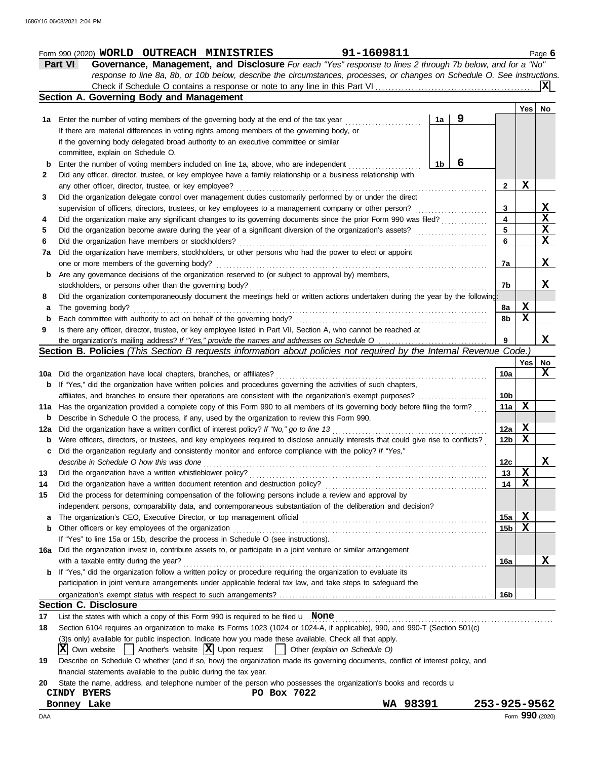### Form 990 (2020) Page **6 WORLD OUTREACH MINISTRIES 91-1609811**

**Part VI Governance, Management, and Disclosure** *For each "Yes" response to lines 2 through 7b below, and for a "No" response to line 8a, 8b, or 10b below, describe the circumstances, processes, or changes on Schedule O. See instructions.* Check if Schedule O contains a response or note to any line in this Part VI . . . . . . . . . . . . . . . . . . . . . . . . . . . . . . . . . . . . . . . . . . . . . . . . **X**

|       | Section A. Governing Body and Management                                                                                                                                                                                           |    |   |                 |     |             |  |  |  |
|-------|------------------------------------------------------------------------------------------------------------------------------------------------------------------------------------------------------------------------------------|----|---|-----------------|-----|-------------|--|--|--|
|       |                                                                                                                                                                                                                                    |    |   |                 | Yes | No          |  |  |  |
|       | 1a Enter the number of voting members of the governing body at the end of the tax year                                                                                                                                             | 1a | 9 |                 |     |             |  |  |  |
|       | If there are material differences in voting rights among members of the governing body, or                                                                                                                                         |    |   |                 |     |             |  |  |  |
|       | if the governing body delegated broad authority to an executive committee or similar                                                                                                                                               |    |   |                 |     |             |  |  |  |
|       | committee, explain on Schedule O.                                                                                                                                                                                                  |    |   |                 |     |             |  |  |  |
| b     | Enter the number of voting members included on line 1a, above, who are independent                                                                                                                                                 | 1b | 6 |                 |     |             |  |  |  |
| 2     | Did any officer, director, trustee, or key employee have a family relationship or a business relationship with                                                                                                                     |    |   |                 |     |             |  |  |  |
|       | any other officer, director, trustee, or key employee?                                                                                                                                                                             |    |   | 2               | X   |             |  |  |  |
| 3     | Did the organization delegate control over management duties customarily performed by or under the direct                                                                                                                          |    |   |                 |     |             |  |  |  |
|       | supervision of officers, directors, trustees, or key employees to a management company or other person?                                                                                                                            |    |   | 3               |     | x           |  |  |  |
| 4     | Did the organization make any significant changes to its governing documents since the prior Form 990 was filed?                                                                                                                   |    |   | 4               |     | $\mathbf x$ |  |  |  |
| 5     | Did the organization become aware during the year of a significant diversion of the organization's assets?                                                                                                                         |    |   | 5               |     | X           |  |  |  |
| 6     | Did the organization have members or stockholders?                                                                                                                                                                                 |    |   | 6               |     | X           |  |  |  |
| 7a    | Did the organization have members, stockholders, or other persons who had the power to elect or appoint                                                                                                                            |    |   |                 |     |             |  |  |  |
|       | one or more members of the governing body?                                                                                                                                                                                         |    |   |                 |     |             |  |  |  |
| b     | Are any governance decisions of the organization reserved to (or subject to approval by) members,                                                                                                                                  |    |   |                 |     |             |  |  |  |
|       | stockholders, or persons other than the governing body?                                                                                                                                                                            |    |   | 7b              |     | X           |  |  |  |
| 8     | Did the organization contemporaneously document the meetings held or written actions undertaken during the year by the following:                                                                                                  |    |   |                 |     |             |  |  |  |
| а     | The governing body?                                                                                                                                                                                                                |    |   | 8a              | X   |             |  |  |  |
| b     | Each committee with authority to act on behalf of the governing body?                                                                                                                                                              |    |   | 8b              | X   |             |  |  |  |
| 9     | Is there any officer, director, trustee, or key employee listed in Part VII, Section A, who cannot be reached at                                                                                                                   |    |   |                 |     |             |  |  |  |
|       |                                                                                                                                                                                                                                    |    |   | 9               |     | X           |  |  |  |
|       | Section B. Policies (This Section B requests information about policies not required by the Internal Revenue Code.)                                                                                                                |    |   |                 |     |             |  |  |  |
|       |                                                                                                                                                                                                                                    |    |   |                 | Yes | No.<br>x    |  |  |  |
| 10a l | Did the organization have local chapters, branches, or affiliates?                                                                                                                                                                 |    |   |                 |     |             |  |  |  |
| b     | If "Yes," did the organization have written policies and procedures governing the activities of such chapters,                                                                                                                     |    |   |                 |     |             |  |  |  |
|       | affiliates, and branches to ensure their operations are consistent with the organization's exempt purposes?                                                                                                                        |    |   | 10b             |     |             |  |  |  |
| 11a   | Has the organization provided a complete copy of this Form 990 to all members of its governing body before filing the form?                                                                                                        |    |   | 11a             | x   |             |  |  |  |
| b     | Describe in Schedule O the process, if any, used by the organization to review this Form 990.                                                                                                                                      |    |   |                 |     |             |  |  |  |
| 12a   | Did the organization have a written conflict of interest policy? If "No," go to line 13                                                                                                                                            |    |   | 12a             | Х   |             |  |  |  |
| b     | Were officers, directors, or trustees, and key employees required to disclose annually interests that could give rise to conflicts?                                                                                                |    |   | 12b             | X   |             |  |  |  |
| С     | Did the organization regularly and consistently monitor and enforce compliance with the policy? If "Yes,"                                                                                                                          |    |   |                 |     |             |  |  |  |
|       | describe in Schedule O how this was done                                                                                                                                                                                           |    |   | 12c             |     | x           |  |  |  |
| 13    | Did the organization have a written whistleblower policy?                                                                                                                                                                          |    |   | 13              | X   |             |  |  |  |
| 14    | Did the organization have a written document retention and destruction policy?                                                                                                                                                     |    |   | 14              | X   |             |  |  |  |
| 15    | Did the process for determining compensation of the following persons include a review and approval by                                                                                                                             |    |   |                 |     |             |  |  |  |
|       | independent persons, comparability data, and contemporaneous substantiation of the deliberation and decision?                                                                                                                      |    |   |                 |     |             |  |  |  |
| а     | The organization's CEO, Executive Director, or top management official                                                                                                                                                             |    |   | 15a             | Х   |             |  |  |  |
| b     | Other officers or key employees of the organization                                                                                                                                                                                |    |   | 15b             | Х   |             |  |  |  |
|       | If "Yes" to line 15a or 15b, describe the process in Schedule O (see instructions).                                                                                                                                                |    |   |                 |     |             |  |  |  |
| 16a   | Did the organization invest in, contribute assets to, or participate in a joint venture or similar arrangement                                                                                                                     |    |   |                 |     |             |  |  |  |
|       | with a taxable entity during the year?                                                                                                                                                                                             |    |   | 16a             |     | X           |  |  |  |
| b     | If "Yes," did the organization follow a written policy or procedure requiring the organization to evaluate its                                                                                                                     |    |   |                 |     |             |  |  |  |
|       | participation in joint venture arrangements under applicable federal tax law, and take steps to safeguard the                                                                                                                      |    |   |                 |     |             |  |  |  |
|       | <b>Section C. Disclosure</b>                                                                                                                                                                                                       |    |   | 16 <sub>b</sub> |     |             |  |  |  |
|       |                                                                                                                                                                                                                                    |    |   |                 |     |             |  |  |  |
| 17    | List the states with which a copy of this Form 990 is required to be filed $\mathbf u$ None                                                                                                                                        |    |   |                 |     |             |  |  |  |
| 18    | Section 6104 requires an organization to make its Forms 1023 (1024 or 1024-A, if applicable), 990, and 990-T (Section 501(c)                                                                                                       |    |   |                 |     |             |  |  |  |
|       | (3)s only) available for public inspection. Indicate how you made these available. Check all that apply.<br>$\vert$ Another's website $\vert X \vert$ Upon request<br>XI<br>Own website<br>Other (explain on Schedule O)<br>$\Box$ |    |   |                 |     |             |  |  |  |
| 19    | Describe on Schedule O whether (and if so, how) the organization made its governing documents, conflict of interest policy, and                                                                                                    |    |   |                 |     |             |  |  |  |
|       |                                                                                                                                                                                                                                    |    |   |                 |     |             |  |  |  |

financial statements available to the public during the tax year.

|  |  |  | 20 State the name, address, and telephone number of the person who possesses the organization's books and records u |  |  |
|--|--|--|---------------------------------------------------------------------------------------------------------------------|--|--|
|  |  |  |                                                                                                                     |  |  |

| BYERS<br><b>CINDY</b> | 7022<br>Box<br>PO. |             |                 |
|-----------------------|--------------------|-------------|-----------------|
| Lake<br>Bonney        |                    | 98391<br>WA | 253-925-9562    |
| DAA                   |                    |             | Form 990 (2020) |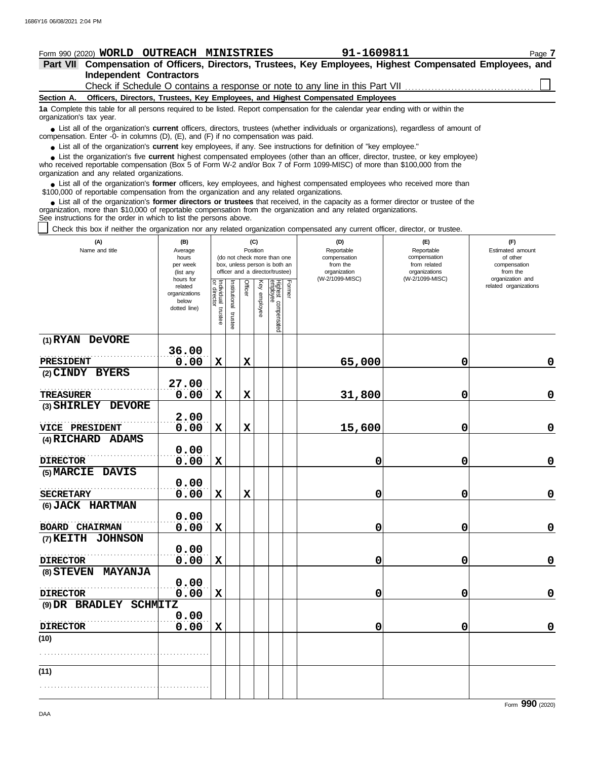#### **Section A. Independent Contractors Part VII Compensation of Officers, Directors, Trustees, Key Employees, Highest Compensated Employees, and Form 990 (2020) WORLD OUTREACH MINISTRIES 91-1609811** Page **7 Officers, Directors, Trustees, Key Employees, and Highest Compensated Employees 1a** Complete this table for all persons required to be listed. Report compensation for the calendar year ending with or within the ■ List all of the organization's **current** officers, directors, trustees (whether individuals or organizations), regardless of amount of annount of annount of the companies (D) (E) and (E) if no companiestion was paid compensation. Enter -0- in columns (D), (E), and (F) if no compensation was paid. ● List all of the organization's **current** key employees, if any. See instructions for definition of "key employee." who received reportable compensation (Box 5 of Form W-2 and/or Box 7 of Form 1099-MISC) of more than \$100,000 from the organization and any related organizations. ■ List all of the organization's **former** officers, key employees, and highest compensated employees who received more than<br>00,000 of reportable compensation from the organization and any related organizations \$100,000 of reportable compensation from the organization and any related organizations. ■ List all of the organization's **former directors or trustees** that received, in the capacity as a former director or trustee of the prization more than \$10,000 of reportable compensation from the organization and any re organization, more than \$10,000 of reportable compensation from the organization and any related organizations. See instructions for the order in which to list the persons above. Check this box if neither the organization nor any related organization compensated any current officer, director, or trustee. **(A) (B) (C) (D) (E) (F)** organization's tax year. ■ List the organization's five **current** highest compensated employees (other than an officer, director, trustee, or key employee)<br> **•** Peceived reportable compensation (Box 5 of Form W-2 and/or Box 7 of Form 1000-MISC) o Check if Schedule O contains a response or note to any line in this Part VII

| (A)<br>Name and title                     | (B)<br>Average<br>hours<br>per week<br>(list any               |                                   |                          | Position       | (C)          | (do not check more than one<br>box, unless person is both an<br>officer and a director/trustee) |        | (D)<br>Reportable<br>compensation<br>from the<br>organization | (E)<br>Reportable<br>compensation<br>from related<br>organizations | (F)<br>Estimated amount<br>of other<br>compensation<br>from the<br>organization and |  |
|-------------------------------------------|----------------------------------------------------------------|-----------------------------------|--------------------------|----------------|--------------|-------------------------------------------------------------------------------------------------|--------|---------------------------------------------------------------|--------------------------------------------------------------------|-------------------------------------------------------------------------------------|--|
|                                           | hours for<br>related<br>organizations<br>below<br>dotted line) | Individual trustee<br>or director | Institutional<br>trustee | <b>Officer</b> | Key employee | Highest compensated<br>employee                                                                 | Former | (W-2/1099-MISC)                                               | (W-2/1099-MISC)                                                    | related organizations                                                               |  |
| (1) RYAN DeVORE                           |                                                                |                                   |                          |                |              |                                                                                                 |        |                                                               |                                                                    |                                                                                     |  |
|                                           | 36.00                                                          |                                   |                          |                |              |                                                                                                 |        |                                                               |                                                                    |                                                                                     |  |
| PRESIDENT<br>(2) CINDY BYERS              | 0.00                                                           | $\mathbf x$                       |                          | $\mathbf x$    |              |                                                                                                 |        | 65,000                                                        | 0                                                                  | 0                                                                                   |  |
| <b>TREASURER</b>                          | 27.00<br>0.00                                                  | X                                 |                          | $\mathbf x$    |              |                                                                                                 |        | 31,800                                                        | 0                                                                  | $\pmb{0}$                                                                           |  |
| (3) SHIRLEY DEVORE                        |                                                                |                                   |                          |                |              |                                                                                                 |        |                                                               |                                                                    |                                                                                     |  |
| VICE PRESIDENT                            | 2.00<br>0.00                                                   | $\mathbf x$                       |                          | $\mathbf x$    |              |                                                                                                 |        | 15,600                                                        | 0                                                                  | $\mathbf 0$                                                                         |  |
| (4) RICHARD ADAMS                         |                                                                |                                   |                          |                |              |                                                                                                 |        |                                                               |                                                                    |                                                                                     |  |
| <b>DIRECTOR</b>                           | 0.00<br>0.00                                                   | $\mathbf x$                       |                          |                |              |                                                                                                 |        | 0                                                             | 0                                                                  | 0                                                                                   |  |
| (5) MARCIE DAVIS                          |                                                                |                                   |                          |                |              |                                                                                                 |        |                                                               |                                                                    |                                                                                     |  |
|                                           | 0.00                                                           |                                   |                          |                |              |                                                                                                 |        |                                                               |                                                                    |                                                                                     |  |
| <b>SECRETARY</b>                          | 0.00                                                           | X                                 |                          | $\mathbf x$    |              |                                                                                                 |        | 0                                                             | 0                                                                  | $\pmb{0}$                                                                           |  |
| (6) JACK HARTMAN<br><b>BOARD CHAIRMAN</b> | 0.00<br>0.00                                                   | $\mathbf x$                       |                          |                |              |                                                                                                 |        | 0                                                             | 0                                                                  | $\mathbf 0$                                                                         |  |
| (7) KEITH JOHNSON                         |                                                                |                                   |                          |                |              |                                                                                                 |        |                                                               |                                                                    |                                                                                     |  |
| <b>DIRECTOR</b>                           | 0.00<br>0.00                                                   | X                                 |                          |                |              |                                                                                                 |        | 0                                                             | 0                                                                  | $\mathbf 0$                                                                         |  |
| (8) STEVEN MAYANJA                        | 0.00                                                           |                                   |                          |                |              |                                                                                                 |        |                                                               |                                                                    |                                                                                     |  |
| <b>DIRECTOR</b>                           | 0.00                                                           | $\mathbf x$                       |                          |                |              |                                                                                                 |        | 0                                                             | 0                                                                  | $\mathbf 0$                                                                         |  |
| (9) DR BRADLEY SCHMITZ                    |                                                                |                                   |                          |                |              |                                                                                                 |        |                                                               |                                                                    |                                                                                     |  |
| <b>DIRECTOR</b>                           | 0.00<br>0.00                                                   | $\mathbf x$                       |                          |                |              |                                                                                                 |        | 0                                                             | 0                                                                  | 0                                                                                   |  |
| (10)                                      |                                                                |                                   |                          |                |              |                                                                                                 |        |                                                               |                                                                    |                                                                                     |  |
|                                           |                                                                |                                   |                          |                |              |                                                                                                 |        |                                                               |                                                                    |                                                                                     |  |
| (11)                                      |                                                                |                                   |                          |                |              |                                                                                                 |        |                                                               |                                                                    |                                                                                     |  |
|                                           |                                                                |                                   |                          |                |              |                                                                                                 |        |                                                               |                                                                    |                                                                                     |  |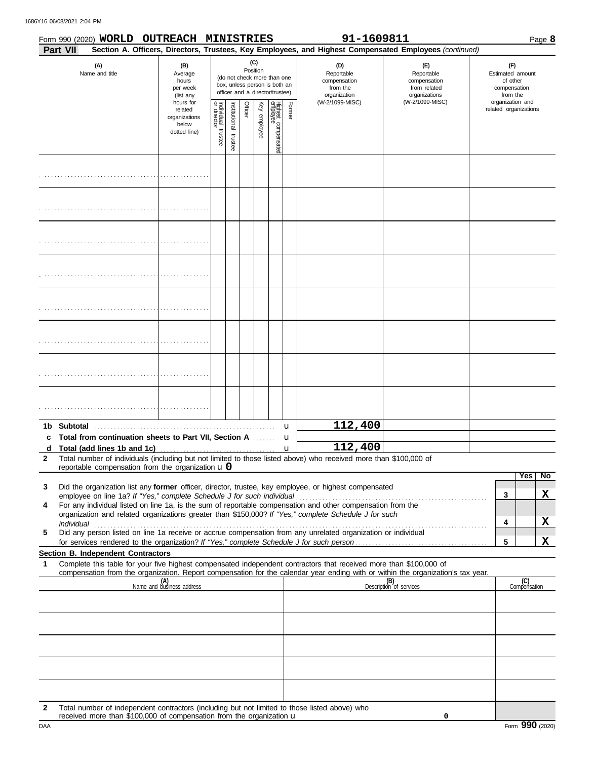1686Y16 06/08/2021 2:04 PM

|                   | Form 990 (2020) WORLD OUTREACH MINISTRIES<br>Part VII                                                                                                                                                                                                  |                                                                                                                                                                        |                                   |                       |         |              |                                 |                  | 91-1609811                                                    | Section A. Officers, Directors, Trustees, Key Employees, and Highest Compensated Employees (continued) |                                                                 |                     | Page 8 |
|-------------------|--------------------------------------------------------------------------------------------------------------------------------------------------------------------------------------------------------------------------------------------------------|------------------------------------------------------------------------------------------------------------------------------------------------------------------------|-----------------------------------|-----------------------|---------|--------------|---------------------------------|------------------|---------------------------------------------------------------|--------------------------------------------------------------------------------------------------------|-----------------------------------------------------------------|---------------------|--------|
|                   | (A)<br>Name and title                                                                                                                                                                                                                                  | (C)<br>(B)<br>Position<br>Average<br>(do not check more than one<br>hours<br>box, unless person is both an<br>per week<br>officer and a director/trustee)<br>(list any |                                   |                       |         |              |                                 |                  | (D)<br>Reportable<br>compensation<br>from the<br>organization | (E)<br>Reportable<br>compensation<br>from related<br>organizations                                     | (F)<br>Estimated amount<br>of other<br>compensation<br>from the |                     |        |
|                   |                                                                                                                                                                                                                                                        | hours for<br>related<br>organizations<br>below<br>dotted line)                                                                                                         | Individual trustee<br>or director | Institutional trustee | Officer | Key employee | Highest compensated<br>employee | Former           | (W-2/1099-MISC)                                               | (W-2/1099-MISC)                                                                                        | organization and<br>related organizations                       |                     |        |
|                   |                                                                                                                                                                                                                                                        |                                                                                                                                                                        |                                   |                       |         |              |                                 |                  |                                                               |                                                                                                        |                                                                 |                     |        |
|                   |                                                                                                                                                                                                                                                        |                                                                                                                                                                        |                                   |                       |         |              |                                 |                  |                                                               |                                                                                                        |                                                                 |                     |        |
|                   |                                                                                                                                                                                                                                                        |                                                                                                                                                                        |                                   |                       |         |              |                                 |                  |                                                               |                                                                                                        |                                                                 |                     |        |
|                   |                                                                                                                                                                                                                                                        |                                                                                                                                                                        |                                   |                       |         |              |                                 |                  |                                                               |                                                                                                        |                                                                 |                     |        |
|                   |                                                                                                                                                                                                                                                        |                                                                                                                                                                        |                                   |                       |         |              |                                 |                  |                                                               |                                                                                                        |                                                                 |                     |        |
|                   |                                                                                                                                                                                                                                                        |                                                                                                                                                                        |                                   |                       |         |              |                                 |                  |                                                               |                                                                                                        |                                                                 |                     |        |
|                   |                                                                                                                                                                                                                                                        |                                                                                                                                                                        |                                   |                       |         |              |                                 |                  |                                                               |                                                                                                        |                                                                 |                     |        |
|                   |                                                                                                                                                                                                                                                        |                                                                                                                                                                        |                                   |                       |         |              |                                 |                  |                                                               |                                                                                                        |                                                                 |                     |        |
|                   | 1b Subtotal                                                                                                                                                                                                                                            |                                                                                                                                                                        |                                   |                       |         |              |                                 | u                | 112,400                                                       |                                                                                                        |                                                                 |                     |        |
| d<br>$\mathbf{2}$ | c Total from continuation sheets to Part VII, Section A<br>Total number of individuals (including but not limited to those listed above) who received more than \$100,000 of<br>reportable compensation from the organization $\bf{u}$ 0               |                                                                                                                                                                        |                                   |                       |         |              |                                 | u<br>$\mathbf u$ | 112,400                                                       |                                                                                                        |                                                                 |                     |        |
|                   |                                                                                                                                                                                                                                                        |                                                                                                                                                                        |                                   |                       |         |              |                                 |                  |                                                               |                                                                                                        |                                                                 | Yes                 | No     |
| 3                 | Did the organization list any former officer, director, trustee, key employee, or highest compensated                                                                                                                                                  |                                                                                                                                                                        |                                   |                       |         |              |                                 |                  |                                                               |                                                                                                        | 3                                                               |                     | X      |
| 4                 | For any individual listed on line 1a, is the sum of reportable compensation and other compensation from the                                                                                                                                            |                                                                                                                                                                        |                                   |                       |         |              |                                 |                  |                                                               |                                                                                                        |                                                                 |                     |        |
|                   | organization and related organizations greater than \$150,000? If "Yes," complete Schedule J for such<br>individual                                                                                                                                    |                                                                                                                                                                        |                                   |                       |         |              |                                 |                  |                                                               |                                                                                                        | 4                                                               |                     | X      |
| 5                 | individual<br>Did any person listed on line 1a receive or accrue compensation from any unrelated organization or individual                                                                                                                            |                                                                                                                                                                        |                                   |                       |         |              |                                 |                  |                                                               |                                                                                                        | 5                                                               |                     | X      |
|                   | Section B. Independent Contractors                                                                                                                                                                                                                     |                                                                                                                                                                        |                                   |                       |         |              |                                 |                  |                                                               |                                                                                                        |                                                                 |                     |        |
| -1                | Complete this table for your five highest compensated independent contractors that received more than \$100,000 of<br>compensation from the organization. Report compensation for the calendar year ending with or within the organization's tax year. |                                                                                                                                                                        |                                   |                       |         |              |                                 |                  |                                                               |                                                                                                        |                                                                 |                     |        |
|                   |                                                                                                                                                                                                                                                        | (A)<br>Name and business address                                                                                                                                       |                                   |                       |         |              |                                 |                  |                                                               | (B)<br>Description of services                                                                         |                                                                 | (C)<br>Compensation |        |
|                   |                                                                                                                                                                                                                                                        |                                                                                                                                                                        |                                   |                       |         |              |                                 |                  |                                                               |                                                                                                        |                                                                 |                     |        |
|                   |                                                                                                                                                                                                                                                        |                                                                                                                                                                        |                                   |                       |         |              |                                 |                  |                                                               |                                                                                                        |                                                                 |                     |        |
|                   |                                                                                                                                                                                                                                                        |                                                                                                                                                                        |                                   |                       |         |              |                                 |                  |                                                               |                                                                                                        |                                                                 |                     |        |
|                   |                                                                                                                                                                                                                                                        |                                                                                                                                                                        |                                   |                       |         |              |                                 |                  |                                                               |                                                                                                        |                                                                 |                     |        |
|                   |                                                                                                                                                                                                                                                        |                                                                                                                                                                        |                                   |                       |         |              |                                 |                  |                                                               |                                                                                                        |                                                                 |                     |        |
|                   |                                                                                                                                                                                                                                                        |                                                                                                                                                                        |                                   |                       |         |              |                                 |                  |                                                               |                                                                                                        |                                                                 |                     |        |
|                   |                                                                                                                                                                                                                                                        |                                                                                                                                                                        |                                   |                       |         |              |                                 |                  |                                                               |                                                                                                        |                                                                 |                     |        |

**2** Total number of independent contractors (including but not limited to those listed above) who received more than \$100,000 of compensation from the organization u

**0**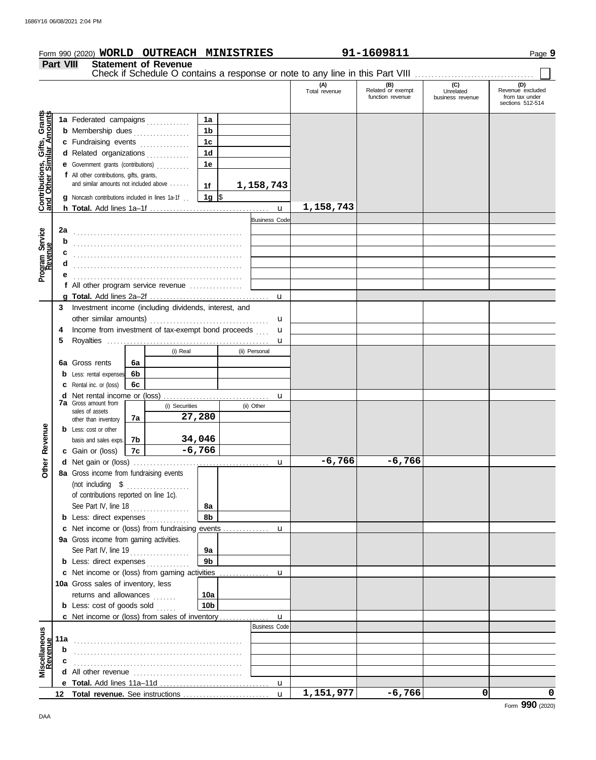| Form 990 (2020) WORLD OUTREACH MINISTRIES                 |                                                         |                                                                                                                                                                                                                                           |    |                             |                |                           | 91-1609811                                                                    |                                              | Page 9                               |                                                               |  |
|-----------------------------------------------------------|---------------------------------------------------------|-------------------------------------------------------------------------------------------------------------------------------------------------------------------------------------------------------------------------------------------|----|-----------------------------|----------------|---------------------------|-------------------------------------------------------------------------------|----------------------------------------------|--------------------------------------|---------------------------------------------------------------|--|
|                                                           | <b>Part VIII</b>                                        |                                                                                                                                                                                                                                           |    | <b>Statement of Revenue</b> |                |                           |                                                                               |                                              |                                      |                                                               |  |
|                                                           |                                                         |                                                                                                                                                                                                                                           |    |                             |                |                           | Check if Schedule O contains a response or note to any line in this Part VIII |                                              |                                      |                                                               |  |
|                                                           |                                                         |                                                                                                                                                                                                                                           |    |                             |                |                           | (A)<br>Total revenue                                                          | (B)<br>Related or exempt<br>function revenue | (C)<br>Unrelated<br>business revenue | (D)<br>Revenue excluded<br>from tax under<br>sections 512-514 |  |
|                                                           |                                                         | 1a Federated campaigns                                                                                                                                                                                                                    |    |                             | 1a             |                           |                                                                               |                                              |                                      |                                                               |  |
| Contributions, Gifts, Grants<br>and Other Similar Amounts |                                                         | <b>b</b> Membership dues <i>manufacture manufacture manufacture manufacture manufacture manufacture manufacture manufacture manufacture manufacture manufacture manufacture manufacture manufacture manufacture manufacture manufactu</i> |    |                             | 1 <sub>b</sub> |                           |                                                                               |                                              |                                      |                                                               |  |
|                                                           |                                                         | c Fundraising events                                                                                                                                                                                                                      |    |                             | 1 <sub>c</sub> |                           |                                                                               |                                              |                                      |                                                               |  |
|                                                           |                                                         | d Related organizations                                                                                                                                                                                                                   |    |                             | 1 <sub>d</sub> |                           |                                                                               |                                              |                                      |                                                               |  |
|                                                           |                                                         | e Government grants (contributions)                                                                                                                                                                                                       |    |                             | 1е             |                           |                                                                               |                                              |                                      |                                                               |  |
|                                                           |                                                         | f All other contributions, gifts, grants,                                                                                                                                                                                                 |    |                             |                |                           |                                                                               |                                              |                                      |                                                               |  |
|                                                           |                                                         | and similar amounts not included above                                                                                                                                                                                                    |    |                             | 1f             | 1,158,743                 |                                                                               |                                              |                                      |                                                               |  |
|                                                           |                                                         | <b>g</b> Noncash contributions included in lines 1a-1f                                                                                                                                                                                    |    |                             | 1g $\vert$ \$  |                           |                                                                               |                                              |                                      |                                                               |  |
|                                                           |                                                         |                                                                                                                                                                                                                                           |    |                             |                | $\mathbf{u}$              | 1,158,743                                                                     |                                              |                                      |                                                               |  |
|                                                           |                                                         |                                                                                                                                                                                                                                           |    |                             |                | <b>Business Code</b>      |                                                                               |                                              |                                      |                                                               |  |
|                                                           | 2a                                                      |                                                                                                                                                                                                                                           |    |                             |                |                           |                                                                               |                                              |                                      |                                                               |  |
|                                                           | b                                                       |                                                                                                                                                                                                                                           |    |                             |                |                           |                                                                               |                                              |                                      |                                                               |  |
|                                                           | c                                                       |                                                                                                                                                                                                                                           |    |                             |                |                           |                                                                               |                                              |                                      |                                                               |  |
| Program Service<br>Revenue                                | d                                                       |                                                                                                                                                                                                                                           |    |                             |                |                           |                                                                               |                                              |                                      |                                                               |  |
|                                                           | е                                                       |                                                                                                                                                                                                                                           |    |                             |                |                           |                                                                               |                                              |                                      |                                                               |  |
|                                                           |                                                         | f All other program service revenue                                                                                                                                                                                                       |    |                             |                |                           |                                                                               |                                              |                                      |                                                               |  |
|                                                           | 3.                                                      | Investment income (including dividends, interest, and                                                                                                                                                                                     |    |                             |                | $\mathbf{u}$              |                                                                               |                                              |                                      |                                                               |  |
|                                                           |                                                         |                                                                                                                                                                                                                                           |    |                             |                | u                         |                                                                               |                                              |                                      |                                                               |  |
|                                                           | Income from investment of tax-exempt bond proceeds<br>4 |                                                                                                                                                                                                                                           |    |                             |                | u                         |                                                                               |                                              |                                      |                                                               |  |
|                                                           | 5                                                       |                                                                                                                                                                                                                                           |    |                             |                | u                         |                                                                               |                                              |                                      |                                                               |  |
|                                                           |                                                         |                                                                                                                                                                                                                                           |    | (i) Real                    |                | (ii) Personal             |                                                                               |                                              |                                      |                                                               |  |
|                                                           |                                                         | 6a Gross rents                                                                                                                                                                                                                            | 6a |                             |                |                           |                                                                               |                                              |                                      |                                                               |  |
|                                                           |                                                         | <b>b</b> Less: rental expenses                                                                                                                                                                                                            | 6b |                             |                |                           |                                                                               |                                              |                                      |                                                               |  |
|                                                           |                                                         | <b>c</b> Rental inc. or (loss)                                                                                                                                                                                                            | 6c |                             |                |                           |                                                                               |                                              |                                      |                                                               |  |
|                                                           |                                                         |                                                                                                                                                                                                                                           |    |                             |                | u                         |                                                                               |                                              |                                      |                                                               |  |
|                                                           |                                                         | <b>7a</b> Gross amount from<br>(i) Securities<br>sales of assets                                                                                                                                                                          |    | (ii) Other                  |                |                           |                                                                               |                                              |                                      |                                                               |  |
|                                                           |                                                         | other than inventory                                                                                                                                                                                                                      | 7a |                             | 27,280         |                           |                                                                               |                                              |                                      |                                                               |  |
| Revenue                                                   |                                                         | <b>b</b> Less: cost or other                                                                                                                                                                                                              |    |                             |                |                           |                                                                               |                                              |                                      |                                                               |  |
|                                                           |                                                         | basis and sales exps.                                                                                                                                                                                                                     | 7b |                             | 34,046         |                           |                                                                               |                                              |                                      |                                                               |  |
|                                                           |                                                         | c Gain or (loss)                                                                                                                                                                                                                          | 7c |                             | $-6,766$       |                           |                                                                               |                                              |                                      |                                                               |  |
| Other                                                     |                                                         | 8a Gross income from fundraising events                                                                                                                                                                                                   |    |                             |                |                           | $-6,766$                                                                      | $-6,766$                                     |                                      |                                                               |  |
|                                                           |                                                         | (not including $\$$                                                                                                                                                                                                                       |    |                             |                |                           |                                                                               |                                              |                                      |                                                               |  |
|                                                           |                                                         | of contributions reported on line 1c).                                                                                                                                                                                                    |    |                             |                |                           |                                                                               |                                              |                                      |                                                               |  |
|                                                           |                                                         | See Part IV, line 18                                                                                                                                                                                                                      |    |                             | 8a             |                           |                                                                               |                                              |                                      |                                                               |  |
|                                                           |                                                         | <b>b</b> Less: direct expenses                                                                                                                                                                                                            |    |                             | 8b             |                           |                                                                               |                                              |                                      |                                                               |  |
|                                                           |                                                         | c Net income or (loss) from fundraising events                                                                                                                                                                                            |    |                             |                | u                         |                                                                               |                                              |                                      |                                                               |  |
|                                                           |                                                         | 9a Gross income from gaming activities.                                                                                                                                                                                                   |    |                             |                |                           |                                                                               |                                              |                                      |                                                               |  |
|                                                           |                                                         | See Part IV, line 19                                                                                                                                                                                                                      |    |                             | 9a             |                           |                                                                               |                                              |                                      |                                                               |  |
|                                                           |                                                         | <b>b</b> Less: direct expenses                                                                                                                                                                                                            |    |                             | 9b             |                           |                                                                               |                                              |                                      |                                                               |  |
|                                                           |                                                         |                                                                                                                                                                                                                                           |    |                             |                | u                         |                                                                               |                                              |                                      |                                                               |  |
|                                                           |                                                         | 10a Gross sales of inventory, less                                                                                                                                                                                                        |    |                             |                |                           |                                                                               |                                              |                                      |                                                               |  |
|                                                           |                                                         | returns and allowances                                                                                                                                                                                                                    |    |                             | 10a            |                           |                                                                               |                                              |                                      |                                                               |  |
|                                                           |                                                         | <b>b</b> Less: $cost$ of goods sold $\ldots$                                                                                                                                                                                              |    |                             | 10b            |                           |                                                                               |                                              |                                      |                                                               |  |
|                                                           |                                                         | c Net income or (loss) from sales of inventory                                                                                                                                                                                            |    |                             |                | u<br><b>Business Code</b> |                                                                               |                                              |                                      |                                                               |  |
| Miscellaneous<br>Revenue                                  |                                                         |                                                                                                                                                                                                                                           |    |                             |                |                           |                                                                               |                                              |                                      |                                                               |  |
|                                                           | 11a<br>b                                                |                                                                                                                                                                                                                                           |    |                             |                |                           |                                                                               |                                              |                                      |                                                               |  |
|                                                           | c                                                       |                                                                                                                                                                                                                                           |    |                             |                |                           |                                                                               |                                              |                                      |                                                               |  |
|                                                           | d                                                       |                                                                                                                                                                                                                                           |    |                             |                |                           |                                                                               |                                              |                                      |                                                               |  |
|                                                           |                                                         |                                                                                                                                                                                                                                           |    |                             |                | u                         |                                                                               |                                              |                                      |                                                               |  |

u

**1,151,977 -6,766 0 0**

**e Total.** Add lines 11a–11d . . . . . . . . . . . . . . . . . . . . . . . . . . . . . . . . . **Total revenue.** See instructions . . . . . . . . . . . . . . . . . . . . . . . . . . **12**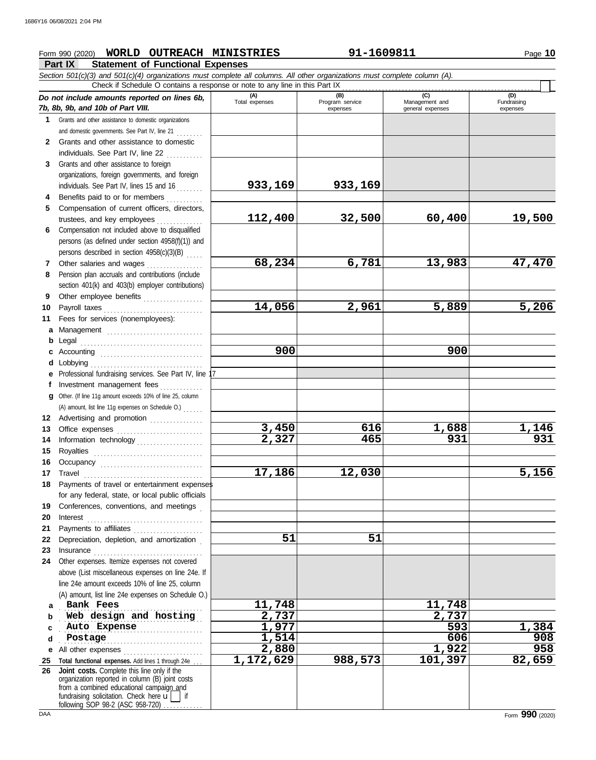### Form 990 (2020) Page **10 WORLD OUTREACH MINISTRIES 91-1609811**

### **Part IX Statement of Functional Expenses**

|              | Section 501(c)(3) and 501(c)(4) organizations must complete all columns. All other organizations must complete column (A).<br>Check if Schedule O contains a response or note to any line in this Part IX                                                                                                                                                                                                                                                                                                                                              |                       |                        |                       |                    |
|--------------|--------------------------------------------------------------------------------------------------------------------------------------------------------------------------------------------------------------------------------------------------------------------------------------------------------------------------------------------------------------------------------------------------------------------------------------------------------------------------------------------------------------------------------------------------------|-----------------------|------------------------|-----------------------|--------------------|
|              | Do not include amounts reported on lines 6b,                                                                                                                                                                                                                                                                                                                                                                                                                                                                                                           | (A)<br>Total expenses | (B)<br>Program service | (C)<br>Management and | (D)<br>Fundraising |
|              | 7b, 8b, 9b, and 10b of Part VIII.                                                                                                                                                                                                                                                                                                                                                                                                                                                                                                                      |                       | expenses               | general expenses      | expenses           |
| 1.           | Grants and other assistance to domestic organizations                                                                                                                                                                                                                                                                                                                                                                                                                                                                                                  |                       |                        |                       |                    |
|              | and domestic governments. See Part IV, line 21                                                                                                                                                                                                                                                                                                                                                                                                                                                                                                         |                       |                        |                       |                    |
| $\mathbf{2}$ | Grants and other assistance to domestic                                                                                                                                                                                                                                                                                                                                                                                                                                                                                                                |                       |                        |                       |                    |
|              | individuals. See Part IV, line 22                                                                                                                                                                                                                                                                                                                                                                                                                                                                                                                      |                       |                        |                       |                    |
| 3            | Grants and other assistance to foreign                                                                                                                                                                                                                                                                                                                                                                                                                                                                                                                 |                       |                        |                       |                    |
|              | organizations, foreign governments, and foreign                                                                                                                                                                                                                                                                                                                                                                                                                                                                                                        |                       |                        |                       |                    |
|              | individuals. See Part IV, lines 15 and 16                                                                                                                                                                                                                                                                                                                                                                                                                                                                                                              | 933,169               | 933,169                |                       |                    |
| 4            | Benefits paid to or for members                                                                                                                                                                                                                                                                                                                                                                                                                                                                                                                        |                       |                        |                       |                    |
| 5.           | Compensation of current officers, directors,                                                                                                                                                                                                                                                                                                                                                                                                                                                                                                           |                       |                        |                       |                    |
|              |                                                                                                                                                                                                                                                                                                                                                                                                                                                                                                                                                        | 112,400               | 32,500                 | 60,400                | 19,500             |
| 6            | Compensation not included above to disqualified                                                                                                                                                                                                                                                                                                                                                                                                                                                                                                        |                       |                        |                       |                    |
|              | persons (as defined under section 4958(f)(1)) and                                                                                                                                                                                                                                                                                                                                                                                                                                                                                                      |                       |                        |                       |                    |
|              | persons described in section 4958(c)(3)(B)                                                                                                                                                                                                                                                                                                                                                                                                                                                                                                             |                       |                        |                       |                    |
| 7            | Other salaries and wages                                                                                                                                                                                                                                                                                                                                                                                                                                                                                                                               | 68,234                | 6,781                  | 13,983                | 47,470             |
| 8            | Pension plan accruals and contributions (include                                                                                                                                                                                                                                                                                                                                                                                                                                                                                                       |                       |                        |                       |                    |
|              | section 401(k) and 403(b) employer contributions)                                                                                                                                                                                                                                                                                                                                                                                                                                                                                                      |                       |                        |                       |                    |
| 9            | Other employee benefits                                                                                                                                                                                                                                                                                                                                                                                                                                                                                                                                | 14,056                | 2,961                  | 5,889                 | 5,206              |
| 10<br>11     | Fees for services (nonemployees):                                                                                                                                                                                                                                                                                                                                                                                                                                                                                                                      |                       |                        |                       |                    |
|              |                                                                                                                                                                                                                                                                                                                                                                                                                                                                                                                                                        |                       |                        |                       |                    |
| b            | a Management                                                                                                                                                                                                                                                                                                                                                                                                                                                                                                                                           |                       |                        |                       |                    |
| C            |                                                                                                                                                                                                                                                                                                                                                                                                                                                                                                                                                        | 900                   |                        | 900                   |                    |
| d            |                                                                                                                                                                                                                                                                                                                                                                                                                                                                                                                                                        |                       |                        |                       |                    |
|              | e Professional fundraising services. See Part IV, line 17                                                                                                                                                                                                                                                                                                                                                                                                                                                                                              |                       |                        |                       |                    |
| Ť.           | Investment management fees                                                                                                                                                                                                                                                                                                                                                                                                                                                                                                                             |                       |                        |                       |                    |
|              | g Other. (If line 11g amount exceeds 10% of line 25, column                                                                                                                                                                                                                                                                                                                                                                                                                                                                                            |                       |                        |                       |                    |
|              | (A) amount, list line 11g expenses on Schedule O.)                                                                                                                                                                                                                                                                                                                                                                                                                                                                                                     |                       |                        |                       |                    |
|              | 12 Advertising and promotion                                                                                                                                                                                                                                                                                                                                                                                                                                                                                                                           |                       |                        |                       |                    |
| 13           | Office expenses                                                                                                                                                                                                                                                                                                                                                                                                                                                                                                                                        | 3,450                 | 616                    | 1,688                 | 1,146              |
| 14           | Information technology                                                                                                                                                                                                                                                                                                                                                                                                                                                                                                                                 | 2,327                 | 465                    | 931                   | 931                |
| 15           |                                                                                                                                                                                                                                                                                                                                                                                                                                                                                                                                                        |                       |                        |                       |                    |
| 16           |                                                                                                                                                                                                                                                                                                                                                                                                                                                                                                                                                        |                       |                        |                       |                    |
|              |                                                                                                                                                                                                                                                                                                                                                                                                                                                                                                                                                        | 17,186                | 12,030                 |                       | 5,156              |
| 18           | Payments of travel or entertainment expenses                                                                                                                                                                                                                                                                                                                                                                                                                                                                                                           |                       |                        |                       |                    |
|              | for any federal, state, or local public officials                                                                                                                                                                                                                                                                                                                                                                                                                                                                                                      |                       |                        |                       |                    |
| 19           | Conferences, conventions, and meetings                                                                                                                                                                                                                                                                                                                                                                                                                                                                                                                 |                       |                        |                       |                    |
| 20           |                                                                                                                                                                                                                                                                                                                                                                                                                                                                                                                                                        |                       |                        |                       |                    |
| 21           |                                                                                                                                                                                                                                                                                                                                                                                                                                                                                                                                                        |                       |                        |                       |                    |
| 22           | Depreciation, depletion, and amortization                                                                                                                                                                                                                                                                                                                                                                                                                                                                                                              | 51                    | 51                     |                       |                    |
| 23           | $In surface \begin{equation} \begin{minipage}{0.5\textwidth} \begin{minipage}{0.5\textwidth} \centering \end{minipage} \end{minipage} \begin{minipage}{0.5\textwidth} \begin{minipage}{0.5\textwidth} \centering \end{minipage} \end{minipage} \begin{minipage}{0.5\textwidth} \centering \end{minipage} \begin{minipage}{0.5\textwidth} \centering \end{minipage} \end{minipage} \begin{minipage}{0.5\textwidth} \centering \begin{minipage}{0.5\textwidth} \centering \end{minipage} \end{minipage} \begin{minipage}{0.5\textwidth} \centering \end$ |                       |                        |                       |                    |
| 24           | Other expenses. Itemize expenses not covered                                                                                                                                                                                                                                                                                                                                                                                                                                                                                                           |                       |                        |                       |                    |
|              | above (List miscellaneous expenses on line 24e. If                                                                                                                                                                                                                                                                                                                                                                                                                                                                                                     |                       |                        |                       |                    |
|              | line 24e amount exceeds 10% of line 25, column                                                                                                                                                                                                                                                                                                                                                                                                                                                                                                         |                       |                        |                       |                    |
|              | (A) amount, list line 24e expenses on Schedule O.)                                                                                                                                                                                                                                                                                                                                                                                                                                                                                                     |                       |                        |                       |                    |
| a            | Bank Fees                                                                                                                                                                                                                                                                                                                                                                                                                                                                                                                                              | 11,748                |                        | 11,748                |                    |
| b            | Web design and hosting                                                                                                                                                                                                                                                                                                                                                                                                                                                                                                                                 | 2,737                 |                        | 2,737<br>593          |                    |
| c            | Auto Expense                                                                                                                                                                                                                                                                                                                                                                                                                                                                                                                                           | 1,977                 |                        | 606                   | 1,384              |
| d            | Postage                                                                                                                                                                                                                                                                                                                                                                                                                                                                                                                                                | 1,514<br>2,880        |                        | 1,922                 | 908<br>958         |
| е            | All other expenses                                                                                                                                                                                                                                                                                                                                                                                                                                                                                                                                     | 1,172,629             | 988,573                | 101,397               | 82,659             |
| 25<br>26     | Total functional expenses. Add lines 1 through 24e<br>Joint costs. Complete this line only if the                                                                                                                                                                                                                                                                                                                                                                                                                                                      |                       |                        |                       |                    |
|              | organization reported in column (B) joint costs                                                                                                                                                                                                                                                                                                                                                                                                                                                                                                        |                       |                        |                       |                    |
|              | from a combined educational campaign and                                                                                                                                                                                                                                                                                                                                                                                                                                                                                                               |                       |                        |                       |                    |
|              | fundraising solicitation. Check here $\mathbf{u}$   if<br>following SOP 98-2 (ASC 958-720).                                                                                                                                                                                                                                                                                                                                                                                                                                                            |                       |                        |                       |                    |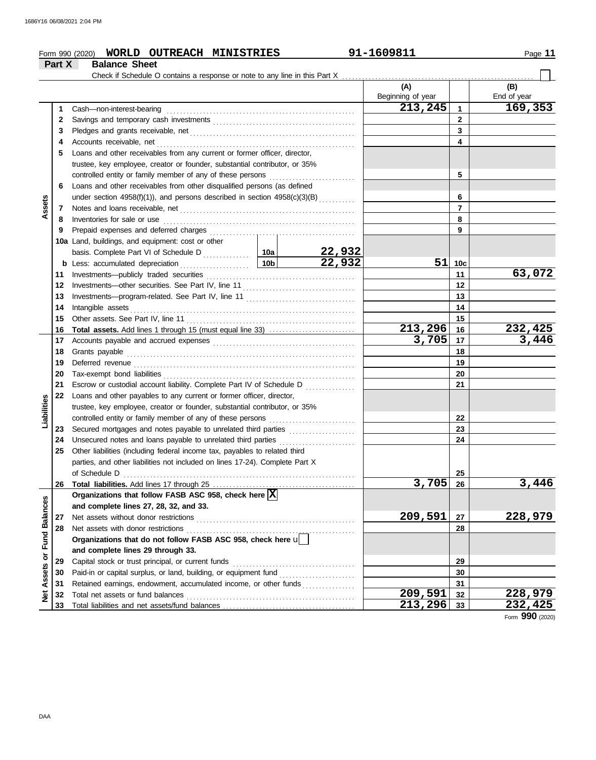|                                | Part X   | WORLD OUTREACH MINISTRIES<br>Form 990 (2020)<br><b>Balance Sheet</b>                                                                                                                                                                                                                   |                                       | 91-1609811        |                 | Page 11        |
|--------------------------------|----------|----------------------------------------------------------------------------------------------------------------------------------------------------------------------------------------------------------------------------------------------------------------------------------------|---------------------------------------|-------------------|-----------------|----------------|
|                                |          | Check if Schedule O contains a response or note to any line in this Part X                                                                                                                                                                                                             |                                       |                   |                 |                |
|                                |          |                                                                                                                                                                                                                                                                                        |                                       | (A)               |                 | (B)            |
|                                |          |                                                                                                                                                                                                                                                                                        |                                       | Beginning of year |                 | End of year    |
|                                | 1        | Cash-non-interest-bearing                                                                                                                                                                                                                                                              |                                       | 213, 245          | 1               | 169,353        |
|                                | 2        |                                                                                                                                                                                                                                                                                        |                                       | $\mathbf{2}$      |                 |                |
|                                | 3        |                                                                                                                                                                                                                                                                                        |                                       |                   | 3               |                |
|                                | 4        | Accounts receivable, net                                                                                                                                                                                                                                                               |                                       |                   | 4               |                |
|                                | 5        | Loans and other receivables from any current or former officer, director,                                                                                                                                                                                                              |                                       |                   |                 |                |
|                                |          | trustee, key employee, creator or founder, substantial contributor, or 35%                                                                                                                                                                                                             |                                       |                   |                 |                |
|                                |          | controlled entity or family member of any of these persons                                                                                                                                                                                                                             |                                       |                   | 5               |                |
|                                | 6        | Loans and other receivables from other disqualified persons (as defined                                                                                                                                                                                                                |                                       |                   |                 |                |
|                                |          | under section 4958(f)(1)), and persons described in section 4958(c)(3)(B)                                                                                                                                                                                                              |                                       |                   | 6               |                |
| Assets                         | 7        | Notes and loans receivable, net <b>contained a set of the container and loans</b> receivable, net                                                                                                                                                                                      |                                       |                   | $\overline{7}$  |                |
|                                | 8        | Inventories for sale or use <i>construction</i> and <i>construction</i> and <i>construction</i> and <i>construction</i> and <i>construction</i> and <i>construction</i> and <i>construction</i> and <i>construction</i> and <i>construction</i> and <i>construction</i> and <i>con</i> |                                       |                   | 8               |                |
|                                | 9        |                                                                                                                                                                                                                                                                                        |                                       |                   | 9               |                |
|                                |          | 10a Land, buildings, and equipment: cost or other                                                                                                                                                                                                                                      |                                       |                   |                 |                |
|                                |          |                                                                                                                                                                                                                                                                                        |                                       |                   |                 |                |
|                                |          |                                                                                                                                                                                                                                                                                        | $\frac{22,932}{22,932}$               | 51                | 10 <sub>c</sub> |                |
|                                | 11       | Investments-publicly traded securities                                                                                                                                                                                                                                                 |                                       |                   | 11              | 63,072         |
|                                | 12       |                                                                                                                                                                                                                                                                                        |                                       | 12                |                 |                |
|                                | 13       |                                                                                                                                                                                                                                                                                        |                                       |                   | 13              |                |
|                                | 14       | Intangible assets                                                                                                                                                                                                                                                                      |                                       |                   | 14              |                |
|                                | 15       |                                                                                                                                                                                                                                                                                        |                                       |                   | 15              |                |
|                                | 16       |                                                                                                                                                                                                                                                                                        |                                       | 213,296           | 16              | <u>232,425</u> |
|                                | 17       |                                                                                                                                                                                                                                                                                        |                                       | 3,705             | 17              | 3,446          |
|                                | 18       | Grants payable                                                                                                                                                                                                                                                                         |                                       | 18                |                 |                |
|                                | 19       |                                                                                                                                                                                                                                                                                        |                                       |                   | 19              |                |
|                                | 20       | Tax-exempt bond liabilities                                                                                                                                                                                                                                                            |                                       |                   | 20              |                |
|                                | 21       | Escrow or custodial account liability. Complete Part IV of Schedule D                                                                                                                                                                                                                  | <u> 1986 - Jan Barat, president e</u> |                   | 21              |                |
|                                | 22       | Loans and other payables to any current or former officer, director,                                                                                                                                                                                                                   |                                       |                   |                 |                |
|                                |          | trustee, key employee, creator or founder, substantial contributor, or 35%                                                                                                                                                                                                             |                                       |                   |                 |                |
| Liabilities                    |          | controlled entity or family member of any of these persons                                                                                                                                                                                                                             |                                       |                   | 22              |                |
|                                | 23       | Secured mortgages and notes payable to unrelated third parties                                                                                                                                                                                                                         |                                       |                   | 23              |                |
|                                | 24       | Unsecured notes and loans payable to unrelated third parties [11] [11] Unsecured notes and loans payable to unrelated third parties                                                                                                                                                    |                                       |                   | 24              |                |
|                                | 25       | Other liabilities (including federal income tax, payables to related third                                                                                                                                                                                                             |                                       |                   |                 |                |
|                                |          | parties, and other liabilities not included on lines 17-24). Complete Part X                                                                                                                                                                                                           |                                       |                   |                 |                |
|                                |          | of Schedule D                                                                                                                                                                                                                                                                          |                                       |                   | 25              |                |
|                                | 26       |                                                                                                                                                                                                                                                                                        |                                       | 3,705             | 26              | 3,446          |
|                                |          | Organizations that follow FASB ASC 958, check here X                                                                                                                                                                                                                                   |                                       |                   |                 |                |
|                                |          | and complete lines 27, 28, 32, and 33.                                                                                                                                                                                                                                                 |                                       | 209,591           |                 | 228,979        |
|                                | 27<br>28 |                                                                                                                                                                                                                                                                                        |                                       |                   | 27<br>28        |                |
|                                |          | Organizations that do not follow FASB ASC 958, check here u                                                                                                                                                                                                                            |                                       |                   |                 |                |
|                                |          | and complete lines 29 through 33.                                                                                                                                                                                                                                                      |                                       |                   |                 |                |
|                                | 29       | Capital stock or trust principal, or current funds                                                                                                                                                                                                                                     |                                       | 29                |                 |                |
|                                | 30       |                                                                                                                                                                                                                                                                                        |                                       | 30                |                 |                |
| <b>Assets or Fund Balances</b> | 31       | Retained earnings, endowment, accumulated income, or other funds                                                                                                                                                                                                                       |                                       | 31                |                 |                |
| ğ                              | 32       |                                                                                                                                                                                                                                                                                        | 209,591                               | 32                | 228,979         |                |
|                                | 33       |                                                                                                                                                                                                                                                                                        |                                       | 213,296           | 33              | 232,425        |

Form **990** (2020)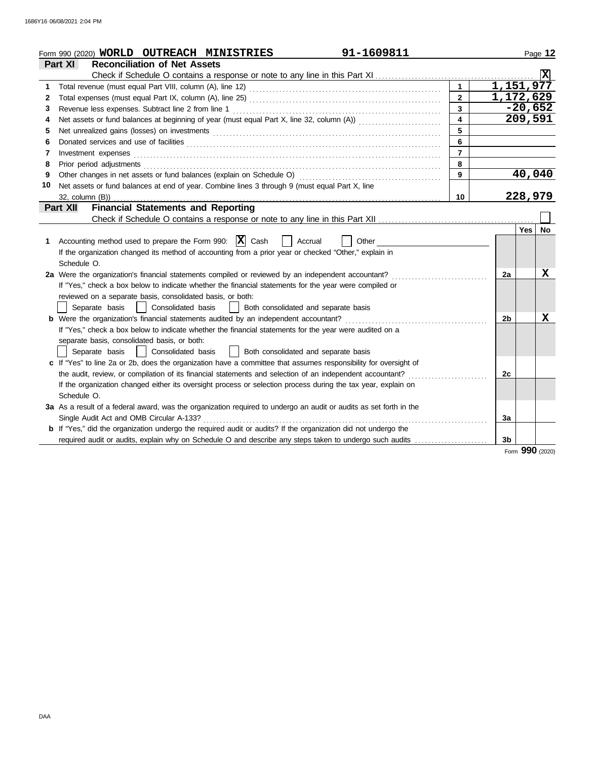|    | 91-1609811<br>Form 990 (2020) WORLD OUTREACH MINISTRIES                                                                                                                                                                        |                |           |                 | Page 12 |
|----|--------------------------------------------------------------------------------------------------------------------------------------------------------------------------------------------------------------------------------|----------------|-----------|-----------------|---------|
|    | Part XI<br><b>Reconciliation of Net Assets</b>                                                                                                                                                                                 |                |           |                 |         |
|    |                                                                                                                                                                                                                                |                |           |                 |         |
| 1. |                                                                                                                                                                                                                                |                | 1,151,977 |                 |         |
| 2  |                                                                                                                                                                                                                                | $\overline{2}$ | 1,172,629 |                 |         |
| 3  | Revenue less expenses. Subtract line 2 from line 1                                                                                                                                                                             | $\mathbf{3}$   |           | $-20,652$       |         |
| 4  | Net assets or fund balances at beginning of year (must equal Part X, line 32, column (A)) [[[[[[[[[[[[[[[[[[[                                                                                                                  | 4              |           | 209,591         |         |
| 5  | Net unrealized gains (losses) on investments [11] with the context of the state of the state of the state of the state of the state of the state of the state of the state of the state of the state of the state of the state | 5              |           |                 |         |
| 6  |                                                                                                                                                                                                                                | 6              |           |                 |         |
| 7  | Investment expenses                                                                                                                                                                                                            | $\overline{7}$ |           |                 |         |
| 8  | Prior period adjustments                                                                                                                                                                                                       | 8              |           |                 |         |
| 9  |                                                                                                                                                                                                                                | 9              |           | 40,040          |         |
| 10 | Net assets or fund balances at end of year. Combine lines 3 through 9 (must equal Part X, line                                                                                                                                 |                |           |                 |         |
|    | 32, column (B))                                                                                                                                                                                                                | 10             |           | 228,979         |         |
|    | <b>Financial Statements and Reporting</b><br>Part XII                                                                                                                                                                          |                |           |                 |         |
|    |                                                                                                                                                                                                                                |                |           |                 |         |
|    |                                                                                                                                                                                                                                |                |           | Yes   No        |         |
| 1. | Accounting method used to prepare the Form 990: $ \mathbf{X} $ Cash<br>Accrual<br>Other                                                                                                                                        |                |           |                 |         |
|    | If the organization changed its method of accounting from a prior year or checked "Other," explain in                                                                                                                          |                |           |                 |         |
|    | Schedule O.                                                                                                                                                                                                                    |                |           |                 |         |
|    | 2a Were the organization's financial statements compiled or reviewed by an independent accountant?                                                                                                                             |                | 2a        |                 | X       |
|    | If "Yes," check a box below to indicate whether the financial statements for the year were compiled or                                                                                                                         |                |           |                 |         |
|    | reviewed on a separate basis, consolidated basis, or both:                                                                                                                                                                     |                |           |                 |         |
|    | Separate basis<br>Consolidated basis<br>Both consolidated and separate basis                                                                                                                                                   |                |           |                 |         |
|    | <b>b</b> Were the organization's financial statements audited by an independent accountant?                                                                                                                                    |                | 2b        |                 | X       |
|    | If "Yes," check a box below to indicate whether the financial statements for the year were audited on a                                                                                                                        |                |           |                 |         |
|    | separate basis, consolidated basis, or both:                                                                                                                                                                                   |                |           |                 |         |
|    | Both consolidated and separate basis<br>Separate basis<br>Consolidated basis                                                                                                                                                   |                |           |                 |         |
|    | c If "Yes" to line 2a or 2b, does the organization have a committee that assumes responsibility for oversight of                                                                                                               |                |           |                 |         |
|    | the audit, review, or compilation of its financial statements and selection of an independent accountant?                                                                                                                      |                | 2c        |                 |         |
|    | If the organization changed either its oversight process or selection process during the tax year, explain on                                                                                                                  |                |           |                 |         |
|    | Schedule O.                                                                                                                                                                                                                    |                |           |                 |         |
|    | 3a As a result of a federal award, was the organization required to undergo an audit or audits as set forth in the                                                                                                             |                |           |                 |         |
|    | Single Audit Act and OMB Circular A-133?                                                                                                                                                                                       |                | За        |                 |         |
|    | <b>b</b> If "Yes," did the organization undergo the required audit or audits? If the organization did not undergo the                                                                                                          |                |           |                 |         |
|    | required audit or audits, explain why on Schedule O and describe any steps taken to undergo such audits                                                                                                                        |                | 3b        |                 |         |
|    |                                                                                                                                                                                                                                |                |           | Form 990 (2020) |         |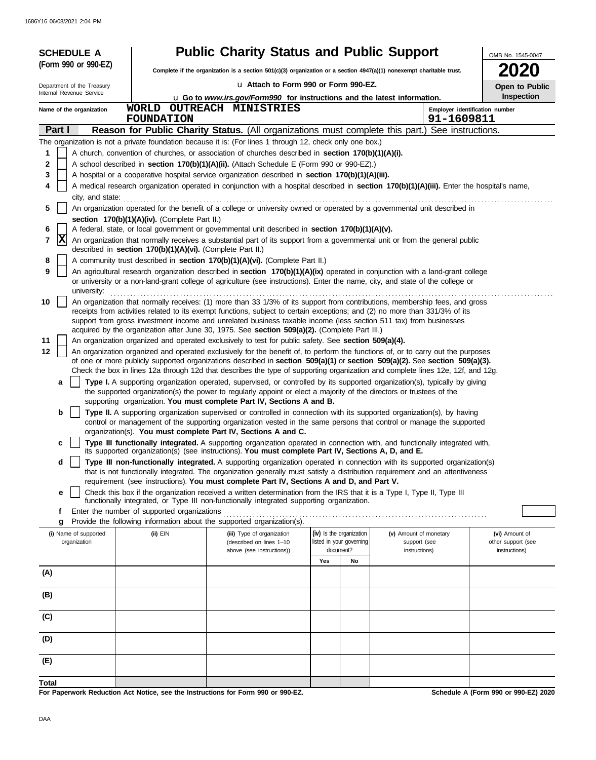| (Form 990 or 990-EZ)<br>ZUZ0<br>Complete if the organization is a section 501(c)(3) organization or a section 4947(a)(1) nonexempt charitable trust.<br>u Attach to Form 990 or Form 990-EZ.<br>Department of the Treasury<br>Open to Public<br>Internal Revenue Service<br>Inspection<br>u Go to www.irs.gov/Form990 for instructions and the latest information.<br>WORLD OUTREACH MINISTRIES<br>Employer identification number<br>Name of the organization<br><b>FOUNDATION</b><br>91-1609811<br>Part I<br>Reason for Public Charity Status. (All organizations must complete this part.) See instructions.<br>The organization is not a private foundation because it is: (For lines 1 through 12, check only one box.)<br>A church, convention of churches, or association of churches described in section 170(b)(1)(A)(i).<br>1<br>2<br>A school described in <b>section 170(b)(1)(A)(ii).</b> (Attach Schedule E (Form 990 or 990-EZ).)<br>3<br>A hospital or a cooperative hospital service organization described in section 170(b)(1)(A)(iii).<br>A medical research organization operated in conjunction with a hospital described in section 170(b)(1)(A)(iii). Enter the hospital's name,<br>4<br>city, and state:<br>An organization operated for the benefit of a college or university owned or operated by a governmental unit described in<br>5<br>section 170(b)(1)(A)(iv). (Complete Part II.)<br>A federal, state, or local government or governmental unit described in section 170(b)(1)(A)(v).<br>6<br> X<br>7<br>An organization that normally receives a substantial part of its support from a governmental unit or from the general public<br>described in section 170(b)(1)(A)(vi). (Complete Part II.)<br>A community trust described in section 170(b)(1)(A)(vi). (Complete Part II.)<br>8<br>9<br>An agricultural research organization described in section 170(b)(1)(A)(ix) operated in conjunction with a land-grant college<br>or university or a non-land-grant college of agriculture (see instructions). Enter the name, city, and state of the college or<br>university:<br>An organization that normally receives: (1) more than 33 1/3% of its support from contributions, membership fees, and gross<br>10<br>receipts from activities related to its exempt functions, subject to certain exceptions; and (2) no more than 331/3% of its<br>support from gross investment income and unrelated business taxable income (less section 511 tax) from businesses<br>acquired by the organization after June 30, 1975. See section 509(a)(2). (Complete Part III.)<br>An organization organized and operated exclusively to test for public safety. See section 509(a)(4).<br>11<br>12<br>An organization organized and operated exclusively for the benefit of, to perform the functions of, or to carry out the purposes<br>of one or more publicly supported organizations described in section 509(a)(1) or section 509(a)(2). See section 509(a)(3).<br>Check the box in lines 12a through 12d that describes the type of supporting organization and complete lines 12e, 12f, and 12g.<br>Type I. A supporting organization operated, supervised, or controlled by its supported organization(s), typically by giving<br>a<br>the supported organization(s) the power to regularly appoint or elect a majority of the directors or trustees of the<br>supporting organization. You must complete Part IV, Sections A and B.<br>Type II. A supporting organization supervised or controlled in connection with its supported organization(s), by having<br>b<br>control or management of the supporting organization vested in the same persons that control or manage the supported<br>organization(s). You must complete Part IV, Sections A and C.<br>Type III functionally integrated. A supporting organization operated in connection with, and functionally integrated with,<br>c<br>its supported organization(s) (see instructions). You must complete Part IV, Sections A, D, and E.<br>Type III non-functionally integrated. A supporting organization operated in connection with its supported organization(s)<br>d<br>that is not functionally integrated. The organization generally must satisfy a distribution requirement and an attentiveness<br>requirement (see instructions). You must complete Part IV, Sections A and D, and Part V.<br>Check this box if the organization received a written determination from the IRS that it is a Type I, Type II, Type III<br>е<br>functionally integrated, or Type III non-functionally integrated supporting organization.<br>Enter the number of supported organizations<br>f<br>Provide the following information about the supported organization(s).<br>g<br>(iv) Is the organization<br>(i) Name of supported<br>(ii) EIN<br>(v) Amount of monetary<br>(vi) Amount of<br>(iii) Type of organization<br>listed in your governing<br>organization<br>support (see<br>other support (see<br>(described on lines 1-10<br>above (see instructions))<br>document?<br>instructions)<br>instructions)<br>Yes<br>No<br>(A) | <b>SCHEDULE A</b> |  | <b>Public Charity Status and Public Support</b> |  |  |  |  | OMB No. 1545-0047 |  |  |
|-------------------------------------------------------------------------------------------------------------------------------------------------------------------------------------------------------------------------------------------------------------------------------------------------------------------------------------------------------------------------------------------------------------------------------------------------------------------------------------------------------------------------------------------------------------------------------------------------------------------------------------------------------------------------------------------------------------------------------------------------------------------------------------------------------------------------------------------------------------------------------------------------------------------------------------------------------------------------------------------------------------------------------------------------------------------------------------------------------------------------------------------------------------------------------------------------------------------------------------------------------------------------------------------------------------------------------------------------------------------------------------------------------------------------------------------------------------------------------------------------------------------------------------------------------------------------------------------------------------------------------------------------------------------------------------------------------------------------------------------------------------------------------------------------------------------------------------------------------------------------------------------------------------------------------------------------------------------------------------------------------------------------------------------------------------------------------------------------------------------------------------------------------------------------------------------------------------------------------------------------------------------------------------------------------------------------------------------------------------------------------------------------------------------------------------------------------------------------------------------------------------------------------------------------------------------------------------------------------------------------------------------------------------------------------------------------------------------------------------------------------------------------------------------------------------------------------------------------------------------------------------------------------------------------------------------------------------------------------------------------------------------------------------------------------------------------------------------------------------------------------------------------------------------------------------------------------------------------------------------------------------------------------------------------------------------------------------------------------------------------------------------------------------------------------------------------------------------------------------------------------------------------------------------------------------------------------------------------------------------------------------------------------------------------------------------------------------------------------------------------------------------------------------------------------------------------------------------------------------------------------------------------------------------------------------------------------------------------------------------------------------------------------------------------------------------------------------------------------------------------------------------------------------------------------------------------------------------------------------------------------------------------------------------------------------------------------------------------------------------------------------------------------------------------------------------------------------------------------------------------------------------------------------------------------------------------------------------------------------------------------------------------------------------------------------------------------------------------------------------------------------------------------------------------------------------------------------------------------------------------------------------------------------------------------------------------------------------------------------------------------------------------------------------------------------------------------------------------------------------------------------|-------------------|--|-------------------------------------------------|--|--|--|--|-------------------|--|--|
|                                                                                                                                                                                                                                                                                                                                                                                                                                                                                                                                                                                                                                                                                                                                                                                                                                                                                                                                                                                                                                                                                                                                                                                                                                                                                                                                                                                                                                                                                                                                                                                                                                                                                                                                                                                                                                                                                                                                                                                                                                                                                                                                                                                                                                                                                                                                                                                                                                                                                                                                                                                                                                                                                                                                                                                                                                                                                                                                                                                                                                                                                                                                                                                                                                                                                                                                                                                                                                                                                                                                                                                                                                                                                                                                                                                                                                                                                                                                                                                                                                                                                                                                                                                                                                                                                                                                                                                                                                                                                                                                                                                                                                                                                                                                                                                                                                                                                                                                                                                                                                                                                                                                     |                   |  |                                                 |  |  |  |  |                   |  |  |
|                                                                                                                                                                                                                                                                                                                                                                                                                                                                                                                                                                                                                                                                                                                                                                                                                                                                                                                                                                                                                                                                                                                                                                                                                                                                                                                                                                                                                                                                                                                                                                                                                                                                                                                                                                                                                                                                                                                                                                                                                                                                                                                                                                                                                                                                                                                                                                                                                                                                                                                                                                                                                                                                                                                                                                                                                                                                                                                                                                                                                                                                                                                                                                                                                                                                                                                                                                                                                                                                                                                                                                                                                                                                                                                                                                                                                                                                                                                                                                                                                                                                                                                                                                                                                                                                                                                                                                                                                                                                                                                                                                                                                                                                                                                                                                                                                                                                                                                                                                                                                                                                                                                                     |                   |  |                                                 |  |  |  |  |                   |  |  |
|                                                                                                                                                                                                                                                                                                                                                                                                                                                                                                                                                                                                                                                                                                                                                                                                                                                                                                                                                                                                                                                                                                                                                                                                                                                                                                                                                                                                                                                                                                                                                                                                                                                                                                                                                                                                                                                                                                                                                                                                                                                                                                                                                                                                                                                                                                                                                                                                                                                                                                                                                                                                                                                                                                                                                                                                                                                                                                                                                                                                                                                                                                                                                                                                                                                                                                                                                                                                                                                                                                                                                                                                                                                                                                                                                                                                                                                                                                                                                                                                                                                                                                                                                                                                                                                                                                                                                                                                                                                                                                                                                                                                                                                                                                                                                                                                                                                                                                                                                                                                                                                                                                                                     |                   |  |                                                 |  |  |  |  |                   |  |  |
|                                                                                                                                                                                                                                                                                                                                                                                                                                                                                                                                                                                                                                                                                                                                                                                                                                                                                                                                                                                                                                                                                                                                                                                                                                                                                                                                                                                                                                                                                                                                                                                                                                                                                                                                                                                                                                                                                                                                                                                                                                                                                                                                                                                                                                                                                                                                                                                                                                                                                                                                                                                                                                                                                                                                                                                                                                                                                                                                                                                                                                                                                                                                                                                                                                                                                                                                                                                                                                                                                                                                                                                                                                                                                                                                                                                                                                                                                                                                                                                                                                                                                                                                                                                                                                                                                                                                                                                                                                                                                                                                                                                                                                                                                                                                                                                                                                                                                                                                                                                                                                                                                                                                     |                   |  |                                                 |  |  |  |  |                   |  |  |
|                                                                                                                                                                                                                                                                                                                                                                                                                                                                                                                                                                                                                                                                                                                                                                                                                                                                                                                                                                                                                                                                                                                                                                                                                                                                                                                                                                                                                                                                                                                                                                                                                                                                                                                                                                                                                                                                                                                                                                                                                                                                                                                                                                                                                                                                                                                                                                                                                                                                                                                                                                                                                                                                                                                                                                                                                                                                                                                                                                                                                                                                                                                                                                                                                                                                                                                                                                                                                                                                                                                                                                                                                                                                                                                                                                                                                                                                                                                                                                                                                                                                                                                                                                                                                                                                                                                                                                                                                                                                                                                                                                                                                                                                                                                                                                                                                                                                                                                                                                                                                                                                                                                                     |                   |  |                                                 |  |  |  |  |                   |  |  |
|                                                                                                                                                                                                                                                                                                                                                                                                                                                                                                                                                                                                                                                                                                                                                                                                                                                                                                                                                                                                                                                                                                                                                                                                                                                                                                                                                                                                                                                                                                                                                                                                                                                                                                                                                                                                                                                                                                                                                                                                                                                                                                                                                                                                                                                                                                                                                                                                                                                                                                                                                                                                                                                                                                                                                                                                                                                                                                                                                                                                                                                                                                                                                                                                                                                                                                                                                                                                                                                                                                                                                                                                                                                                                                                                                                                                                                                                                                                                                                                                                                                                                                                                                                                                                                                                                                                                                                                                                                                                                                                                                                                                                                                                                                                                                                                                                                                                                                                                                                                                                                                                                                                                     |                   |  |                                                 |  |  |  |  |                   |  |  |
|                                                                                                                                                                                                                                                                                                                                                                                                                                                                                                                                                                                                                                                                                                                                                                                                                                                                                                                                                                                                                                                                                                                                                                                                                                                                                                                                                                                                                                                                                                                                                                                                                                                                                                                                                                                                                                                                                                                                                                                                                                                                                                                                                                                                                                                                                                                                                                                                                                                                                                                                                                                                                                                                                                                                                                                                                                                                                                                                                                                                                                                                                                                                                                                                                                                                                                                                                                                                                                                                                                                                                                                                                                                                                                                                                                                                                                                                                                                                                                                                                                                                                                                                                                                                                                                                                                                                                                                                                                                                                                                                                                                                                                                                                                                                                                                                                                                                                                                                                                                                                                                                                                                                     |                   |  |                                                 |  |  |  |  |                   |  |  |
|                                                                                                                                                                                                                                                                                                                                                                                                                                                                                                                                                                                                                                                                                                                                                                                                                                                                                                                                                                                                                                                                                                                                                                                                                                                                                                                                                                                                                                                                                                                                                                                                                                                                                                                                                                                                                                                                                                                                                                                                                                                                                                                                                                                                                                                                                                                                                                                                                                                                                                                                                                                                                                                                                                                                                                                                                                                                                                                                                                                                                                                                                                                                                                                                                                                                                                                                                                                                                                                                                                                                                                                                                                                                                                                                                                                                                                                                                                                                                                                                                                                                                                                                                                                                                                                                                                                                                                                                                                                                                                                                                                                                                                                                                                                                                                                                                                                                                                                                                                                                                                                                                                                                     |                   |  |                                                 |  |  |  |  |                   |  |  |
|                                                                                                                                                                                                                                                                                                                                                                                                                                                                                                                                                                                                                                                                                                                                                                                                                                                                                                                                                                                                                                                                                                                                                                                                                                                                                                                                                                                                                                                                                                                                                                                                                                                                                                                                                                                                                                                                                                                                                                                                                                                                                                                                                                                                                                                                                                                                                                                                                                                                                                                                                                                                                                                                                                                                                                                                                                                                                                                                                                                                                                                                                                                                                                                                                                                                                                                                                                                                                                                                                                                                                                                                                                                                                                                                                                                                                                                                                                                                                                                                                                                                                                                                                                                                                                                                                                                                                                                                                                                                                                                                                                                                                                                                                                                                                                                                                                                                                                                                                                                                                                                                                                                                     |                   |  |                                                 |  |  |  |  |                   |  |  |
|                                                                                                                                                                                                                                                                                                                                                                                                                                                                                                                                                                                                                                                                                                                                                                                                                                                                                                                                                                                                                                                                                                                                                                                                                                                                                                                                                                                                                                                                                                                                                                                                                                                                                                                                                                                                                                                                                                                                                                                                                                                                                                                                                                                                                                                                                                                                                                                                                                                                                                                                                                                                                                                                                                                                                                                                                                                                                                                                                                                                                                                                                                                                                                                                                                                                                                                                                                                                                                                                                                                                                                                                                                                                                                                                                                                                                                                                                                                                                                                                                                                                                                                                                                                                                                                                                                                                                                                                                                                                                                                                                                                                                                                                                                                                                                                                                                                                                                                                                                                                                                                                                                                                     |                   |  |                                                 |  |  |  |  |                   |  |  |
|                                                                                                                                                                                                                                                                                                                                                                                                                                                                                                                                                                                                                                                                                                                                                                                                                                                                                                                                                                                                                                                                                                                                                                                                                                                                                                                                                                                                                                                                                                                                                                                                                                                                                                                                                                                                                                                                                                                                                                                                                                                                                                                                                                                                                                                                                                                                                                                                                                                                                                                                                                                                                                                                                                                                                                                                                                                                                                                                                                                                                                                                                                                                                                                                                                                                                                                                                                                                                                                                                                                                                                                                                                                                                                                                                                                                                                                                                                                                                                                                                                                                                                                                                                                                                                                                                                                                                                                                                                                                                                                                                                                                                                                                                                                                                                                                                                                                                                                                                                                                                                                                                                                                     |                   |  |                                                 |  |  |  |  |                   |  |  |
|                                                                                                                                                                                                                                                                                                                                                                                                                                                                                                                                                                                                                                                                                                                                                                                                                                                                                                                                                                                                                                                                                                                                                                                                                                                                                                                                                                                                                                                                                                                                                                                                                                                                                                                                                                                                                                                                                                                                                                                                                                                                                                                                                                                                                                                                                                                                                                                                                                                                                                                                                                                                                                                                                                                                                                                                                                                                                                                                                                                                                                                                                                                                                                                                                                                                                                                                                                                                                                                                                                                                                                                                                                                                                                                                                                                                                                                                                                                                                                                                                                                                                                                                                                                                                                                                                                                                                                                                                                                                                                                                                                                                                                                                                                                                                                                                                                                                                                                                                                                                                                                                                                                                     |                   |  |                                                 |  |  |  |  |                   |  |  |
|                                                                                                                                                                                                                                                                                                                                                                                                                                                                                                                                                                                                                                                                                                                                                                                                                                                                                                                                                                                                                                                                                                                                                                                                                                                                                                                                                                                                                                                                                                                                                                                                                                                                                                                                                                                                                                                                                                                                                                                                                                                                                                                                                                                                                                                                                                                                                                                                                                                                                                                                                                                                                                                                                                                                                                                                                                                                                                                                                                                                                                                                                                                                                                                                                                                                                                                                                                                                                                                                                                                                                                                                                                                                                                                                                                                                                                                                                                                                                                                                                                                                                                                                                                                                                                                                                                                                                                                                                                                                                                                                                                                                                                                                                                                                                                                                                                                                                                                                                                                                                                                                                                                                     |                   |  |                                                 |  |  |  |  |                   |  |  |
|                                                                                                                                                                                                                                                                                                                                                                                                                                                                                                                                                                                                                                                                                                                                                                                                                                                                                                                                                                                                                                                                                                                                                                                                                                                                                                                                                                                                                                                                                                                                                                                                                                                                                                                                                                                                                                                                                                                                                                                                                                                                                                                                                                                                                                                                                                                                                                                                                                                                                                                                                                                                                                                                                                                                                                                                                                                                                                                                                                                                                                                                                                                                                                                                                                                                                                                                                                                                                                                                                                                                                                                                                                                                                                                                                                                                                                                                                                                                                                                                                                                                                                                                                                                                                                                                                                                                                                                                                                                                                                                                                                                                                                                                                                                                                                                                                                                                                                                                                                                                                                                                                                                                     |                   |  |                                                 |  |  |  |  |                   |  |  |
|                                                                                                                                                                                                                                                                                                                                                                                                                                                                                                                                                                                                                                                                                                                                                                                                                                                                                                                                                                                                                                                                                                                                                                                                                                                                                                                                                                                                                                                                                                                                                                                                                                                                                                                                                                                                                                                                                                                                                                                                                                                                                                                                                                                                                                                                                                                                                                                                                                                                                                                                                                                                                                                                                                                                                                                                                                                                                                                                                                                                                                                                                                                                                                                                                                                                                                                                                                                                                                                                                                                                                                                                                                                                                                                                                                                                                                                                                                                                                                                                                                                                                                                                                                                                                                                                                                                                                                                                                                                                                                                                                                                                                                                                                                                                                                                                                                                                                                                                                                                                                                                                                                                                     |                   |  |                                                 |  |  |  |  |                   |  |  |
|                                                                                                                                                                                                                                                                                                                                                                                                                                                                                                                                                                                                                                                                                                                                                                                                                                                                                                                                                                                                                                                                                                                                                                                                                                                                                                                                                                                                                                                                                                                                                                                                                                                                                                                                                                                                                                                                                                                                                                                                                                                                                                                                                                                                                                                                                                                                                                                                                                                                                                                                                                                                                                                                                                                                                                                                                                                                                                                                                                                                                                                                                                                                                                                                                                                                                                                                                                                                                                                                                                                                                                                                                                                                                                                                                                                                                                                                                                                                                                                                                                                                                                                                                                                                                                                                                                                                                                                                                                                                                                                                                                                                                                                                                                                                                                                                                                                                                                                                                                                                                                                                                                                                     |                   |  |                                                 |  |  |  |  |                   |  |  |
|                                                                                                                                                                                                                                                                                                                                                                                                                                                                                                                                                                                                                                                                                                                                                                                                                                                                                                                                                                                                                                                                                                                                                                                                                                                                                                                                                                                                                                                                                                                                                                                                                                                                                                                                                                                                                                                                                                                                                                                                                                                                                                                                                                                                                                                                                                                                                                                                                                                                                                                                                                                                                                                                                                                                                                                                                                                                                                                                                                                                                                                                                                                                                                                                                                                                                                                                                                                                                                                                                                                                                                                                                                                                                                                                                                                                                                                                                                                                                                                                                                                                                                                                                                                                                                                                                                                                                                                                                                                                                                                                                                                                                                                                                                                                                                                                                                                                                                                                                                                                                                                                                                                                     |                   |  |                                                 |  |  |  |  |                   |  |  |
|                                                                                                                                                                                                                                                                                                                                                                                                                                                                                                                                                                                                                                                                                                                                                                                                                                                                                                                                                                                                                                                                                                                                                                                                                                                                                                                                                                                                                                                                                                                                                                                                                                                                                                                                                                                                                                                                                                                                                                                                                                                                                                                                                                                                                                                                                                                                                                                                                                                                                                                                                                                                                                                                                                                                                                                                                                                                                                                                                                                                                                                                                                                                                                                                                                                                                                                                                                                                                                                                                                                                                                                                                                                                                                                                                                                                                                                                                                                                                                                                                                                                                                                                                                                                                                                                                                                                                                                                                                                                                                                                                                                                                                                                                                                                                                                                                                                                                                                                                                                                                                                                                                                                     |                   |  |                                                 |  |  |  |  |                   |  |  |
|                                                                                                                                                                                                                                                                                                                                                                                                                                                                                                                                                                                                                                                                                                                                                                                                                                                                                                                                                                                                                                                                                                                                                                                                                                                                                                                                                                                                                                                                                                                                                                                                                                                                                                                                                                                                                                                                                                                                                                                                                                                                                                                                                                                                                                                                                                                                                                                                                                                                                                                                                                                                                                                                                                                                                                                                                                                                                                                                                                                                                                                                                                                                                                                                                                                                                                                                                                                                                                                                                                                                                                                                                                                                                                                                                                                                                                                                                                                                                                                                                                                                                                                                                                                                                                                                                                                                                                                                                                                                                                                                                                                                                                                                                                                                                                                                                                                                                                                                                                                                                                                                                                                                     |                   |  |                                                 |  |  |  |  |                   |  |  |
|                                                                                                                                                                                                                                                                                                                                                                                                                                                                                                                                                                                                                                                                                                                                                                                                                                                                                                                                                                                                                                                                                                                                                                                                                                                                                                                                                                                                                                                                                                                                                                                                                                                                                                                                                                                                                                                                                                                                                                                                                                                                                                                                                                                                                                                                                                                                                                                                                                                                                                                                                                                                                                                                                                                                                                                                                                                                                                                                                                                                                                                                                                                                                                                                                                                                                                                                                                                                                                                                                                                                                                                                                                                                                                                                                                                                                                                                                                                                                                                                                                                                                                                                                                                                                                                                                                                                                                                                                                                                                                                                                                                                                                                                                                                                                                                                                                                                                                                                                                                                                                                                                                                                     |                   |  |                                                 |  |  |  |  |                   |  |  |
|                                                                                                                                                                                                                                                                                                                                                                                                                                                                                                                                                                                                                                                                                                                                                                                                                                                                                                                                                                                                                                                                                                                                                                                                                                                                                                                                                                                                                                                                                                                                                                                                                                                                                                                                                                                                                                                                                                                                                                                                                                                                                                                                                                                                                                                                                                                                                                                                                                                                                                                                                                                                                                                                                                                                                                                                                                                                                                                                                                                                                                                                                                                                                                                                                                                                                                                                                                                                                                                                                                                                                                                                                                                                                                                                                                                                                                                                                                                                                                                                                                                                                                                                                                                                                                                                                                                                                                                                                                                                                                                                                                                                                                                                                                                                                                                                                                                                                                                                                                                                                                                                                                                                     |                   |  |                                                 |  |  |  |  |                   |  |  |
|                                                                                                                                                                                                                                                                                                                                                                                                                                                                                                                                                                                                                                                                                                                                                                                                                                                                                                                                                                                                                                                                                                                                                                                                                                                                                                                                                                                                                                                                                                                                                                                                                                                                                                                                                                                                                                                                                                                                                                                                                                                                                                                                                                                                                                                                                                                                                                                                                                                                                                                                                                                                                                                                                                                                                                                                                                                                                                                                                                                                                                                                                                                                                                                                                                                                                                                                                                                                                                                                                                                                                                                                                                                                                                                                                                                                                                                                                                                                                                                                                                                                                                                                                                                                                                                                                                                                                                                                                                                                                                                                                                                                                                                                                                                                                                                                                                                                                                                                                                                                                                                                                                                                     |                   |  |                                                 |  |  |  |  |                   |  |  |
|                                                                                                                                                                                                                                                                                                                                                                                                                                                                                                                                                                                                                                                                                                                                                                                                                                                                                                                                                                                                                                                                                                                                                                                                                                                                                                                                                                                                                                                                                                                                                                                                                                                                                                                                                                                                                                                                                                                                                                                                                                                                                                                                                                                                                                                                                                                                                                                                                                                                                                                                                                                                                                                                                                                                                                                                                                                                                                                                                                                                                                                                                                                                                                                                                                                                                                                                                                                                                                                                                                                                                                                                                                                                                                                                                                                                                                                                                                                                                                                                                                                                                                                                                                                                                                                                                                                                                                                                                                                                                                                                                                                                                                                                                                                                                                                                                                                                                                                                                                                                                                                                                                                                     |                   |  |                                                 |  |  |  |  |                   |  |  |
|                                                                                                                                                                                                                                                                                                                                                                                                                                                                                                                                                                                                                                                                                                                                                                                                                                                                                                                                                                                                                                                                                                                                                                                                                                                                                                                                                                                                                                                                                                                                                                                                                                                                                                                                                                                                                                                                                                                                                                                                                                                                                                                                                                                                                                                                                                                                                                                                                                                                                                                                                                                                                                                                                                                                                                                                                                                                                                                                                                                                                                                                                                                                                                                                                                                                                                                                                                                                                                                                                                                                                                                                                                                                                                                                                                                                                                                                                                                                                                                                                                                                                                                                                                                                                                                                                                                                                                                                                                                                                                                                                                                                                                                                                                                                                                                                                                                                                                                                                                                                                                                                                                                                     |                   |  |                                                 |  |  |  |  |                   |  |  |
|                                                                                                                                                                                                                                                                                                                                                                                                                                                                                                                                                                                                                                                                                                                                                                                                                                                                                                                                                                                                                                                                                                                                                                                                                                                                                                                                                                                                                                                                                                                                                                                                                                                                                                                                                                                                                                                                                                                                                                                                                                                                                                                                                                                                                                                                                                                                                                                                                                                                                                                                                                                                                                                                                                                                                                                                                                                                                                                                                                                                                                                                                                                                                                                                                                                                                                                                                                                                                                                                                                                                                                                                                                                                                                                                                                                                                                                                                                                                                                                                                                                                                                                                                                                                                                                                                                                                                                                                                                                                                                                                                                                                                                                                                                                                                                                                                                                                                                                                                                                                                                                                                                                                     |                   |  |                                                 |  |  |  |  |                   |  |  |
|                                                                                                                                                                                                                                                                                                                                                                                                                                                                                                                                                                                                                                                                                                                                                                                                                                                                                                                                                                                                                                                                                                                                                                                                                                                                                                                                                                                                                                                                                                                                                                                                                                                                                                                                                                                                                                                                                                                                                                                                                                                                                                                                                                                                                                                                                                                                                                                                                                                                                                                                                                                                                                                                                                                                                                                                                                                                                                                                                                                                                                                                                                                                                                                                                                                                                                                                                                                                                                                                                                                                                                                                                                                                                                                                                                                                                                                                                                                                                                                                                                                                                                                                                                                                                                                                                                                                                                                                                                                                                                                                                                                                                                                                                                                                                                                                                                                                                                                                                                                                                                                                                                                                     |                   |  |                                                 |  |  |  |  |                   |  |  |
|                                                                                                                                                                                                                                                                                                                                                                                                                                                                                                                                                                                                                                                                                                                                                                                                                                                                                                                                                                                                                                                                                                                                                                                                                                                                                                                                                                                                                                                                                                                                                                                                                                                                                                                                                                                                                                                                                                                                                                                                                                                                                                                                                                                                                                                                                                                                                                                                                                                                                                                                                                                                                                                                                                                                                                                                                                                                                                                                                                                                                                                                                                                                                                                                                                                                                                                                                                                                                                                                                                                                                                                                                                                                                                                                                                                                                                                                                                                                                                                                                                                                                                                                                                                                                                                                                                                                                                                                                                                                                                                                                                                                                                                                                                                                                                                                                                                                                                                                                                                                                                                                                                                                     |                   |  |                                                 |  |  |  |  |                   |  |  |
|                                                                                                                                                                                                                                                                                                                                                                                                                                                                                                                                                                                                                                                                                                                                                                                                                                                                                                                                                                                                                                                                                                                                                                                                                                                                                                                                                                                                                                                                                                                                                                                                                                                                                                                                                                                                                                                                                                                                                                                                                                                                                                                                                                                                                                                                                                                                                                                                                                                                                                                                                                                                                                                                                                                                                                                                                                                                                                                                                                                                                                                                                                                                                                                                                                                                                                                                                                                                                                                                                                                                                                                                                                                                                                                                                                                                                                                                                                                                                                                                                                                                                                                                                                                                                                                                                                                                                                                                                                                                                                                                                                                                                                                                                                                                                                                                                                                                                                                                                                                                                                                                                                                                     |                   |  |                                                 |  |  |  |  |                   |  |  |
|                                                                                                                                                                                                                                                                                                                                                                                                                                                                                                                                                                                                                                                                                                                                                                                                                                                                                                                                                                                                                                                                                                                                                                                                                                                                                                                                                                                                                                                                                                                                                                                                                                                                                                                                                                                                                                                                                                                                                                                                                                                                                                                                                                                                                                                                                                                                                                                                                                                                                                                                                                                                                                                                                                                                                                                                                                                                                                                                                                                                                                                                                                                                                                                                                                                                                                                                                                                                                                                                                                                                                                                                                                                                                                                                                                                                                                                                                                                                                                                                                                                                                                                                                                                                                                                                                                                                                                                                                                                                                                                                                                                                                                                                                                                                                                                                                                                                                                                                                                                                                                                                                                                                     |                   |  |                                                 |  |  |  |  |                   |  |  |
|                                                                                                                                                                                                                                                                                                                                                                                                                                                                                                                                                                                                                                                                                                                                                                                                                                                                                                                                                                                                                                                                                                                                                                                                                                                                                                                                                                                                                                                                                                                                                                                                                                                                                                                                                                                                                                                                                                                                                                                                                                                                                                                                                                                                                                                                                                                                                                                                                                                                                                                                                                                                                                                                                                                                                                                                                                                                                                                                                                                                                                                                                                                                                                                                                                                                                                                                                                                                                                                                                                                                                                                                                                                                                                                                                                                                                                                                                                                                                                                                                                                                                                                                                                                                                                                                                                                                                                                                                                                                                                                                                                                                                                                                                                                                                                                                                                                                                                                                                                                                                                                                                                                                     |                   |  |                                                 |  |  |  |  |                   |  |  |
|                                                                                                                                                                                                                                                                                                                                                                                                                                                                                                                                                                                                                                                                                                                                                                                                                                                                                                                                                                                                                                                                                                                                                                                                                                                                                                                                                                                                                                                                                                                                                                                                                                                                                                                                                                                                                                                                                                                                                                                                                                                                                                                                                                                                                                                                                                                                                                                                                                                                                                                                                                                                                                                                                                                                                                                                                                                                                                                                                                                                                                                                                                                                                                                                                                                                                                                                                                                                                                                                                                                                                                                                                                                                                                                                                                                                                                                                                                                                                                                                                                                                                                                                                                                                                                                                                                                                                                                                                                                                                                                                                                                                                                                                                                                                                                                                                                                                                                                                                                                                                                                                                                                                     |                   |  |                                                 |  |  |  |  |                   |  |  |
|                                                                                                                                                                                                                                                                                                                                                                                                                                                                                                                                                                                                                                                                                                                                                                                                                                                                                                                                                                                                                                                                                                                                                                                                                                                                                                                                                                                                                                                                                                                                                                                                                                                                                                                                                                                                                                                                                                                                                                                                                                                                                                                                                                                                                                                                                                                                                                                                                                                                                                                                                                                                                                                                                                                                                                                                                                                                                                                                                                                                                                                                                                                                                                                                                                                                                                                                                                                                                                                                                                                                                                                                                                                                                                                                                                                                                                                                                                                                                                                                                                                                                                                                                                                                                                                                                                                                                                                                                                                                                                                                                                                                                                                                                                                                                                                                                                                                                                                                                                                                                                                                                                                                     |                   |  |                                                 |  |  |  |  |                   |  |  |
|                                                                                                                                                                                                                                                                                                                                                                                                                                                                                                                                                                                                                                                                                                                                                                                                                                                                                                                                                                                                                                                                                                                                                                                                                                                                                                                                                                                                                                                                                                                                                                                                                                                                                                                                                                                                                                                                                                                                                                                                                                                                                                                                                                                                                                                                                                                                                                                                                                                                                                                                                                                                                                                                                                                                                                                                                                                                                                                                                                                                                                                                                                                                                                                                                                                                                                                                                                                                                                                                                                                                                                                                                                                                                                                                                                                                                                                                                                                                                                                                                                                                                                                                                                                                                                                                                                                                                                                                                                                                                                                                                                                                                                                                                                                                                                                                                                                                                                                                                                                                                                                                                                                                     |                   |  |                                                 |  |  |  |  |                   |  |  |
|                                                                                                                                                                                                                                                                                                                                                                                                                                                                                                                                                                                                                                                                                                                                                                                                                                                                                                                                                                                                                                                                                                                                                                                                                                                                                                                                                                                                                                                                                                                                                                                                                                                                                                                                                                                                                                                                                                                                                                                                                                                                                                                                                                                                                                                                                                                                                                                                                                                                                                                                                                                                                                                                                                                                                                                                                                                                                                                                                                                                                                                                                                                                                                                                                                                                                                                                                                                                                                                                                                                                                                                                                                                                                                                                                                                                                                                                                                                                                                                                                                                                                                                                                                                                                                                                                                                                                                                                                                                                                                                                                                                                                                                                                                                                                                                                                                                                                                                                                                                                                                                                                                                                     |                   |  |                                                 |  |  |  |  |                   |  |  |
|                                                                                                                                                                                                                                                                                                                                                                                                                                                                                                                                                                                                                                                                                                                                                                                                                                                                                                                                                                                                                                                                                                                                                                                                                                                                                                                                                                                                                                                                                                                                                                                                                                                                                                                                                                                                                                                                                                                                                                                                                                                                                                                                                                                                                                                                                                                                                                                                                                                                                                                                                                                                                                                                                                                                                                                                                                                                                                                                                                                                                                                                                                                                                                                                                                                                                                                                                                                                                                                                                                                                                                                                                                                                                                                                                                                                                                                                                                                                                                                                                                                                                                                                                                                                                                                                                                                                                                                                                                                                                                                                                                                                                                                                                                                                                                                                                                                                                                                                                                                                                                                                                                                                     |                   |  |                                                 |  |  |  |  |                   |  |  |
|                                                                                                                                                                                                                                                                                                                                                                                                                                                                                                                                                                                                                                                                                                                                                                                                                                                                                                                                                                                                                                                                                                                                                                                                                                                                                                                                                                                                                                                                                                                                                                                                                                                                                                                                                                                                                                                                                                                                                                                                                                                                                                                                                                                                                                                                                                                                                                                                                                                                                                                                                                                                                                                                                                                                                                                                                                                                                                                                                                                                                                                                                                                                                                                                                                                                                                                                                                                                                                                                                                                                                                                                                                                                                                                                                                                                                                                                                                                                                                                                                                                                                                                                                                                                                                                                                                                                                                                                                                                                                                                                                                                                                                                                                                                                                                                                                                                                                                                                                                                                                                                                                                                                     |                   |  |                                                 |  |  |  |  |                   |  |  |
|                                                                                                                                                                                                                                                                                                                                                                                                                                                                                                                                                                                                                                                                                                                                                                                                                                                                                                                                                                                                                                                                                                                                                                                                                                                                                                                                                                                                                                                                                                                                                                                                                                                                                                                                                                                                                                                                                                                                                                                                                                                                                                                                                                                                                                                                                                                                                                                                                                                                                                                                                                                                                                                                                                                                                                                                                                                                                                                                                                                                                                                                                                                                                                                                                                                                                                                                                                                                                                                                                                                                                                                                                                                                                                                                                                                                                                                                                                                                                                                                                                                                                                                                                                                                                                                                                                                                                                                                                                                                                                                                                                                                                                                                                                                                                                                                                                                                                                                                                                                                                                                                                                                                     |                   |  |                                                 |  |  |  |  |                   |  |  |
| (B)                                                                                                                                                                                                                                                                                                                                                                                                                                                                                                                                                                                                                                                                                                                                                                                                                                                                                                                                                                                                                                                                                                                                                                                                                                                                                                                                                                                                                                                                                                                                                                                                                                                                                                                                                                                                                                                                                                                                                                                                                                                                                                                                                                                                                                                                                                                                                                                                                                                                                                                                                                                                                                                                                                                                                                                                                                                                                                                                                                                                                                                                                                                                                                                                                                                                                                                                                                                                                                                                                                                                                                                                                                                                                                                                                                                                                                                                                                                                                                                                                                                                                                                                                                                                                                                                                                                                                                                                                                                                                                                                                                                                                                                                                                                                                                                                                                                                                                                                                                                                                                                                                                                                 |                   |  |                                                 |  |  |  |  |                   |  |  |
| (C)                                                                                                                                                                                                                                                                                                                                                                                                                                                                                                                                                                                                                                                                                                                                                                                                                                                                                                                                                                                                                                                                                                                                                                                                                                                                                                                                                                                                                                                                                                                                                                                                                                                                                                                                                                                                                                                                                                                                                                                                                                                                                                                                                                                                                                                                                                                                                                                                                                                                                                                                                                                                                                                                                                                                                                                                                                                                                                                                                                                                                                                                                                                                                                                                                                                                                                                                                                                                                                                                                                                                                                                                                                                                                                                                                                                                                                                                                                                                                                                                                                                                                                                                                                                                                                                                                                                                                                                                                                                                                                                                                                                                                                                                                                                                                                                                                                                                                                                                                                                                                                                                                                                                 |                   |  |                                                 |  |  |  |  |                   |  |  |
|                                                                                                                                                                                                                                                                                                                                                                                                                                                                                                                                                                                                                                                                                                                                                                                                                                                                                                                                                                                                                                                                                                                                                                                                                                                                                                                                                                                                                                                                                                                                                                                                                                                                                                                                                                                                                                                                                                                                                                                                                                                                                                                                                                                                                                                                                                                                                                                                                                                                                                                                                                                                                                                                                                                                                                                                                                                                                                                                                                                                                                                                                                                                                                                                                                                                                                                                                                                                                                                                                                                                                                                                                                                                                                                                                                                                                                                                                                                                                                                                                                                                                                                                                                                                                                                                                                                                                                                                                                                                                                                                                                                                                                                                                                                                                                                                                                                                                                                                                                                                                                                                                                                                     |                   |  |                                                 |  |  |  |  |                   |  |  |
| (D)                                                                                                                                                                                                                                                                                                                                                                                                                                                                                                                                                                                                                                                                                                                                                                                                                                                                                                                                                                                                                                                                                                                                                                                                                                                                                                                                                                                                                                                                                                                                                                                                                                                                                                                                                                                                                                                                                                                                                                                                                                                                                                                                                                                                                                                                                                                                                                                                                                                                                                                                                                                                                                                                                                                                                                                                                                                                                                                                                                                                                                                                                                                                                                                                                                                                                                                                                                                                                                                                                                                                                                                                                                                                                                                                                                                                                                                                                                                                                                                                                                                                                                                                                                                                                                                                                                                                                                                                                                                                                                                                                                                                                                                                                                                                                                                                                                                                                                                                                                                                                                                                                                                                 |                   |  |                                                 |  |  |  |  |                   |  |  |
| (E)                                                                                                                                                                                                                                                                                                                                                                                                                                                                                                                                                                                                                                                                                                                                                                                                                                                                                                                                                                                                                                                                                                                                                                                                                                                                                                                                                                                                                                                                                                                                                                                                                                                                                                                                                                                                                                                                                                                                                                                                                                                                                                                                                                                                                                                                                                                                                                                                                                                                                                                                                                                                                                                                                                                                                                                                                                                                                                                                                                                                                                                                                                                                                                                                                                                                                                                                                                                                                                                                                                                                                                                                                                                                                                                                                                                                                                                                                                                                                                                                                                                                                                                                                                                                                                                                                                                                                                                                                                                                                                                                                                                                                                                                                                                                                                                                                                                                                                                                                                                                                                                                                                                                 |                   |  |                                                 |  |  |  |  |                   |  |  |
| Total<br>Schedule A (Form 990 or 990-EZ) 2020<br>For Paperwork Reduction Act Notice, see the Instructions for Form 990 or 990-EZ.                                                                                                                                                                                                                                                                                                                                                                                                                                                                                                                                                                                                                                                                                                                                                                                                                                                                                                                                                                                                                                                                                                                                                                                                                                                                                                                                                                                                                                                                                                                                                                                                                                                                                                                                                                                                                                                                                                                                                                                                                                                                                                                                                                                                                                                                                                                                                                                                                                                                                                                                                                                                                                                                                                                                                                                                                                                                                                                                                                                                                                                                                                                                                                                                                                                                                                                                                                                                                                                                                                                                                                                                                                                                                                                                                                                                                                                                                                                                                                                                                                                                                                                                                                                                                                                                                                                                                                                                                                                                                                                                                                                                                                                                                                                                                                                                                                                                                                                                                                                                   |                   |  |                                                 |  |  |  |  |                   |  |  |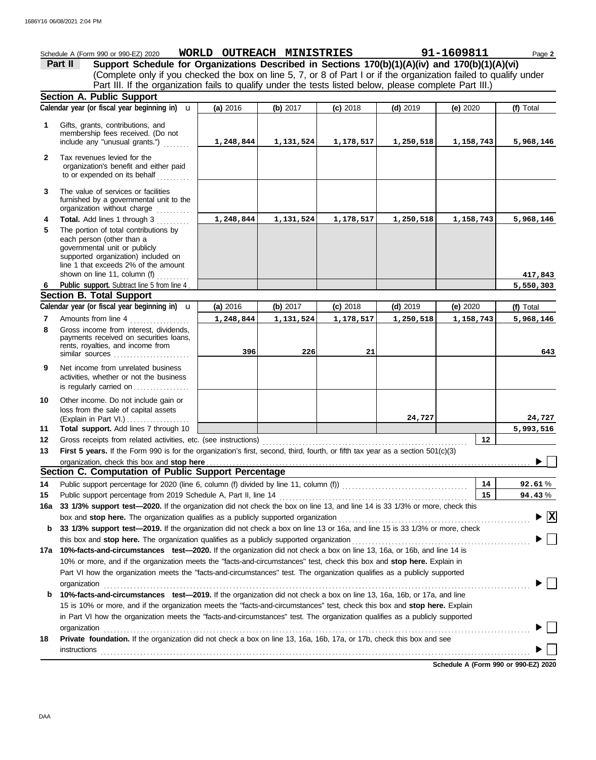|                | Schedule A (Form 990 or 990-EZ) 2020                                                                                                                                                                                                                                                                                                                         | WORLD OUTREACH MINISTRIES |           |            |            | 91-1609811 | Page 2                         |
|----------------|--------------------------------------------------------------------------------------------------------------------------------------------------------------------------------------------------------------------------------------------------------------------------------------------------------------------------------------------------------------|---------------------------|-----------|------------|------------|------------|--------------------------------|
|                | Support Schedule for Organizations Described in Sections 170(b)(1)(A)(iv) and 170(b)(1)(A)(vi)<br>Part II                                                                                                                                                                                                                                                    |                           |           |            |            |            |                                |
|                | (Complete only if you checked the box on line 5, 7, or 8 of Part I or if the organization failed to qualify under                                                                                                                                                                                                                                            |                           |           |            |            |            |                                |
|                | Part III. If the organization fails to qualify under the tests listed below, please complete Part III.)                                                                                                                                                                                                                                                      |                           |           |            |            |            |                                |
|                | Section A. Public Support                                                                                                                                                                                                                                                                                                                                    |                           |           |            |            |            |                                |
|                | Calendar year (or fiscal year beginning in) <b>u</b>                                                                                                                                                                                                                                                                                                         | (a) 2016                  | (b) 2017  | $(c)$ 2018 | $(d)$ 2019 | (e) $2020$ | (f) Total                      |
| 1              | Gifts, grants, contributions, and                                                                                                                                                                                                                                                                                                                            |                           |           |            |            |            |                                |
|                | membership fees received. (Do not<br>include any "unusual grants.")                                                                                                                                                                                                                                                                                          | 1,248,844                 | 1,131,524 | 1,178,517  | 1,250,518  | 1,158,743  | 5,968,146                      |
|                |                                                                                                                                                                                                                                                                                                                                                              |                           |           |            |            |            |                                |
| $\mathbf{2}$   | Tax revenues levied for the<br>organization's benefit and either paid                                                                                                                                                                                                                                                                                        |                           |           |            |            |            |                                |
|                | to or expended on its behalf                                                                                                                                                                                                                                                                                                                                 |                           |           |            |            |            |                                |
| 3              | The value of services or facilities                                                                                                                                                                                                                                                                                                                          |                           |           |            |            |            |                                |
|                | furnished by a governmental unit to the                                                                                                                                                                                                                                                                                                                      |                           |           |            |            |            |                                |
|                | organization without charge                                                                                                                                                                                                                                                                                                                                  |                           |           |            |            |            |                                |
| 4              | Total. Add lines 1 through 3                                                                                                                                                                                                                                                                                                                                 | 1,248,844                 | 1,131,524 | 1,178,517  | 1,250,518  | 1,158,743  | 5,968,146                      |
| 5              | The portion of total contributions by<br>each person (other than a                                                                                                                                                                                                                                                                                           |                           |           |            |            |            |                                |
|                | governmental unit or publicly                                                                                                                                                                                                                                                                                                                                |                           |           |            |            |            |                                |
|                | supported organization) included on<br>line 1 that exceeds 2% of the amount                                                                                                                                                                                                                                                                                  |                           |           |            |            |            |                                |
|                | shown on line 11, column (f) $\ldots$                                                                                                                                                                                                                                                                                                                        |                           |           |            |            |            | 417,843                        |
| 6              | Public support. Subtract line 5 from line 4                                                                                                                                                                                                                                                                                                                  |                           |           |            |            |            | 5,550,303                      |
|                | <b>Section B. Total Support</b>                                                                                                                                                                                                                                                                                                                              |                           |           |            |            |            |                                |
|                | Calendar year (or fiscal year beginning in) $\mathbf u$                                                                                                                                                                                                                                                                                                      | (a) 2016                  | (b) 2017  | $(c)$ 2018 | $(d)$ 2019 | (e) 2020   | (f) Total                      |
| $\overline{7}$ | Amounts from line 4                                                                                                                                                                                                                                                                                                                                          | 1,248,844                 | 1,131,524 | 1,178,517  | 1,250,518  | 1,158,743  | 5,968,146                      |
| 8              | Gross income from interest, dividends,                                                                                                                                                                                                                                                                                                                       |                           |           |            |            |            |                                |
|                | payments received on securities loans,<br>rents, royalties, and income from                                                                                                                                                                                                                                                                                  |                           |           |            |            |            |                                |
|                | similar sources                                                                                                                                                                                                                                                                                                                                              | 396                       | 226       | 21         |            |            | 643                            |
| 9              | Net income from unrelated business                                                                                                                                                                                                                                                                                                                           |                           |           |            |            |            |                                |
|                | activities, whether or not the business                                                                                                                                                                                                                                                                                                                      |                           |           |            |            |            |                                |
|                | is regularly carried on                                                                                                                                                                                                                                                                                                                                      |                           |           |            |            |            |                                |
| 10             | Other income. Do not include gain or                                                                                                                                                                                                                                                                                                                         |                           |           |            |            |            |                                |
|                | loss from the sale of capital assets<br>(Explain in Part VI.)                                                                                                                                                                                                                                                                                                |                           |           |            | 24,727     |            | 24,727                         |
| 11             | Total support. Add lines 7 through 10                                                                                                                                                                                                                                                                                                                        |                           |           |            |            |            | 5,993,516                      |
| 12             | Gross receipts from related activities, etc. (see instructions)                                                                                                                                                                                                                                                                                              |                           |           |            |            | 12         |                                |
| 13             | First 5 years. If the Form 990 is for the organization's first, second, third, fourth, or fifth tax year as a section 501(c)(3)                                                                                                                                                                                                                              |                           |           |            |            |            |                                |
|                |                                                                                                                                                                                                                                                                                                                                                              |                           |           |            |            |            |                                |
|                | Section C. Computation of Public Support Percentage                                                                                                                                                                                                                                                                                                          |                           |           |            |            |            |                                |
| 14             |                                                                                                                                                                                                                                                                                                                                                              |                           |           |            |            | 14         | 92.61%                         |
| 15             | Public support percentage from 2019 Schedule A, Part II, line 14                                                                                                                                                                                                                                                                                             |                           |           |            |            | 15         | 94.43%                         |
| 16a            | 33 1/3% support test-2020. If the organization did not check the box on line 13, and line 14 is 33 1/3% or more, check this<br>box and stop here. The organization qualifies as a publicly supported organization [11] content content content content content of the state of the state of the state of the state of the state of the state of the state of |                           |           |            |            |            | $\blacktriangleright$ $\mid$ X |
| b              | 33 1/3% support test-2019. If the organization did not check a box on line 13 or 16a, and line 15 is 33 1/3% or more, check                                                                                                                                                                                                                                  |                           |           |            |            |            |                                |
|                |                                                                                                                                                                                                                                                                                                                                                              |                           |           |            |            |            |                                |
|                | 17a 10%-facts-and-circumstances test-2020. If the organization did not check a box on line 13, 16a, or 16b, and line 14 is                                                                                                                                                                                                                                   |                           |           |            |            |            |                                |
|                | 10% or more, and if the organization meets the "facts-and-circumstances" test, check this box and stop here. Explain in                                                                                                                                                                                                                                      |                           |           |            |            |            |                                |
|                | Part VI how the organization meets the "facts-and-circumstances" test. The organization qualifies as a publicly supported                                                                                                                                                                                                                                    |                           |           |            |            |            |                                |
|                | organization                                                                                                                                                                                                                                                                                                                                                 |                           |           |            |            |            |                                |
| b              | 10%-facts-and-circumstances test-2019. If the organization did not check a box on line 13, 16a, 16b, or 17a, and line                                                                                                                                                                                                                                        |                           |           |            |            |            |                                |
|                | 15 is 10% or more, and if the organization meets the "facts-and-circumstances" test, check this box and stop here. Explain                                                                                                                                                                                                                                   |                           |           |            |            |            |                                |
|                | in Part VI how the organization meets the "facts-and-circumstances" test. The organization qualifies as a publicly supported                                                                                                                                                                                                                                 |                           |           |            |            |            |                                |
|                | organization                                                                                                                                                                                                                                                                                                                                                 |                           |           |            |            |            |                                |
| 18             | Private foundation. If the organization did not check a box on line 13, 16a, 16b, 17a, or 17b, check this box and see                                                                                                                                                                                                                                        |                           |           |            |            |            |                                |
|                |                                                                                                                                                                                                                                                                                                                                                              |                           |           |            |            |            |                                |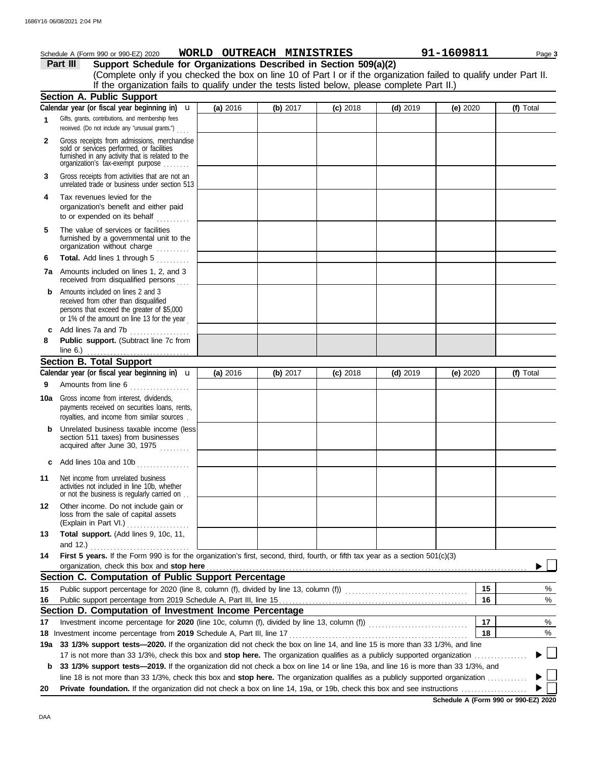|              | Schedule A (Form 990 or 990-EZ) 2020                                                                                                                                                                                                                                 | WORLD OUTREACH MINISTRIES |          |            |            | 91-1609811 | Page 3    |
|--------------|----------------------------------------------------------------------------------------------------------------------------------------------------------------------------------------------------------------------------------------------------------------------|---------------------------|----------|------------|------------|------------|-----------|
|              | Part III<br>Support Schedule for Organizations Described in Section 509(a)(2)                                                                                                                                                                                        |                           |          |            |            |            |           |
|              | (Complete only if you checked the box on line 10 of Part I or if the organization failed to qualify under Part II.                                                                                                                                                   |                           |          |            |            |            |           |
|              | If the organization fails to qualify under the tests listed below, please complete Part II.)                                                                                                                                                                         |                           |          |            |            |            |           |
|              | <b>Section A. Public Support</b>                                                                                                                                                                                                                                     |                           |          |            |            |            |           |
|              | Calendar year (or fiscal year beginning in) $\mathbf u$                                                                                                                                                                                                              | (a) 2016                  | (b) 2017 | $(c)$ 2018 | $(d)$ 2019 | (e) $2020$ | (f) Total |
| 1            | Gifts, grants, contributions, and membership fees<br>received. (Do not include any "unusual grants.")                                                                                                                                                                |                           |          |            |            |            |           |
| $\mathbf{2}$ | Gross receipts from admissions, merchandise<br>sold or services performed, or facilities<br>furnished in any activity that is related to the organization's tax-exempt purpose                                                                                       |                           |          |            |            |            |           |
| 3            | Gross receipts from activities that are not an<br>unrelated trade or business under section 513                                                                                                                                                                      |                           |          |            |            |            |           |
| 4            | Tax revenues levied for the<br>organization's benefit and either paid<br>to or expended on its behalf                                                                                                                                                                |                           |          |            |            |            |           |
| 5            | The value of services or facilities<br>furnished by a governmental unit to the<br>organization without charge                                                                                                                                                        |                           |          |            |            |            |           |
| 6            | Total. Add lines 1 through 5                                                                                                                                                                                                                                         |                           |          |            |            |            |           |
|              | 7a Amounts included on lines 1, 2, and 3<br>received from disqualified persons                                                                                                                                                                                       |                           |          |            |            |            |           |
| b            | Amounts included on lines 2 and 3<br>received from other than disqualified<br>persons that exceed the greater of \$5,000<br>or 1% of the amount on line 13 for the year                                                                                              |                           |          |            |            |            |           |
|              | c Add lines 7a and 7b<br>.                                                                                                                                                                                                                                           |                           |          |            |            |            |           |
| 8            | Public support. (Subtract line 7c from                                                                                                                                                                                                                               |                           |          |            |            |            |           |
|              | <b>Section B. Total Support</b>                                                                                                                                                                                                                                      |                           |          |            |            |            |           |
|              | Calendar year (or fiscal year beginning in) <b>u</b>                                                                                                                                                                                                                 |                           |          |            |            |            |           |
|              | Amounts from line 6                                                                                                                                                                                                                                                  | (a) 2016                  | (b) 2017 | $(c)$ 2018 | $(d)$ 2019 | (e) $2020$ | (f) Total |
| 9            |                                                                                                                                                                                                                                                                      |                           |          |            |            |            |           |
|              | <b>10a</b> Gross income from interest, dividends,<br>payments received on securities loans, rents,<br>royalties, and income from similar sources.                                                                                                                    |                           |          |            |            |            |           |
| b            | Unrelated business taxable income (less<br>section 511 taxes) from businesses<br>acquired after June 30, 1975                                                                                                                                                        |                           |          |            |            |            |           |
| c            | Add lines 10a and 10b<br>. <b>.</b> .                                                                                                                                                                                                                                |                           |          |            |            |            |           |
| 11           | Net income from unrelated business<br>activities not included in line 10b, whether<br>or not the business is regularly carried on                                                                                                                                    |                           |          |            |            |            |           |
| 12           | Other income. Do not include gain or<br>loss from the sale of capital assets<br>(Explain in Part VI.)                                                                                                                                                                |                           |          |            |            |            |           |
| 13           | Total support. (Add lines 9, 10c, 11,                                                                                                                                                                                                                                |                           |          |            |            |            |           |
| 14           | and 12.) $\ldots$ $\ldots$ $\ldots$ $\ldots$ $\ldots$<br>First 5 years. If the Form 990 is for the organization's first, second, third, fourth, or fifth tax year as a section 501(c)(3)                                                                             |                           |          |            |            |            |           |
|              | organization, check this box and stop here                                                                                                                                                                                                                           |                           |          |            |            |            |           |
|              | Section C. Computation of Public Support Percentage                                                                                                                                                                                                                  |                           |          |            |            |            |           |
| 15           |                                                                                                                                                                                                                                                                      |                           |          |            |            | 15         | %         |
| 16           |                                                                                                                                                                                                                                                                      |                           |          |            |            | 16         | %         |
|              | Section D. Computation of Investment Income Percentage                                                                                                                                                                                                               |                           |          |            |            |            |           |
| 17           |                                                                                                                                                                                                                                                                      |                           |          |            |            | 17         | %         |
|              | 18 Investment income percentage from 2019 Schedule A, Part III, line 17                                                                                                                                                                                              |                           |          |            |            | 18         | $\%$      |
|              | 19a 33 1/3% support tests-2020. If the organization did not check the box on line 14, and line 15 is more than 33 1/3%, and line                                                                                                                                     |                           |          |            |            |            | $\Box$    |
|              | 17 is not more than 33 1/3%, check this box and stop here. The organization qualifies as a publicly supported organization                                                                                                                                           |                           |          |            |            |            |           |
| b            | 33 1/3% support tests-2019. If the organization did not check a box on line 14 or line 19a, and line 16 is more than 33 1/3%, and<br>line 18 is not more than 33 1/3%, check this box and stop here. The organization qualifies as a publicly supported organization |                           |          |            |            |            |           |
| 20           |                                                                                                                                                                                                                                                                      |                           |          |            |            |            |           |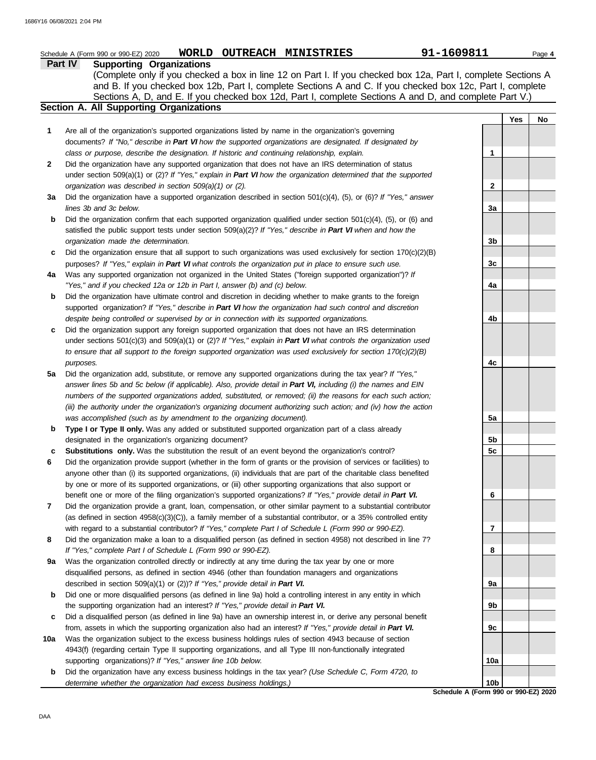|              | 91-1609811<br>WORLD OUTREACH MINISTRIES<br>Schedule A (Form 990 or 990-EZ) 2020                                                                                                                                                                                                                                                                                                            |                 |     | Page 4 |
|--------------|--------------------------------------------------------------------------------------------------------------------------------------------------------------------------------------------------------------------------------------------------------------------------------------------------------------------------------------------------------------------------------------------|-----------------|-----|--------|
|              | <b>Supporting Organizations</b><br><b>Part IV</b><br>(Complete only if you checked a box in line 12 on Part I. If you checked box 12a, Part I, complete Sections A<br>and B. If you checked box 12b, Part I, complete Sections A and C. If you checked box 12c, Part I, complete<br>Sections A, D, and E. If you checked box 12d, Part I, complete Sections A and D, and complete Part V.) |                 |     |        |
|              | Section A. All Supporting Organizations                                                                                                                                                                                                                                                                                                                                                    |                 |     |        |
|              |                                                                                                                                                                                                                                                                                                                                                                                            |                 | Yes | No     |
| 1            | Are all of the organization's supported organizations listed by name in the organization's governing<br>documents? If "No," describe in Part VI how the supported organizations are designated. If designated by                                                                                                                                                                           |                 |     |        |
|              | class or purpose, describe the designation. If historic and continuing relationship, explain.                                                                                                                                                                                                                                                                                              | 1               |     |        |
| $\mathbf{2}$ | Did the organization have any supported organization that does not have an IRS determination of status                                                                                                                                                                                                                                                                                     |                 |     |        |
|              | under section 509(a)(1) or (2)? If "Yes," explain in Part VI how the organization determined that the supported                                                                                                                                                                                                                                                                            |                 |     |        |
| 3a           | organization was described in section 509(a)(1) or (2).<br>Did the organization have a supported organization described in section 501(c)(4), (5), or (6)? If "Yes," answer                                                                                                                                                                                                                | 2               |     |        |
|              | lines 3b and 3c below.                                                                                                                                                                                                                                                                                                                                                                     | 3a              |     |        |
| b            | Did the organization confirm that each supported organization qualified under section $501(c)(4)$ , (5), or (6) and                                                                                                                                                                                                                                                                        |                 |     |        |
|              | satisfied the public support tests under section $509(a)(2)?$ If "Yes," describe in Part VI when and how the                                                                                                                                                                                                                                                                               |                 |     |        |
|              | organization made the determination.                                                                                                                                                                                                                                                                                                                                                       | 3 <sub>b</sub>  |     |        |
| c            | Did the organization ensure that all support to such organizations was used exclusively for section $170(c)(2)(B)$                                                                                                                                                                                                                                                                         |                 |     |        |
|              | purposes? If "Yes," explain in Part VI what controls the organization put in place to ensure such use.                                                                                                                                                                                                                                                                                     | 3 <sub>c</sub>  |     |        |
| 4a           | Was any supported organization not organized in the United States ("foreign supported organization")? If                                                                                                                                                                                                                                                                                   |                 |     |        |
|              | "Yes," and if you checked 12a or 12b in Part I, answer (b) and (c) below.                                                                                                                                                                                                                                                                                                                  | 4a              |     |        |
| b            | Did the organization have ultimate control and discretion in deciding whether to make grants to the foreign                                                                                                                                                                                                                                                                                |                 |     |        |
|              | supported organization? If "Yes," describe in Part VI how the organization had such control and discretion                                                                                                                                                                                                                                                                                 |                 |     |        |
|              | despite being controlled or supervised by or in connection with its supported organizations.                                                                                                                                                                                                                                                                                               | 4b              |     |        |
| c            | Did the organization support any foreign supported organization that does not have an IRS determination                                                                                                                                                                                                                                                                                    |                 |     |        |
|              | under sections $501(c)(3)$ and $509(a)(1)$ or (2)? If "Yes," explain in Part VI what controls the organization used                                                                                                                                                                                                                                                                        |                 |     |        |
|              | to ensure that all support to the foreign supported organization was used exclusively for section $170(c)(2)(B)$                                                                                                                                                                                                                                                                           |                 |     |        |
| 5a           | purposes.<br>Did the organization add, substitute, or remove any supported organizations during the tax year? If "Yes,"                                                                                                                                                                                                                                                                    | 4с              |     |        |
|              | answer lines 5b and 5c below (if applicable). Also, provide detail in Part VI, including (i) the names and EIN                                                                                                                                                                                                                                                                             |                 |     |        |
|              | numbers of the supported organizations added, substituted, or removed; (ii) the reasons for each such action;                                                                                                                                                                                                                                                                              |                 |     |        |
|              | (iii) the authority under the organization's organizing document authorizing such action; and (iv) how the action                                                                                                                                                                                                                                                                          |                 |     |        |
|              | was accomplished (such as by amendment to the organizing document).                                                                                                                                                                                                                                                                                                                        | 5a              |     |        |
| b            | Type I or Type II only. Was any added or substituted supported organization part of a class already                                                                                                                                                                                                                                                                                        |                 |     |        |
|              | designated in the organization's organizing document?                                                                                                                                                                                                                                                                                                                                      | 5b              |     |        |
| c            | Substitutions only. Was the substitution the result of an event beyond the organization's control?                                                                                                                                                                                                                                                                                         | 5 <sub>c</sub>  |     |        |
| 6            | Did the organization provide support (whether in the form of grants or the provision of services or facilities) to                                                                                                                                                                                                                                                                         |                 |     |        |
|              | anyone other than (i) its supported organizations, (ii) individuals that are part of the charitable class benefited                                                                                                                                                                                                                                                                        |                 |     |        |
|              | by one or more of its supported organizations, or (iii) other supporting organizations that also support or                                                                                                                                                                                                                                                                                |                 |     |        |
|              | benefit one or more of the filing organization's supported organizations? If "Yes," provide detail in Part VI.                                                                                                                                                                                                                                                                             | 6               |     |        |
| 7            | Did the organization provide a grant, loan, compensation, or other similar payment to a substantial contributor                                                                                                                                                                                                                                                                            |                 |     |        |
|              | (as defined in section $4958(c)(3)(C)$ ), a family member of a substantial contributor, or a 35% controlled entity                                                                                                                                                                                                                                                                         |                 |     |        |
| 8            | with regard to a substantial contributor? If "Yes," complete Part I of Schedule L (Form 990 or 990-EZ).<br>Did the organization make a loan to a disqualified person (as defined in section 4958) not described in line 7?                                                                                                                                                                 | 7               |     |        |
|              | If "Yes," complete Part I of Schedule L (Form 990 or 990-EZ).                                                                                                                                                                                                                                                                                                                              | 8               |     |        |
| 9а           | Was the organization controlled directly or indirectly at any time during the tax year by one or more                                                                                                                                                                                                                                                                                      |                 |     |        |
|              | disqualified persons, as defined in section 4946 (other than foundation managers and organizations                                                                                                                                                                                                                                                                                         |                 |     |        |
|              | described in section 509(a)(1) or (2))? If "Yes," provide detail in Part VI.                                                                                                                                                                                                                                                                                                               | 9а              |     |        |
| b            | Did one or more disqualified persons (as defined in line 9a) hold a controlling interest in any entity in which                                                                                                                                                                                                                                                                            |                 |     |        |
|              | the supporting organization had an interest? If "Yes," provide detail in Part VI.                                                                                                                                                                                                                                                                                                          | 9b              |     |        |
| c            | Did a disqualified person (as defined in line 9a) have an ownership interest in, or derive any personal benefit                                                                                                                                                                                                                                                                            |                 |     |        |
|              | from, assets in which the supporting organization also had an interest? If "Yes," provide detail in Part VI.                                                                                                                                                                                                                                                                               | 9c              |     |        |
| 10a          | Was the organization subject to the excess business holdings rules of section 4943 because of section                                                                                                                                                                                                                                                                                      |                 |     |        |
|              | 4943(f) (regarding certain Type II supporting organizations, and all Type III non-functionally integrated                                                                                                                                                                                                                                                                                  |                 |     |        |
|              | supporting organizations)? If "Yes," answer line 10b below.                                                                                                                                                                                                                                                                                                                                | 10a             |     |        |
| b            | Did the organization have any excess business holdings in the tax year? (Use Schedule C, Form 4720, to                                                                                                                                                                                                                                                                                     |                 |     |        |
|              | determine whether the organization had excess business holdings.)                                                                                                                                                                                                                                                                                                                          | 10 <sub>b</sub> |     |        |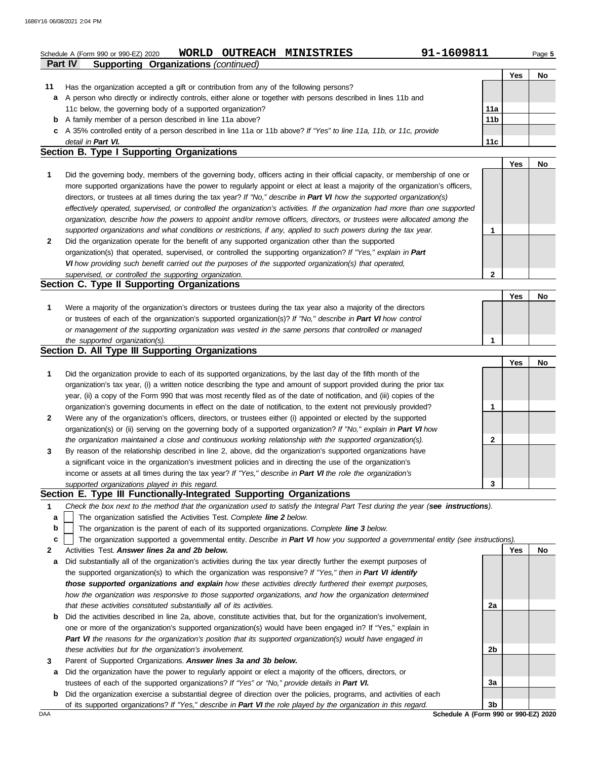|              | 91-1609811<br><b>OUTREACH</b><br>WORLD<br><b>MINISTRIES</b><br>Schedule A (Form 990 or 990-EZ) 2020                            |                 |            | Page 5    |
|--------------|--------------------------------------------------------------------------------------------------------------------------------|-----------------|------------|-----------|
|              | <b>Part IV</b><br><b>Supporting Organizations (continued)</b>                                                                  |                 |            |           |
|              |                                                                                                                                |                 | <b>Yes</b> | <b>No</b> |
| 11           | Has the organization accepted a gift or contribution from any of the following persons?                                        |                 |            |           |
| a            | A person who directly or indirectly controls, either alone or together with persons described in lines 11b and                 |                 |            |           |
|              | 11c below, the governing body of a supported organization?                                                                     | 11a             |            |           |
| b            | A family member of a person described in line 11a above?                                                                       | 11 <sub>b</sub> |            |           |
| c            | A 35% controlled entity of a person described in line 11a or 11b above? If "Yes" to line 11a, 11b, or 11c, provide             |                 |            |           |
|              | detail in Part VI.                                                                                                             | 11c             |            |           |
|              | Section B. Type I Supporting Organizations                                                                                     |                 |            |           |
|              |                                                                                                                                |                 | <b>Yes</b> | No.       |
| 1            | Did the governing body, members of the governing body, officers acting in their official capacity, or membership of one or     |                 |            |           |
|              | more supported organizations have the power to regularly appoint or elect at least a majority of the organization's officers,  |                 |            |           |
|              | directors, or trustees at all times during the tax year? If "No," describe in Part VI how the supported organization(s)        |                 |            |           |
|              | effectively operated, supervised, or controlled the organization's activities. If the organization had more than one supported |                 |            |           |
|              | organization, describe how the powers to appoint and/or remove officers, directors, or trustees were allocated among the       |                 |            |           |
|              | supported organizations and what conditions or restrictions, if any, applied to such powers during the tax year.               |                 |            |           |
| $\mathbf{2}$ | Did the organization operate for the benefit of any supported organization other than the supported                            |                 |            |           |
|              | organization(s) that operated, supervised, or controlled the supporting organization? If "Yes," explain in Part                |                 |            |           |
|              | VI how providing such benefit carried out the purposes of the supported organization(s) that operated,                         |                 |            |           |

*supervised, or controlled the supporting organization.*

# **Section C. Type II Supporting Organizations**

| Were a majority of the organization's directors or trustees during the tax year also a majority of the directors |  |  |
|------------------------------------------------------------------------------------------------------------------|--|--|
| or trustees of each of the organization's supported organization(s)? If "No," describe in Part VI how control    |  |  |
| or management of the supporting organization was vested in the same persons that controlled or managed           |  |  |
| the supported organization(s).                                                                                   |  |  |

#### **Section D. All Type III Supporting Organizations**

|              |                                                                                                                        |   | Yes | No |
|--------------|------------------------------------------------------------------------------------------------------------------------|---|-----|----|
| 1            | Did the organization provide to each of its supported organizations, by the last day of the fifth month of the         |   |     |    |
|              | organization's tax year, (i) a written notice describing the type and amount of support provided during the prior tax  |   |     |    |
|              | year, (ii) a copy of the Form 990 that was most recently filed as of the date of notification, and (iii) copies of the |   |     |    |
|              | organization's governing documents in effect on the date of notification, to the extent not previously provided?       |   |     |    |
| $\mathbf{2}$ | Were any of the organization's officers, directors, or trustees either (i) appointed or elected by the supported       |   |     |    |
|              | organization(s) or (ii) serving on the governing body of a supported organization? If "No," explain in Part VI how     |   |     |    |
|              | the organization maintained a close and continuous working relationship with the supported organization(s).            | 2 |     |    |
| 3            | By reason of the relationship described in line 2, above, did the organization's supported organizations have          |   |     |    |
|              | a significant voice in the organization's investment policies and in directing the use of the organization's           |   |     |    |
|              | income or assets at all times during the tax year? If "Yes," describe in Part VI the role the organization's           |   |     |    |
|              | supported organizations played in this regard.                                                                         | 3 |     |    |

#### **Section E. Type III Functionally-Integrated Supporting Organizations**

- **1** *Check the box next to the method that the organization used to satisfy the Integral Part Test during the year (see instructions).*
	- The organization satisfied the Activities Test. *Complete line 2 below.* **a**
- The organization is the parent of each of its supported organizations. *Complete line 3 below.* **b**
- The organization supported a governmental entity. *Describe in Part VI how you supported a governmental entity (see instructions).* **c**
- **2** Activities Test. *Answer lines 2a and 2b below.*
- **a** Did substantially all of the organization's activities during the tax year directly further the exempt purposes of the supported organization(s) to which the organization was responsive? *If "Yes," then in Part VI identify those supported organizations and explain how these activities directly furthered their exempt purposes, how the organization was responsive to those supported organizations, and how the organization determined that these activities constituted substantially all of its activities.*
- **b** Did the activities described in line 2a, above, constitute activities that, but for the organization's involvement, one or more of the organization's supported organization(s) would have been engaged in? If "Yes," explain in *Part VI the reasons for the organization's position that its supported organization(s) would have engaged in these activities but for the organization's involvement.*
- **3** Parent of Supported Organizations. *Answer lines 3a and 3b below.*
- **a** Did the organization have the power to regularly appoint or elect a majority of the officers, directors, or trustees of each of the supported organizations? *If "Yes" or "No," provide details in Part VI.*
- **b** Did the organization exercise a substantial degree of direction over the policies, programs, and activities of each of its supported organizations? *If "Yes," describe in Part VI the role played by the organization in this regard.*

**Yes No 2a 2b 3a 3b**

**Yes No**

**2**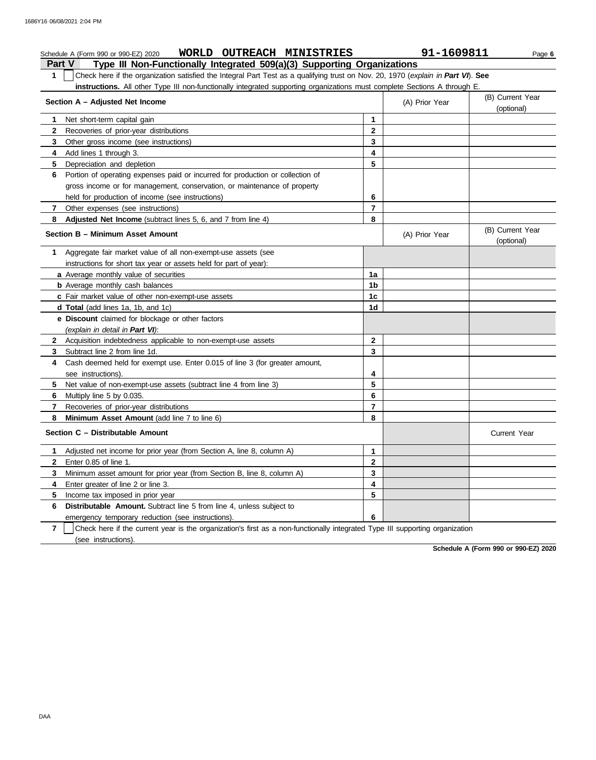|               | WORLD OUTREACH MINISTRIES<br>Schedule A (Form 990 or 990-EZ) 2020                                                                |                | 91-1609811     | Page 6                         |
|---------------|----------------------------------------------------------------------------------------------------------------------------------|----------------|----------------|--------------------------------|
| <b>Part V</b> | Type III Non-Functionally Integrated 509(a)(3) Supporting Organizations                                                          |                |                |                                |
| 1.            | Check here if the organization satisfied the Integral Part Test as a qualifying trust on Nov. 20, 1970 (explain in Part VI). See |                |                |                                |
|               | instructions. All other Type III non-functionally integrated supporting organizations must complete Sections A through E.        |                |                |                                |
|               | Section A - Adjusted Net Income                                                                                                  |                | (A) Prior Year | (B) Current Year<br>(optional) |
| 1.            | Net short-term capital gain                                                                                                      | $\mathbf 1$    |                |                                |
| 2             | Recoveries of prior-year distributions                                                                                           | 2              |                |                                |
| 3             | Other gross income (see instructions)                                                                                            | 3              |                |                                |
| 4             | Add lines 1 through 3.                                                                                                           | 4              |                |                                |
| 5             | Depreciation and depletion                                                                                                       | 5              |                |                                |
| 6             | Portion of operating expenses paid or incurred for production or collection of                                                   |                |                |                                |
|               | gross income or for management, conservation, or maintenance of property                                                         |                |                |                                |
|               | held for production of income (see instructions)                                                                                 | 6              |                |                                |
| 7             | Other expenses (see instructions)                                                                                                | $\overline{7}$ |                |                                |
| 8             | Adjusted Net Income (subtract lines 5, 6, and 7 from line 4)                                                                     | 8              |                |                                |
|               | Section B - Minimum Asset Amount                                                                                                 |                | (A) Prior Year | (B) Current Year<br>(optional) |
| 1.            | Aggregate fair market value of all non-exempt-use assets (see                                                                    |                |                |                                |
|               | instructions for short tax year or assets held for part of year):                                                                |                |                |                                |
|               | <b>a</b> Average monthly value of securities                                                                                     | 1a             |                |                                |
|               | <b>b</b> Average monthly cash balances                                                                                           | 1b             |                |                                |
|               | c Fair market value of other non-exempt-use assets                                                                               | 1c             |                |                                |
|               | <b>d Total</b> (add lines 1a, 1b, and 1c)                                                                                        | 1d             |                |                                |
|               | e Discount claimed for blockage or other factors                                                                                 |                |                |                                |
|               | (explain in detail in Part VI):                                                                                                  |                |                |                                |
| 2             | Acquisition indebtedness applicable to non-exempt-use assets                                                                     | $\mathbf{2}$   |                |                                |
| 3             | Subtract line 2 from line 1d.                                                                                                    | 3              |                |                                |
| 4             | Cash deemed held for exempt use. Enter 0.015 of line 3 (for greater amount,                                                      |                |                |                                |
|               | see instructions).                                                                                                               | 4              |                |                                |
| 5             | Net value of non-exempt-use assets (subtract line 4 from line 3)                                                                 | 5              |                |                                |
| 6             | Multiply line 5 by 0.035.                                                                                                        | 6              |                |                                |
| 7             | Recoveries of prior-year distributions                                                                                           | $\overline{7}$ |                |                                |
| 8             | <b>Minimum Asset Amount (add line 7 to line 6)</b>                                                                               | 8              |                |                                |
|               | Section C - Distributable Amount                                                                                                 |                |                | <b>Current Year</b>            |
| 1.            | Adjusted net income for prior year (from Section A, line 8, column A)                                                            | 1              |                |                                |
| $\mathbf{2}$  | Enter 0.85 of line 1.                                                                                                            | 2              |                |                                |
| 3             | Minimum asset amount for prior year (from Section B, line 8, column A)                                                           | 3              |                |                                |
| 4             | Enter greater of line 2 or line 3.                                                                                               | 4              |                |                                |
| 5             | Income tax imposed in prior year                                                                                                 | 5              |                |                                |
| 6             | Distributable Amount. Subtract line 5 from line 4, unless subject to                                                             |                |                |                                |
|               | emergency temporary reduction (see instructions).                                                                                | 6              |                |                                |

**7** (see instructions). Check here if the current year is the organization's first as a non-functionally integrated Type III supporting organization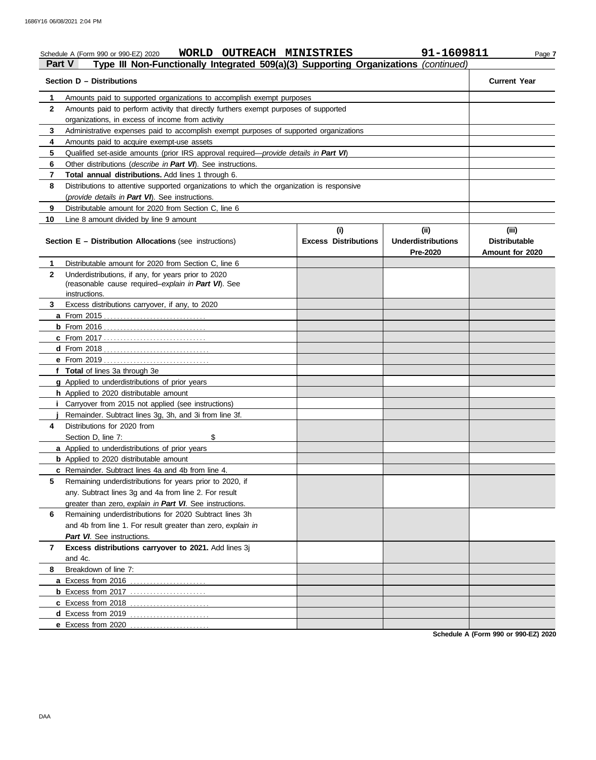#### Schedule A (Form 990 or 990-EZ) 2020 **WORLD OUTREACH MINISTRIES** 91-1609811 Page 7 **Part V Type III Non-Functionally Integrated 509(a)(3) Supporting Organizations** *(continued)* **Section D – Distributions Current Year 1 2 3 4 5 6 7 8 9 10** Amounts paid to supported organizations to accomplish exempt purposes Amounts paid to perform activity that directly furthers exempt purposes of supported organizations, in excess of income from activity Administrative expenses paid to accomplish exempt purposes of supported organizations Amounts paid to acquire exempt-use assets Qualified set-aside amounts (prior IRS approval required—*provide details in Part VI*) Other distributions (*describe in Part VI*). See instructions. **Total annual distributions.** Add lines 1 through 6. Distributions to attentive supported organizations to which the organization is responsive (*provide details in Part VI*). See instructions. Distributable amount for 2020 from Section C, line 6 Line 8 amount divided by line 9 amount **Section E – Distribution Allocations** (see instructions) **Excess Distributions (i) (ii) Underdistributions Pre-2020 (iii) Distributable Amount for 2020 8** Breakdown of line 7: **7 6** Remaining underdistributions for 2020 Subtract lines 3h **5** Remaining underdistributions for years prior to 2020, if **4** Distributions for 2020 from **3** Excess distributions carryover, if any, to 2020 **2 1 a** From 2015 . . . . . . . . . . . . . . . . . . . . . . . . . . . . . . . **b** From 2016 . . . . . . . . . . . . . . . . . . . . . . . . . . . . . . . **c** From 2017 . . . . . . . . . . . . . . . . . . . . . . . . . . . . . . . **d** From 2018 . . . . . . . . . . . . . . . . . . . . . . . . . . . . . . . . **e** From 2019 . . . . . . . . . . . . . . . . . . . . . . . . . . . . . . . . **f Total** of lines 3a through 3e **g** Applied to underdistributions of prior years **h** Applied to 2020 distributable amount **i** Carryover from 2015 not applied (see instructions) **j a** Applied to underdistributions of prior years **b** Applied to 2020 distributable amount **c** Remainder. Subtract lines 4a and 4b from line 4. **a** Excess from 2016 . . . . . . . . . . . . . . . . . . . . . . . **b** Excess from 2017 . . . . . . . . . . . . . . . . . . . . . . . **c** Excess from 2018 . . . . . . . . . . . . . . . . . . . . . . . . **d** Excess from 2019 . . . . . . . . . . . . . . . . . . . . . . . . **e** Excess from 2020 . . . . . . . . . . . . . . . . . . . . . . . . Distributable amount for 2020 from Section C, line 6 Underdistributions, if any, for years prior to 2020 (reasonable cause required–*explain in Part VI*). See Remainder. Subtract lines 3g, 3h, and 3i from line 3f. Section D, line 7: \$ any. Subtract lines 3g and 4a from line 2. For result greater than zero, *explain in Part VI*. See instructions. and 4b from line 1. For result greater than zero, *explain in Part VI*. See instructions. **Excess distributions carryover to 2021.** Add lines 3j and 4c. instructions.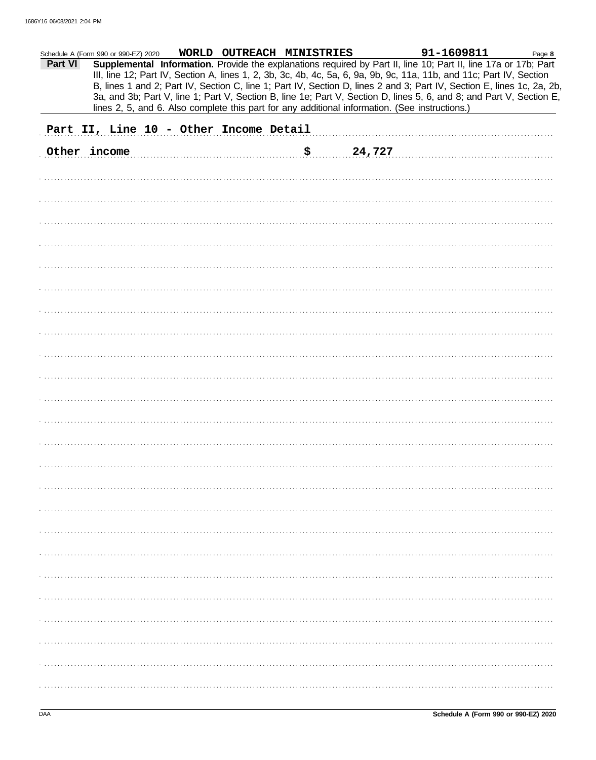| Part VI | Schedule A (Form 990 or 990-EZ) 2020   |  | WORLD OUTREACH MINISTRIES |                                                                                                | 91-1609811<br>Supplemental Information. Provide the explanations required by Part II, line 10; Part II, line 17a or 17b; Part                                                                                                                  | Page 8 |
|---------|----------------------------------------|--|---------------------------|------------------------------------------------------------------------------------------------|------------------------------------------------------------------------------------------------------------------------------------------------------------------------------------------------------------------------------------------------|--------|
|         |                                        |  |                           |                                                                                                | III, line 12; Part IV, Section A, lines 1, 2, 3b, 3c, 4b, 4c, 5a, 6, 9a, 9b, 9c, 11a, 11b, and 11c; Part IV, Section                                                                                                                           |        |
|         |                                        |  |                           |                                                                                                | B, lines 1 and 2; Part IV, Section C, line 1; Part IV, Section D, lines 2 and 3; Part IV, Section E, lines 1c, 2a, 2b,<br>3a, and 3b; Part V, line 1; Part V, Section B, line 1e; Part V, Section D, lines 5, 6, and 8; and Part V, Section E, |        |
|         |                                        |  |                           | lines 2, 5, and 6. Also complete this part for any additional information. (See instructions.) |                                                                                                                                                                                                                                                |        |
|         | Part II, Line 10 - Other Income Detail |  |                           |                                                                                                |                                                                                                                                                                                                                                                |        |
|         | Other income                           |  |                           | \$24,727                                                                                       |                                                                                                                                                                                                                                                |        |
|         |                                        |  |                           |                                                                                                |                                                                                                                                                                                                                                                |        |
|         |                                        |  |                           |                                                                                                |                                                                                                                                                                                                                                                |        |
|         |                                        |  |                           |                                                                                                |                                                                                                                                                                                                                                                |        |
|         |                                        |  |                           |                                                                                                |                                                                                                                                                                                                                                                |        |
|         |                                        |  |                           |                                                                                                |                                                                                                                                                                                                                                                |        |
|         |                                        |  |                           |                                                                                                |                                                                                                                                                                                                                                                |        |
|         |                                        |  |                           |                                                                                                |                                                                                                                                                                                                                                                |        |
|         |                                        |  |                           |                                                                                                |                                                                                                                                                                                                                                                |        |
|         |                                        |  |                           |                                                                                                |                                                                                                                                                                                                                                                |        |
|         |                                        |  |                           |                                                                                                |                                                                                                                                                                                                                                                |        |
|         |                                        |  |                           |                                                                                                |                                                                                                                                                                                                                                                |        |
|         |                                        |  |                           |                                                                                                |                                                                                                                                                                                                                                                |        |
|         |                                        |  |                           |                                                                                                |                                                                                                                                                                                                                                                |        |
|         |                                        |  |                           |                                                                                                |                                                                                                                                                                                                                                                |        |
|         |                                        |  |                           |                                                                                                |                                                                                                                                                                                                                                                |        |
|         |                                        |  |                           |                                                                                                |                                                                                                                                                                                                                                                |        |
|         |                                        |  |                           |                                                                                                |                                                                                                                                                                                                                                                |        |
|         |                                        |  |                           |                                                                                                |                                                                                                                                                                                                                                                |        |
|         |                                        |  |                           |                                                                                                |                                                                                                                                                                                                                                                |        |
|         |                                        |  |                           |                                                                                                |                                                                                                                                                                                                                                                |        |
|         |                                        |  |                           |                                                                                                |                                                                                                                                                                                                                                                |        |
|         |                                        |  |                           |                                                                                                |                                                                                                                                                                                                                                                |        |
|         |                                        |  |                           |                                                                                                |                                                                                                                                                                                                                                                |        |
|         |                                        |  |                           |                                                                                                |                                                                                                                                                                                                                                                |        |
|         |                                        |  |                           |                                                                                                |                                                                                                                                                                                                                                                |        |
|         |                                        |  |                           |                                                                                                |                                                                                                                                                                                                                                                |        |
|         |                                        |  |                           |                                                                                                |                                                                                                                                                                                                                                                |        |
|         |                                        |  |                           |                                                                                                |                                                                                                                                                                                                                                                |        |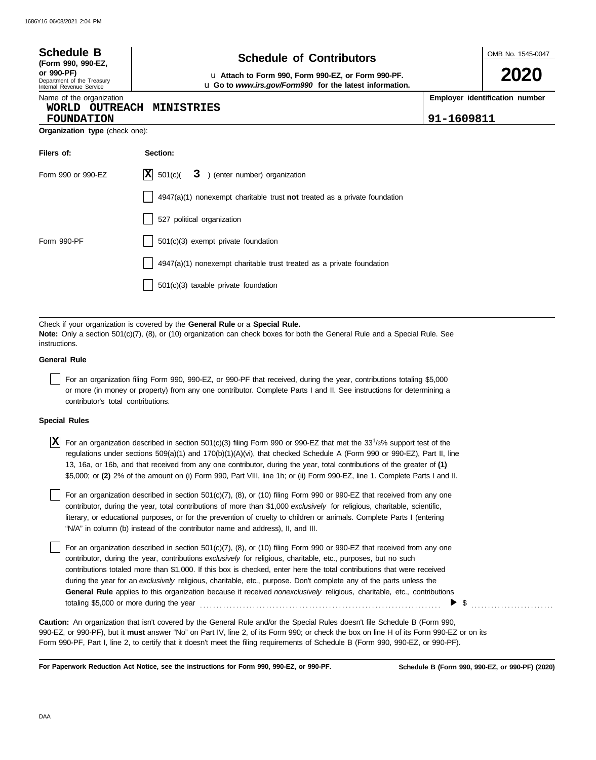| <b>Schedule B</b>                                                                          | <b>Schedule of Contributors</b>                                                                                                                                                                                                                                                                                                                                                                                                                                                                                                                                                                                     | OMB No. 1545-0047                            |
|--------------------------------------------------------------------------------------------|---------------------------------------------------------------------------------------------------------------------------------------------------------------------------------------------------------------------------------------------------------------------------------------------------------------------------------------------------------------------------------------------------------------------------------------------------------------------------------------------------------------------------------------------------------------------------------------------------------------------|----------------------------------------------|
| (Form 990, 990-EZ,<br>or 990-PF)<br>Department of the Treasury<br>Internal Revenue Service | u Attach to Form 990, Form 990-EZ, or Form 990-PF.<br>u Go to www.irs.gov/Form990 for the latest information.                                                                                                                                                                                                                                                                                                                                                                                                                                                                                                       | 2020                                         |
| Name of the organization<br>WORLD OUTREACH<br><b>FOUNDATION</b>                            | <b>MINISTRIES</b>                                                                                                                                                                                                                                                                                                                                                                                                                                                                                                                                                                                                   | Employer identification number<br>91-1609811 |
| Organization type (check one):                                                             |                                                                                                                                                                                                                                                                                                                                                                                                                                                                                                                                                                                                                     |                                              |
| Filers of:                                                                                 | Section:                                                                                                                                                                                                                                                                                                                                                                                                                                                                                                                                                                                                            |                                              |
| Form 990 or 990-EZ                                                                         | ΙXΙ<br>501(c)<br>3 ) (enter number) organization                                                                                                                                                                                                                                                                                                                                                                                                                                                                                                                                                                    |                                              |
|                                                                                            | $4947(a)(1)$ nonexempt charitable trust not treated as a private foundation                                                                                                                                                                                                                                                                                                                                                                                                                                                                                                                                         |                                              |
|                                                                                            | 527 political organization                                                                                                                                                                                                                                                                                                                                                                                                                                                                                                                                                                                          |                                              |
| Form 990-PF                                                                                | 501(c)(3) exempt private foundation                                                                                                                                                                                                                                                                                                                                                                                                                                                                                                                                                                                 |                                              |
|                                                                                            | 4947(a)(1) nonexempt charitable trust treated as a private foundation                                                                                                                                                                                                                                                                                                                                                                                                                                                                                                                                               |                                              |
|                                                                                            | 501(c)(3) taxable private foundation                                                                                                                                                                                                                                                                                                                                                                                                                                                                                                                                                                                |                                              |
| instructions.<br><b>General Rule</b><br>contributor's total contributions.                 | Note: Only a section 501(c)(7), (8), or (10) organization can check boxes for both the General Rule and a Special Rule. See<br>For an organization filing Form 990, 990-EZ, or 990-PF that received, during the year, contributions totaling \$5,000<br>or more (in money or property) from any one contributor. Complete Parts I and II. See instructions for determining a                                                                                                                                                                                                                                        |                                              |
| <b>Special Rules</b>                                                                       |                                                                                                                                                                                                                                                                                                                                                                                                                                                                                                                                                                                                                     |                                              |
|                                                                                            | $\boxed{\textbf{X}}$ For an organization described in section 501(c)(3) filing Form 990 or 990-EZ that met the 331/3% support test of the<br>regulations under sections $509(a)(1)$ and $170(b)(1)(A)(vi)$ , that checked Schedule A (Form 990 or 990-EZ), Part II, line<br>13, 16a, or 16b, and that received from any one contributor, during the year, total contributions of the greater of (1)<br>\$5,000; or (2) 2% of the amount on (i) Form 990, Part VIII, line 1h; or (ii) Form 990-EZ, line 1. Complete Parts I and II.                                                                                  |                                              |
|                                                                                            | For an organization described in section 501(c)(7), (8), or (10) filing Form 990 or 990-EZ that received from any one<br>contributor, during the year, total contributions of more than \$1,000 exclusively for religious, charitable, scientific,<br>literary, or educational purposes, or for the prevention of cruelty to children or animals. Complete Parts I (entering<br>"N/A" in column (b) instead of the contributor name and address), II, and III.                                                                                                                                                      |                                              |
| totaling \$5,000 or more during the year                                                   | For an organization described in section 501(c)(7), (8), or (10) filing Form 990 or 990-EZ that received from any one<br>contributor, during the year, contributions exclusively for religious, charitable, etc., purposes, but no such<br>contributions totaled more than \$1,000. If this box is checked, enter here the total contributions that were received<br>during the year for an exclusively religious, charitable, etc., purpose. Don't complete any of the parts unless the<br>General Rule applies to this organization because it received nonexclusively religious, charitable, etc., contributions |                                              |
|                                                                                            | Caution: An organization that isn't covered by the General Rule and/or the Special Rules doesn't file Schedule B (Form 990,<br>990-EZ, or 990-PF), but it must answer "No" on Part IV, line 2, of its Form 990; or check the box on line H of its Form 990-EZ or on its                                                                                                                                                                                                                                                                                                                                             |                                              |

**For Paperwork Reduction Act Notice, see the instructions for Form 990, 990-EZ, or 990-PF.**

Form 990-PF, Part I, line 2, to certify that it doesn't meet the filing requirements of Schedule B (Form 990, 990-EZ, or 990-PF).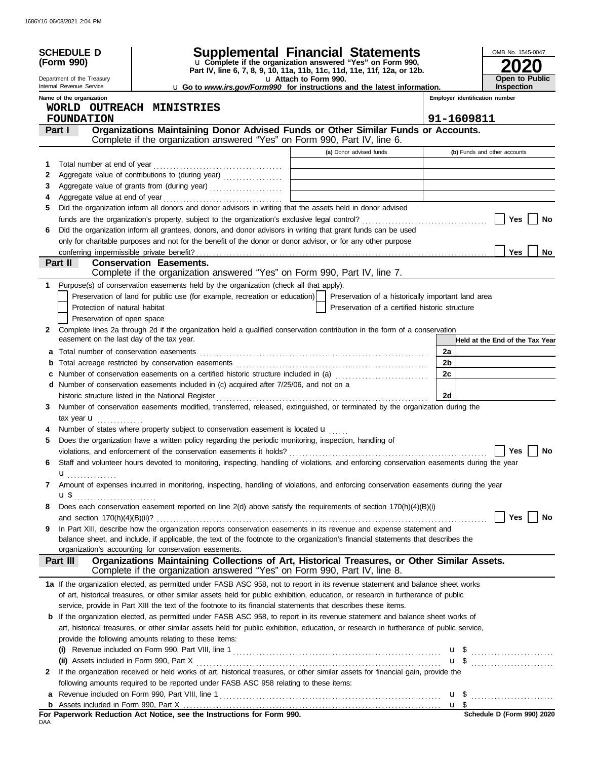| Supplemental Financial Statements<br><b>SCHEDULE D</b>                                                                                                                                |                                                                          | OMB No. 1545-0047               |  |  |
|---------------------------------------------------------------------------------------------------------------------------------------------------------------------------------------|--------------------------------------------------------------------------|---------------------------------|--|--|
| u Complete if the organization answered "Yes" on Form 990,<br>(Form 990)                                                                                                              | Part IV, line 6, 7, 8, 9, 10, 11a, 11b, 11c, 11d, 11e, 11f, 12a, or 12b. |                                 |  |  |
| Department of the Treasury<br>u Attach to Form 990.                                                                                                                                   |                                                                          |                                 |  |  |
| Internal Revenue Service<br><b>u</b> Go to <i>www.irs.gov/Form990</i> for instructions and the latest information.                                                                    |                                                                          | <b>Inspection</b>               |  |  |
| Name of the organization                                                                                                                                                              |                                                                          | Employer identification number  |  |  |
| WORLD OUTREACH MINISTRIES                                                                                                                                                             |                                                                          |                                 |  |  |
| <b>FOUNDATION</b>                                                                                                                                                                     |                                                                          | 91-1609811                      |  |  |
| Organizations Maintaining Donor Advised Funds or Other Similar Funds or Accounts.<br>Part I<br>Complete if the organization answered "Yes" on Form 990, Part IV, line 6.              |                                                                          |                                 |  |  |
| (a) Donor advised funds                                                                                                                                                               |                                                                          | (b) Funds and other accounts    |  |  |
| Total number at end of year<br>1                                                                                                                                                      |                                                                          |                                 |  |  |
| 2<br>the control of the control of the control of the control of the control of the control of                                                                                        |                                                                          |                                 |  |  |
| 3<br>the control of the control of the control of the control of the control of the control of                                                                                        |                                                                          |                                 |  |  |
| 4                                                                                                                                                                                     |                                                                          |                                 |  |  |
| Did the organization inform all donors and donor advisors in writing that the assets held in donor advised<br>5                                                                       |                                                                          |                                 |  |  |
| Did the organization inform all grantees, donors, and donor advisors in writing that grant funds can be used                                                                          |                                                                          | Yes<br>No                       |  |  |
| 6<br>only for charitable purposes and not for the benefit of the donor or donor advisor, or for any other purpose                                                                     |                                                                          |                                 |  |  |
|                                                                                                                                                                                       |                                                                          | <b>Yes</b><br>No                |  |  |
| Part II<br><b>Conservation Easements.</b>                                                                                                                                             |                                                                          |                                 |  |  |
| Complete if the organization answered "Yes" on Form 990, Part IV, line 7.                                                                                                             |                                                                          |                                 |  |  |
| Purpose(s) of conservation easements held by the organization (check all that apply).<br>1                                                                                            |                                                                          |                                 |  |  |
| Preservation of land for public use (for example, recreation or education)                                                                                                            | Preservation of a historically important land area                       |                                 |  |  |
| Protection of natural habitat                                                                                                                                                         | Preservation of a certified historic structure                           |                                 |  |  |
| Preservation of open space                                                                                                                                                            |                                                                          |                                 |  |  |
| Complete lines 2a through 2d if the organization held a qualified conservation contribution in the form of a conservation<br>$\mathbf{2}$                                             |                                                                          |                                 |  |  |
| easement on the last day of the tax year.                                                                                                                                             |                                                                          | Held at the End of the Tax Year |  |  |
| a                                                                                                                                                                                     |                                                                          | 2a                              |  |  |
| b                                                                                                                                                                                     |                                                                          | 2 <sub>b</sub>                  |  |  |
| Number of conservation easements on a certified historic structure included in (a) [[[[[[[[[[[[[[[[[[[[[[[[[]]]]]]]<br>с                                                              |                                                                          | 2c                              |  |  |
| d Number of conservation easements included in (c) acquired after 7/25/06, and not on a                                                                                               |                                                                          |                                 |  |  |
| historic structure listed in the National Register                                                                                                                                    |                                                                          | 2d                              |  |  |
| Number of conservation easements modified, transferred, released, extinguished, or terminated by the organization during the<br>3                                                     |                                                                          |                                 |  |  |
| tax year <b>u</b>                                                                                                                                                                     |                                                                          |                                 |  |  |
| Number of states where property subject to conservation easement is located u                                                                                                         |                                                                          |                                 |  |  |
| Does the organization have a written policy regarding the periodic monitoring, inspection, handling of<br>5                                                                           |                                                                          |                                 |  |  |
|                                                                                                                                                                                       |                                                                          |                                 |  |  |
| Staff and volunteer hours devoted to monitoring, inspecting, handling of violations, and enforcing conservation easements during the year<br>6                                        |                                                                          |                                 |  |  |
| $\mathbf{u}$ <sub></sub>                                                                                                                                                              |                                                                          |                                 |  |  |
| Amount of expenses incurred in monitoring, inspecting, handling of violations, and enforcing conservation easements during the year<br>7                                              |                                                                          |                                 |  |  |
| $\mathbf{u}$ \$                                                                                                                                                                       |                                                                          |                                 |  |  |
| Does each conservation easement reported on line 2(d) above satisfy the requirements of section 170(h)(4)(B)(i)<br>8                                                                  |                                                                          |                                 |  |  |
|                                                                                                                                                                                       |                                                                          | Yes<br>No                       |  |  |
| In Part XIII, describe how the organization reports conservation easements in its revenue and expense statement and<br>9                                                              |                                                                          |                                 |  |  |
| balance sheet, and include, if applicable, the text of the footnote to the organization's financial statements that describes the                                                     |                                                                          |                                 |  |  |
| organization's accounting for conservation easements.                                                                                                                                 |                                                                          |                                 |  |  |
| Organizations Maintaining Collections of Art, Historical Treasures, or Other Similar Assets.<br>Part III<br>Complete if the organization answered "Yes" on Form 990, Part IV, line 8. |                                                                          |                                 |  |  |
| 1a If the organization elected, as permitted under FASB ASC 958, not to report in its revenue statement and balance sheet works                                                       |                                                                          |                                 |  |  |
| of art, historical treasures, or other similar assets held for public exhibition, education, or research in furtherance of public                                                     |                                                                          |                                 |  |  |
| service, provide in Part XIII the text of the footnote to its financial statements that describes these items.                                                                        |                                                                          |                                 |  |  |
| If the organization elected, as permitted under FASB ASC 958, to report in its revenue statement and balance sheet works of<br>b                                                      |                                                                          |                                 |  |  |
| art, historical treasures, or other similar assets held for public exhibition, education, or research in furtherance of public service,                                               |                                                                          |                                 |  |  |
| provide the following amounts relating to these items:                                                                                                                                |                                                                          |                                 |  |  |
|                                                                                                                                                                                       |                                                                          | $\mathbf{u}$ \$                 |  |  |
|                                                                                                                                                                                       |                                                                          | u \$                            |  |  |
| If the organization received or held works of art, historical treasures, or other similar assets for financial gain, provide the<br>2                                                 |                                                                          |                                 |  |  |
| following amounts required to be reported under FASB ASC 958 relating to these items:                                                                                                 |                                                                          |                                 |  |  |
|                                                                                                                                                                                       |                                                                          |                                 |  |  |
|                                                                                                                                                                                       |                                                                          |                                 |  |  |
| For Paperwork Reduction Act Notice, see the Instructions for Form 990.                                                                                                                |                                                                          |                                 |  |  |

DAA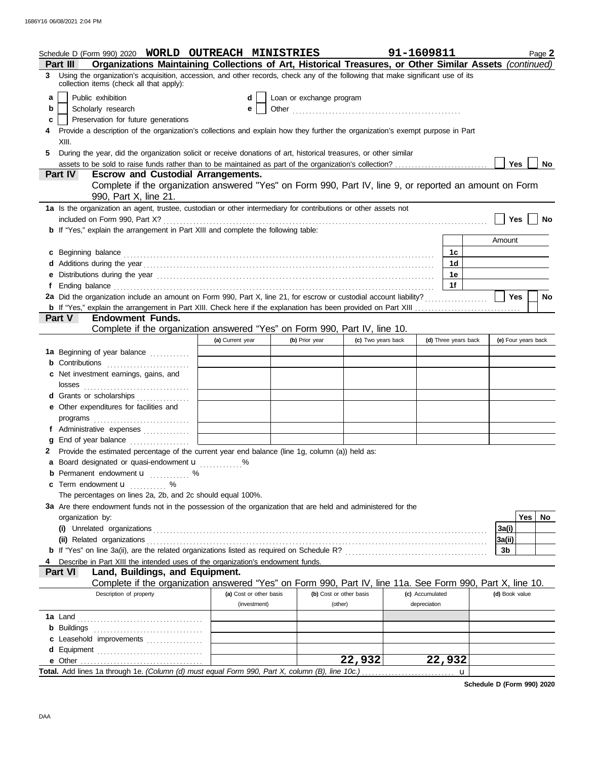| Organizations Maintaining Collections of Art, Historical Treasures, or Other Similar Assets (continued)<br>Part III                                                                                                                  |                     |
|--------------------------------------------------------------------------------------------------------------------------------------------------------------------------------------------------------------------------------------|---------------------|
| 3 Using the organization's acquisition, accession, and other records, check any of the following that make significant use of its<br>collection items (check all that apply):                                                        |                     |
| Public exhibition<br>Loan or exchange program<br>a<br>d                                                                                                                                                                              |                     |
| Scholarly research<br>b<br>е                                                                                                                                                                                                         |                     |
| Preservation for future generations<br>c                                                                                                                                                                                             |                     |
| Provide a description of the organization's collections and explain how they further the organization's exempt purpose in Part                                                                                                       |                     |
| XIII.                                                                                                                                                                                                                                |                     |
| During the year, did the organization solicit or receive donations of art, historical treasures, or other similar<br>5.                                                                                                              |                     |
|                                                                                                                                                                                                                                      | Yes<br>No           |
| <b>Part IV</b><br><b>Escrow and Custodial Arrangements.</b>                                                                                                                                                                          |                     |
| Complete if the organization answered "Yes" on Form 990, Part IV, line 9, or reported an amount on Form                                                                                                                              |                     |
| 990, Part X, line 21.                                                                                                                                                                                                                |                     |
| 1a Is the organization an agent, trustee, custodian or other intermediary for contributions or other assets not                                                                                                                      | Yes                 |
| <b>b</b> If "Yes," explain the arrangement in Part XIII and complete the following table:                                                                                                                                            | No                  |
|                                                                                                                                                                                                                                      | Amount              |
| 1c                                                                                                                                                                                                                                   |                     |
| c Beginning balance expressions and the contract of the contract of the contract of the contract of the contract of the contract of the contract of the contract of the contract of the contract of the contract of the contra<br>1d |                     |
| 1e                                                                                                                                                                                                                                   |                     |
| e Distributions during the year manufactured contains and the year manufactured with the year manufactured with the set of the set of the set of the set of the set of the set of the set of the set of the set of the set of<br>1f  |                     |
|                                                                                                                                                                                                                                      | Yes<br>No           |
|                                                                                                                                                                                                                                      |                     |
| <b>Endowment Funds.</b><br><b>Part V</b>                                                                                                                                                                                             |                     |
| Complete if the organization answered "Yes" on Form 990, Part IV, line 10.                                                                                                                                                           |                     |
| (d) Three years back<br>(a) Current year<br>(c) Two years back<br>(b) Prior year                                                                                                                                                     | (e) Four years back |
| 1a Beginning of year balance                                                                                                                                                                                                         |                     |
| <b>b</b> Contributions <b>contributions</b>                                                                                                                                                                                          |                     |
| c Net investment earnings, gains, and                                                                                                                                                                                                |                     |
|                                                                                                                                                                                                                                      |                     |
| d Grants or scholarships                                                                                                                                                                                                             |                     |
| e Other expenditures for facilities and                                                                                                                                                                                              |                     |
|                                                                                                                                                                                                                                      |                     |
| f Administrative expenses                                                                                                                                                                                                            |                     |
| End of year balance<br>a                                                                                                                                                                                                             |                     |
| 2 Provide the estimated percentage of the current year end balance (line 1g, column (a)) held as:                                                                                                                                    |                     |
| a Board designated or quasi-endowment <b>u</b>                                                                                                                                                                                       |                     |
| <b>b</b> Permanent endowment <b>u</b> %                                                                                                                                                                                              |                     |
| c Term endowment <b>u</b> %                                                                                                                                                                                                          |                     |
| The percentages on lines 2a, 2b, and 2c should equal 100%.                                                                                                                                                                           |                     |
| 3a Are there endowment funds not in the possession of the organization that are held and administered for the                                                                                                                        |                     |
| organization by:                                                                                                                                                                                                                     | Yes  <br>No         |
|                                                                                                                                                                                                                                      | 3a(i)               |
|                                                                                                                                                                                                                                      | 3a(ii)              |
|                                                                                                                                                                                                                                      | 3b                  |
| Describe in Part XIII the intended uses of the organization's endowment funds.                                                                                                                                                       |                     |
| Land, Buildings, and Equipment.<br><b>Part VI</b>                                                                                                                                                                                    |                     |
| Complete if the organization answered "Yes" on Form 990, Part IV, line 11a. See Form 990, Part X, line 10.                                                                                                                           |                     |
| Description of property<br>(a) Cost or other basis<br>(b) Cost or other basis<br>(c) Accumulated                                                                                                                                     | (d) Book value      |
| depreciation<br>(investment)<br>(other)                                                                                                                                                                                              |                     |
|                                                                                                                                                                                                                                      |                     |
|                                                                                                                                                                                                                                      |                     |
| c Leasehold improvements [11] [11] contains a leasehold improvements [11] [11] a lease to lead the lease to lead the lease to lead the lease to lead the lease to lead the lease to lead the lease to lead the lease to lead t       |                     |
| d Equipment<br>22,932<br>22,932                                                                                                                                                                                                      |                     |
| Total. Add lines 1a through 1e. (Column (d) must equal Form 990, Part X, column (B), line 10c.)<br>u                                                                                                                                 |                     |

**Schedule D (Form 990) 2020**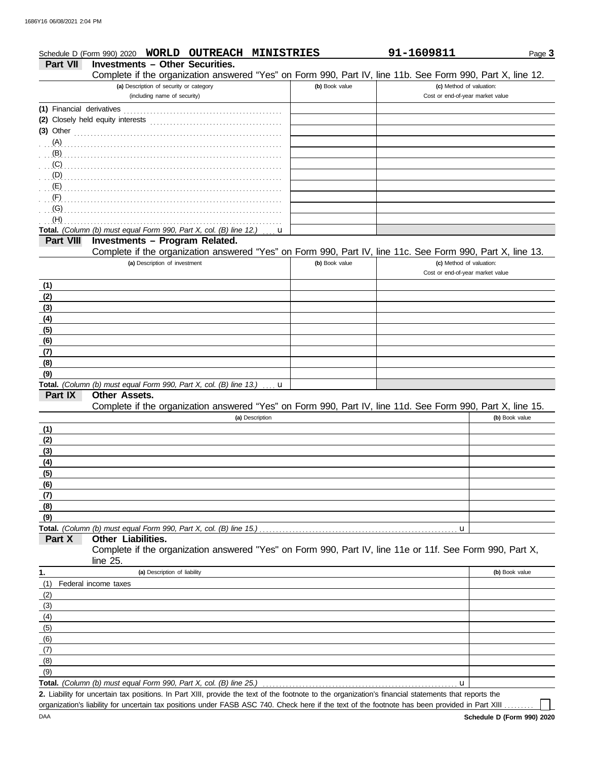|                 | <b>WORLD</b><br><b>OUTREACH MINISTRIES</b><br>Schedule D (Form 990) 2020                                   |                | 91-1609811                       | Page 3         |
|-----------------|------------------------------------------------------------------------------------------------------------|----------------|----------------------------------|----------------|
| <b>Part VII</b> | <b>Investments - Other Securities.</b>                                                                     |                |                                  |                |
|                 | Complete if the organization answered "Yes" on Form 990, Part IV, line 11b. See Form 990, Part X, line 12. |                |                                  |                |
|                 | (a) Description of security or category                                                                    | (b) Book value | (c) Method of valuation:         |                |
|                 | (including name of security)                                                                               |                | Cost or end-of-year market value |                |
|                 |                                                                                                            |                |                                  |                |
|                 | (2) Closely held equity interests                                                                          |                |                                  |                |
|                 |                                                                                                            |                |                                  |                |
| (A)<br>(B)      |                                                                                                            |                |                                  |                |
| (C)             |                                                                                                            |                |                                  |                |
| (D)             |                                                                                                            |                |                                  |                |
| (E)             |                                                                                                            |                |                                  |                |
| (F)             |                                                                                                            |                |                                  |                |
| (G)             |                                                                                                            |                |                                  |                |
| (H)             |                                                                                                            |                |                                  |                |
|                 | Total. (Column (b) must equal Form 990, Part X, col. (B) line 12.)<br>u                                    |                |                                  |                |
| Part VIII       | Investments - Program Related.                                                                             |                |                                  |                |
|                 | Complete if the organization answered "Yes" on Form 990, Part IV, line 11c. See Form 990, Part X, line 13. |                |                                  |                |
|                 | (a) Description of investment                                                                              | (b) Book value | (c) Method of valuation:         |                |
|                 |                                                                                                            |                | Cost or end-of-year market value |                |
| (1)             |                                                                                                            |                |                                  |                |
| (2)             |                                                                                                            |                |                                  |                |
| (3)             |                                                                                                            |                |                                  |                |
| (4)             |                                                                                                            |                |                                  |                |
| (5)             |                                                                                                            |                |                                  |                |
| (6)             |                                                                                                            |                |                                  |                |
| (7)             |                                                                                                            |                |                                  |                |
| (8)<br>(9)      |                                                                                                            |                |                                  |                |
|                 | Total. (Column (b) must equal Form 990, Part X, col. (B) line 13.) $\ldots$ u                              |                |                                  |                |
| Part IX         | <b>Other Assets.</b>                                                                                       |                |                                  |                |
|                 | Complete if the organization answered "Yes" on Form 990, Part IV, line 11d. See Form 990, Part X, line 15. |                |                                  |                |
|                 | (a) Description                                                                                            |                |                                  | (b) Book value |
| (1)             |                                                                                                            |                |                                  |                |
| (2)             |                                                                                                            |                |                                  |                |
| (3)             |                                                                                                            |                |                                  |                |
| (4)             |                                                                                                            |                |                                  |                |
| (5)             |                                                                                                            |                |                                  |                |
| (6)             |                                                                                                            |                |                                  |                |
| (7)             |                                                                                                            |                |                                  |                |
| (8)             |                                                                                                            |                |                                  |                |
| (9)             |                                                                                                            |                |                                  |                |
| Part X          | Other Liabilities.                                                                                         |                | u                                |                |
|                 | Complete if the organization answered "Yes" on Form 990, Part IV, line 11e or 11f. See Form 990, Part X,   |                |                                  |                |
|                 | line 25.                                                                                                   |                |                                  |                |
| 1.              | (a) Description of liability                                                                               |                |                                  | (b) Book value |
| (1)             | Federal income taxes                                                                                       |                |                                  |                |
| (2)             |                                                                                                            |                |                                  |                |
| (3)             |                                                                                                            |                |                                  |                |
| (4)             |                                                                                                            |                |                                  |                |
| (5)             |                                                                                                            |                |                                  |                |
| (6)             |                                                                                                            |                |                                  |                |
| (7)             |                                                                                                            |                |                                  |                |
| (8)             |                                                                                                            |                |                                  |                |
| (9)             |                                                                                                            |                |                                  |                |
|                 | Total. (Column (b) must equal Form 990, Part X, col. (B) line 25.)                                         |                | u                                |                |

Liability for uncertain tax positions. In Part XIII, provide the text of the footnote to the organization's financial statements that reports the **2.**

organization's liability for uncertain tax positions under FASB ASC 740. Check here if the text of the footnote has been provided in Part XIII .

 $\Box$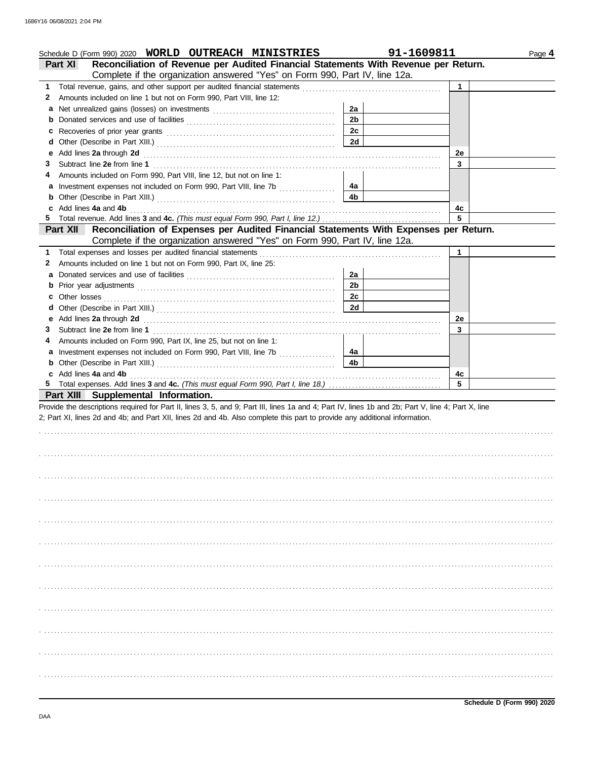|    | Schedule D (Form 990) 2020 WORLD OUTREACH MINISTRIES                                                                                                                                                                          | 91-1609811     |             | Page 4 |
|----|-------------------------------------------------------------------------------------------------------------------------------------------------------------------------------------------------------------------------------|----------------|-------------|--------|
|    | Reconciliation of Revenue per Audited Financial Statements With Revenue per Return.<br><b>Part XI</b>                                                                                                                         |                |             |        |
|    | Complete if the organization answered "Yes" on Form 990, Part IV, line 12a.                                                                                                                                                   |                |             |        |
| 1. | Total revenue, gains, and other support per audited financial statements [111] [11] Total revenues were reversed to the statements [11] Total reverse reverse reverse reverse reverse reverse reverse reverse reverse reverse |                | 1           |        |
| 2  | Amounts included on line 1 but not on Form 990, Part VIII, line 12:                                                                                                                                                           |                |             |        |
| a  |                                                                                                                                                                                                                               | 2a             |             |        |
| b  |                                                                                                                                                                                                                               | 2 <sub>b</sub> |             |        |
| c  | Recoveries of prior year grants [11] recovering the contract of prior year grants                                                                                                                                             | 2c             |             |        |
| d  |                                                                                                                                                                                                                               | 2d             |             |        |
| е  | Add lines 2a through 2d                                                                                                                                                                                                       |                | 2e          |        |
| З  | Subtract line 2e from line 1                                                                                                                                                                                                  |                | 3           |        |
| 4  | Amounts included on Form 990, Part VIII, line 12, but not on line 1:                                                                                                                                                          |                |             |        |
| а  |                                                                                                                                                                                                                               | 4a             |             |        |
| b  |                                                                                                                                                                                                                               | 4b             |             |        |
| c  | Add lines 4a and 4b                                                                                                                                                                                                           |                | 4с          |        |
|    |                                                                                                                                                                                                                               |                | 5           |        |
|    | Reconciliation of Expenses per Audited Financial Statements With Expenses per Return.<br><b>Part XII</b>                                                                                                                      |                |             |        |
|    | Complete if the organization answered "Yes" on Form 990, Part IV, line 12a.                                                                                                                                                   |                |             |        |
| 1. | Total expenses and losses per audited financial statements                                                                                                                                                                    |                | $\mathbf 1$ |        |
| 2  | Amounts included on line 1 but not on Form 990, Part IX, line 25:                                                                                                                                                             |                |             |        |
| a  |                                                                                                                                                                                                                               | 2a             |             |        |
| b  |                                                                                                                                                                                                                               | 2 <sub>b</sub> |             |        |
| с  |                                                                                                                                                                                                                               | 2c             |             |        |
| d  |                                                                                                                                                                                                                               | 2d             |             |        |
| е  |                                                                                                                                                                                                                               |                | 2e          |        |
| З  |                                                                                                                                                                                                                               |                | 3           |        |
| 4  | Amounts included on Form 990, Part IX, line 25, but not on line 1:                                                                                                                                                            |                |             |        |
| a  |                                                                                                                                                                                                                               | 4a             |             |        |
|    |                                                                                                                                                                                                                               | 4b             |             |        |
| b  |                                                                                                                                                                                                                               |                |             |        |
|    |                                                                                                                                                                                                                               |                |             |        |
|    | c Add lines 4a and 4b                                                                                                                                                                                                         |                | 4с          |        |
|    |                                                                                                                                                                                                                               |                | 5           |        |
|    | Part XIII Supplemental Information.                                                                                                                                                                                           |                |             |        |
|    | Provide the descriptions required for Part II, lines 3, 5, and 9; Part III, lines 1a and 4; Part IV, lines 1b and 2b; Part V, line 4; Part X, line                                                                            |                |             |        |
|    | 2; Part XI, lines 2d and 4b; and Part XII, lines 2d and 4b. Also complete this part to provide any additional information.                                                                                                    |                |             |        |
|    |                                                                                                                                                                                                                               |                |             |        |
|    |                                                                                                                                                                                                                               |                |             |        |
|    |                                                                                                                                                                                                                               |                |             |        |
|    |                                                                                                                                                                                                                               |                |             |        |
|    |                                                                                                                                                                                                                               |                |             |        |
|    |                                                                                                                                                                                                                               |                |             |        |
|    |                                                                                                                                                                                                                               |                |             |        |
|    |                                                                                                                                                                                                                               |                |             |        |
|    |                                                                                                                                                                                                                               |                |             |        |
|    |                                                                                                                                                                                                                               |                |             |        |
|    |                                                                                                                                                                                                                               |                |             |        |
|    |                                                                                                                                                                                                                               |                |             |        |
|    |                                                                                                                                                                                                                               |                |             |        |
|    |                                                                                                                                                                                                                               |                |             |        |
|    |                                                                                                                                                                                                                               |                |             |        |
|    |                                                                                                                                                                                                                               |                |             |        |
|    |                                                                                                                                                                                                                               |                |             |        |
|    |                                                                                                                                                                                                                               |                |             |        |
|    |                                                                                                                                                                                                                               |                |             |        |
|    |                                                                                                                                                                                                                               |                |             |        |
|    |                                                                                                                                                                                                                               |                |             |        |
|    |                                                                                                                                                                                                                               |                |             |        |
|    |                                                                                                                                                                                                                               |                |             |        |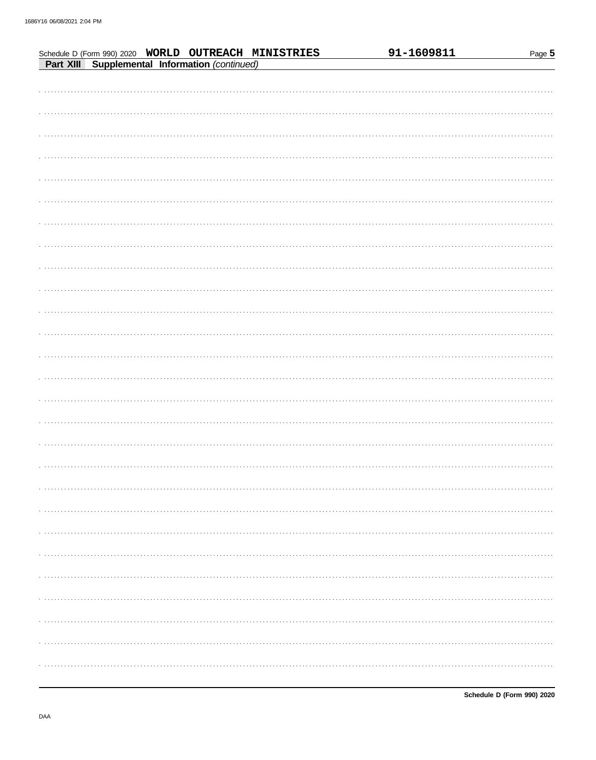|  |  |                                                                                                        | 91-1609811 | Page 5 |
|--|--|--------------------------------------------------------------------------------------------------------|------------|--------|
|  |  | Schedule D (Form 990) 2020 WORLD OUTREACH MINISTRIES<br>Part XIII Supplemental Information (continued) |            |        |
|  |  |                                                                                                        |            |        |
|  |  |                                                                                                        |            |        |
|  |  |                                                                                                        |            |        |
|  |  |                                                                                                        |            |        |
|  |  |                                                                                                        |            |        |
|  |  |                                                                                                        |            |        |
|  |  |                                                                                                        |            |        |
|  |  |                                                                                                        |            |        |
|  |  |                                                                                                        |            |        |
|  |  |                                                                                                        |            |        |
|  |  |                                                                                                        |            |        |
|  |  |                                                                                                        |            |        |
|  |  |                                                                                                        |            |        |
|  |  |                                                                                                        |            |        |
|  |  |                                                                                                        |            |        |
|  |  |                                                                                                        |            |        |
|  |  |                                                                                                        |            |        |
|  |  |                                                                                                        |            |        |
|  |  |                                                                                                        |            |        |
|  |  |                                                                                                        |            |        |
|  |  |                                                                                                        |            |        |
|  |  |                                                                                                        |            |        |
|  |  |                                                                                                        |            |        |
|  |  |                                                                                                        |            |        |
|  |  |                                                                                                        |            |        |
|  |  |                                                                                                        |            |        |
|  |  |                                                                                                        |            |        |
|  |  |                                                                                                        |            |        |
|  |  |                                                                                                        |            |        |
|  |  |                                                                                                        |            |        |
|  |  |                                                                                                        |            |        |
|  |  |                                                                                                        |            |        |
|  |  |                                                                                                        |            |        |
|  |  |                                                                                                        |            |        |
|  |  |                                                                                                        |            |        |
|  |  |                                                                                                        |            |        |
|  |  |                                                                                                        |            |        |
|  |  |                                                                                                        |            |        |
|  |  |                                                                                                        |            |        |
|  |  |                                                                                                        |            |        |
|  |  |                                                                                                        |            |        |
|  |  |                                                                                                        |            |        |
|  |  |                                                                                                        |            |        |
|  |  |                                                                                                        |            |        |
|  |  |                                                                                                        |            |        |
|  |  |                                                                                                        |            |        |
|  |  |                                                                                                        |            |        |
|  |  |                                                                                                        |            |        |
|  |  |                                                                                                        |            |        |
|  |  |                                                                                                        |            |        |
|  |  |                                                                                                        |            |        |
|  |  |                                                                                                        |            |        |
|  |  |                                                                                                        |            |        |
|  |  |                                                                                                        |            |        |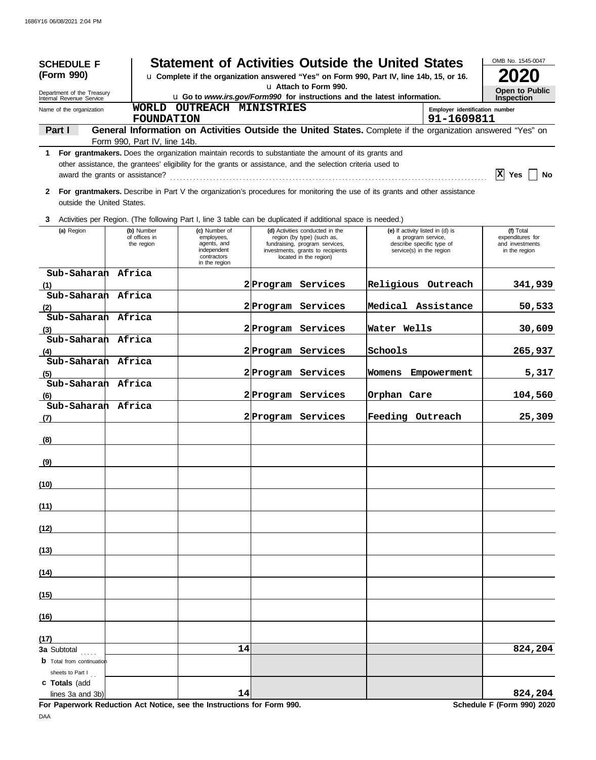| <b>SCHEDULE F</b>                                                                                      |                              | <b>Statement of Activities Outside the United States</b>                                                                                                                                                             |                    |                                                                                               |                                                        |                                              | OMB No. 1545-0047                |
|--------------------------------------------------------------------------------------------------------|------------------------------|----------------------------------------------------------------------------------------------------------------------------------------------------------------------------------------------------------------------|--------------------|-----------------------------------------------------------------------------------------------|--------------------------------------------------------|----------------------------------------------|----------------------------------|
| (Form 990)<br>u Complete if the organization answered "Yes" on Form 990, Part IV, line 14b, 15, or 16. |                              |                                                                                                                                                                                                                      |                    |                                                                                               |                                                        |                                              |                                  |
| Department of the Treasury<br>Internal Revenue Service                                                 |                              | u Attach to Form 990.<br>u Go to www.irs.gov/Form990 for instructions and the latest information.                                                                                                                    |                    |                                                                                               |                                                        |                                              |                                  |
| Name of the organization                                                                               | <b>FOUNDATION</b>            | WORLD OUTREACH MINISTRIES                                                                                                                                                                                            |                    |                                                                                               |                                                        | Employer identification number<br>91-1609811 | <b>Inspection</b>                |
| Part I                                                                                                 |                              | General Information on Activities Outside the United States. Complete if the organization answered "Yes" on                                                                                                          |                    |                                                                                               |                                                        |                                              |                                  |
|                                                                                                        | Form 990, Part IV, line 14b. |                                                                                                                                                                                                                      |                    |                                                                                               |                                                        |                                              |                                  |
| 1.<br>award the grants or assistance?                                                                  |                              | For grantmakers. Does the organization maintain records to substantiate the amount of its grants and<br>other assistance, the grantees' eligibility for the grants or assistance, and the selection criteria used to |                    |                                                                                               |                                                        |                                              | IхI<br><b>Yes</b><br>No          |
| $\mathbf{2}$<br>outside the United States.                                                             |                              | For grantmakers. Describe in Part V the organization's procedures for monitoring the use of its grants and other assistance                                                                                          |                    |                                                                                               |                                                        |                                              |                                  |
| 3                                                                                                      |                              | Activities per Region. (The following Part I, line 3 table can be duplicated if additional space is needed.)                                                                                                         |                    |                                                                                               |                                                        |                                              |                                  |
| (a) Region                                                                                             | (b) Number<br>of offices in  | (c) Number of<br>employees,                                                                                                                                                                                          |                    | (d) Activities conducted in the<br>region (by type) (such as,                                 | (e) If activity listed in (d) is<br>a program service, |                                              | (f) Total<br>expenditures for    |
|                                                                                                        | the region                   | agents, and<br>independent<br>contractors<br>in the region                                                                                                                                                           |                    | fundraising, program services,<br>investments, grants to recipients<br>located in the region) | describe specific type of<br>service(s) in the region  |                                              | and investments<br>in the region |
| Sub-Saharan Africa                                                                                     |                              |                                                                                                                                                                                                                      | 2 Program Services |                                                                                               | Religious Outreach                                     |                                              | 341,939                          |
| (1)<br>Sub-Saharan Africa                                                                              |                              |                                                                                                                                                                                                                      |                    |                                                                                               |                                                        |                                              |                                  |
| (2)                                                                                                    |                              |                                                                                                                                                                                                                      | 2 Program Services |                                                                                               | Medical Assistance                                     |                                              | 50,533                           |
| Sub-Saharan Africa<br>(3)                                                                              |                              |                                                                                                                                                                                                                      | 2 Program Services |                                                                                               | Water Wells                                            |                                              | 30,609                           |
| Sub-Saharan Africa                                                                                     |                              |                                                                                                                                                                                                                      |                    |                                                                                               |                                                        |                                              |                                  |
| (4)                                                                                                    |                              |                                                                                                                                                                                                                      | 2 Program Services |                                                                                               | Schools                                                |                                              | 265,937                          |
| Sub-Saharan Africa<br>(5)                                                                              |                              |                                                                                                                                                                                                                      | 2 Program Services |                                                                                               | Womens                                                 | Empowerment                                  | 5,317                            |
| Sub-Saharan Africa<br>(6)                                                                              |                              |                                                                                                                                                                                                                      |                    | 2 Program Services                                                                            | Orphan Care                                            |                                              | 104,560                          |
| Sub-Saharan Africa<br>(7)                                                                              |                              |                                                                                                                                                                                                                      |                    | 2 Program Services                                                                            | Feeding Outreach                                       |                                              | 25,309                           |
|                                                                                                        |                              |                                                                                                                                                                                                                      |                    |                                                                                               |                                                        |                                              |                                  |
| (8)                                                                                                    |                              |                                                                                                                                                                                                                      |                    |                                                                                               |                                                        |                                              |                                  |
| (9)                                                                                                    |                              |                                                                                                                                                                                                                      |                    |                                                                                               |                                                        |                                              |                                  |
| (10)                                                                                                   |                              |                                                                                                                                                                                                                      |                    |                                                                                               |                                                        |                                              |                                  |
| (11)                                                                                                   |                              |                                                                                                                                                                                                                      |                    |                                                                                               |                                                        |                                              |                                  |
| (12)                                                                                                   |                              |                                                                                                                                                                                                                      |                    |                                                                                               |                                                        |                                              |                                  |
| (13)                                                                                                   |                              |                                                                                                                                                                                                                      |                    |                                                                                               |                                                        |                                              |                                  |
| (14)                                                                                                   |                              |                                                                                                                                                                                                                      |                    |                                                                                               |                                                        |                                              |                                  |
| (15)                                                                                                   |                              |                                                                                                                                                                                                                      |                    |                                                                                               |                                                        |                                              |                                  |
| (16)                                                                                                   |                              |                                                                                                                                                                                                                      |                    |                                                                                               |                                                        |                                              |                                  |
| (17)                                                                                                   |                              |                                                                                                                                                                                                                      |                    |                                                                                               |                                                        |                                              |                                  |
| <b>3a Subtotal</b><br><b>b</b> Total from continuation                                                 |                              | 14                                                                                                                                                                                                                   |                    |                                                                                               |                                                        |                                              | 824,204                          |
| sheets to Part I<br>c Totals (add<br>lines 3a and 3b)                                                  |                              | 14                                                                                                                                                                                                                   |                    |                                                                                               |                                                        |                                              | 824,204                          |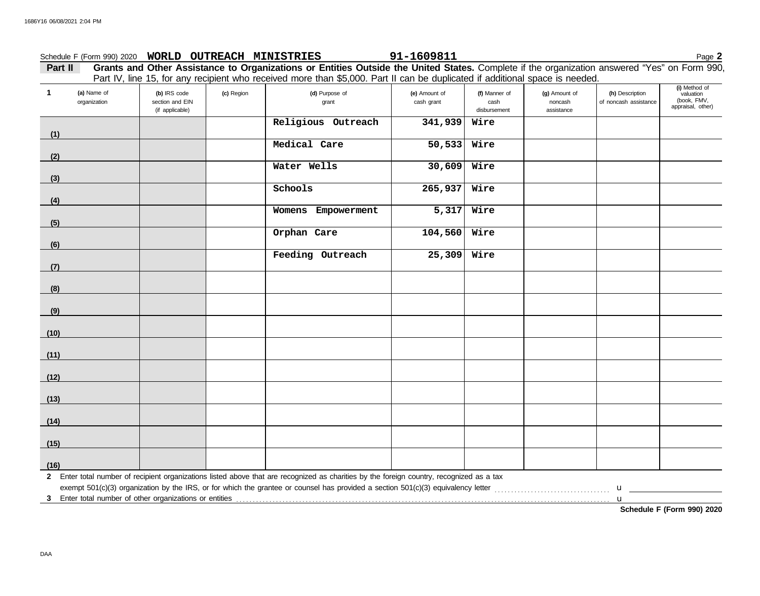### **Part II Grants and Other Assistance to Organizations or Entities Outside the United States.** Complete if the organization answered "Yes" on Form 990, Schedule F (Form 990) 2020 Page **2 WORLD OUTREACH MINISTRIES 91-1609811**

Part IV, line 15, for any recipient who received more than \$5,000. Part II can be duplicated if additional space is needed.

| $\mathbf{1}$ | (a) Name of<br>organization | (b) IRS code<br>section and EIN<br>(if applicable) | (c) Region | (d) Purpose of<br>grant                                                                                                                   | (e) Amount of<br>cash grant | (f) Manner of<br>cash<br>disbursement | (g) Amount of<br>noncash<br>assistance | (h) Description<br>of noncash assistance | (i) Method of<br>valuation<br>(book, FMV,<br>appraisal, other) |
|--------------|-----------------------------|----------------------------------------------------|------------|-------------------------------------------------------------------------------------------------------------------------------------------|-----------------------------|---------------------------------------|----------------------------------------|------------------------------------------|----------------------------------------------------------------|
| (1)          |                             |                                                    |            | Religious Outreach                                                                                                                        | 341,939                     | Wire                                  |                                        |                                          |                                                                |
| (2)          |                             |                                                    |            | Medical Care                                                                                                                              | 50, 533                     | Wire                                  |                                        |                                          |                                                                |
| (3)          |                             |                                                    |            | Water Wells                                                                                                                               | 30,609                      | Wire                                  |                                        |                                          |                                                                |
| (4)          |                             |                                                    |            | Schools                                                                                                                                   | 265,937                     | Wire                                  |                                        |                                          |                                                                |
| (5)          |                             |                                                    |            | Womens Empowerment                                                                                                                        | 5,317                       | Wire                                  |                                        |                                          |                                                                |
| (6)          |                             |                                                    |            | Orphan Care                                                                                                                               | 104,560                     | Wire                                  |                                        |                                          |                                                                |
| (7)          |                             |                                                    |            | Feeding Outreach                                                                                                                          | 25,309                      | Wire                                  |                                        |                                          |                                                                |
| (8)          |                             |                                                    |            |                                                                                                                                           |                             |                                       |                                        |                                          |                                                                |
| (9)          |                             |                                                    |            |                                                                                                                                           |                             |                                       |                                        |                                          |                                                                |
| (10)         |                             |                                                    |            |                                                                                                                                           |                             |                                       |                                        |                                          |                                                                |
| (11)         |                             |                                                    |            |                                                                                                                                           |                             |                                       |                                        |                                          |                                                                |
| (12)         |                             |                                                    |            |                                                                                                                                           |                             |                                       |                                        |                                          |                                                                |
| (13)         |                             |                                                    |            |                                                                                                                                           |                             |                                       |                                        |                                          |                                                                |
| (14)         |                             |                                                    |            |                                                                                                                                           |                             |                                       |                                        |                                          |                                                                |
| (15)         |                             |                                                    |            |                                                                                                                                           |                             |                                       |                                        |                                          |                                                                |
| (16)         |                             |                                                    |            |                                                                                                                                           |                             |                                       |                                        |                                          |                                                                |
|              |                             |                                                    |            | 2 Enter total number of recipient organizations listed above that are recognized as charities by the foreign country, recognized as a tax |                             |                                       |                                        |                                          |                                                                |
|              |                             |                                                    |            |                                                                                                                                           |                             |                                       |                                        | $\mathbf{u}$                             | Schedule F (Form 990) 2020                                     |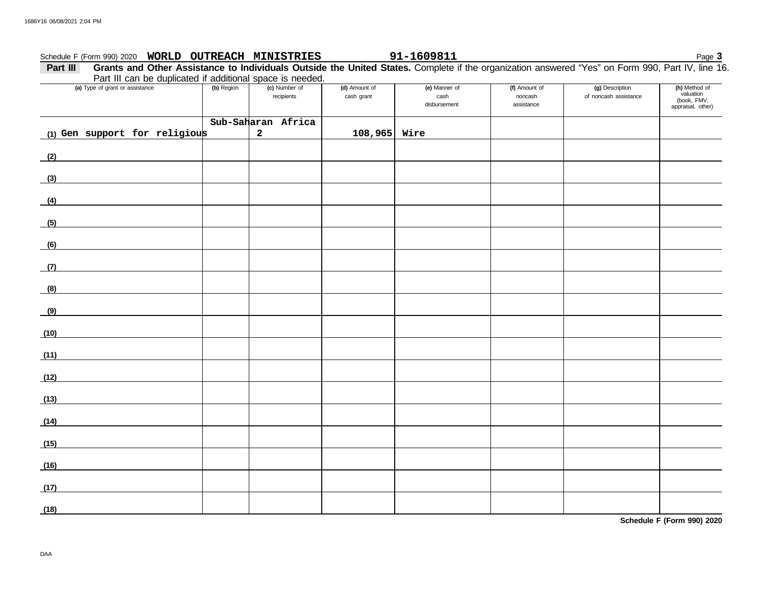#### recipients Schedule F (Form 990) 2020 Page **3 WORLD OUTREACH MINISTRIES 91-1609811 Part III** Grants and Other Assistance to Individuals Outside the United States. Complete if the organization answered "Yes" on Form 990, Part IV, line 16. disbursement cash grant and cash **(a)** Type of grant or assistance **(b)** Region **(c)** Number of **(d)** Amount of **(e)** Manner of **(f)** Amount of noncash assistance of noncash assistance **(g)** Description (h) Method of<br>valuation (book, FMV, appraisal, other) Part III can be duplicated if additional space is needed. **(1) Gen support for religious (2) (3) (4) (5) (6) (7) (8) Sub-Saharan Africa 2 108,965 Wire**

| (8)  |  |  |  |  |
|------|--|--|--|--|
| (9)  |  |  |  |  |
| (10) |  |  |  |  |
|      |  |  |  |  |
| (11) |  |  |  |  |
| (12) |  |  |  |  |
| (13) |  |  |  |  |
| (14) |  |  |  |  |
| (15) |  |  |  |  |
| (16) |  |  |  |  |
| (17) |  |  |  |  |
| (18) |  |  |  |  |

**Schedule F (Form 990) 2020**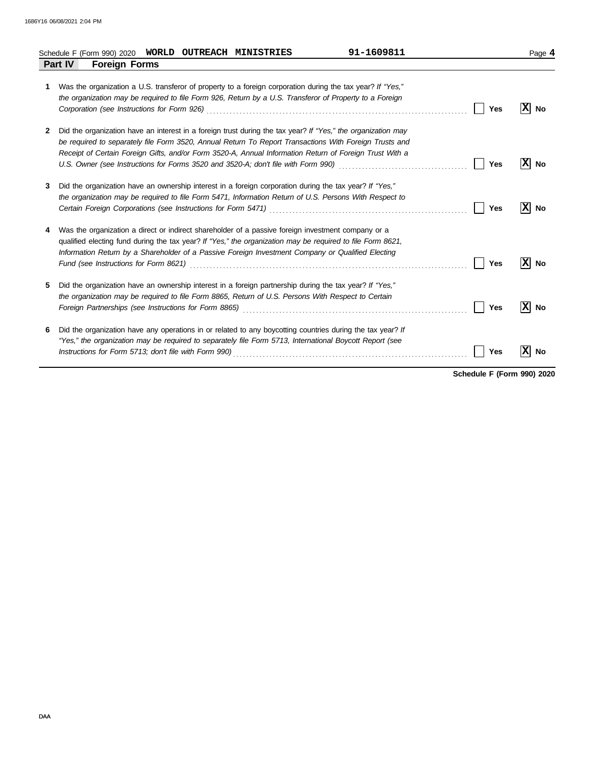|   | 91-1609811<br>WORLD<br><b>OUTREACH MINISTRIES</b><br>Schedule F (Form 990) 2020                                                                                                                                                                                                                                                                                                                                                                     |            | Page 4          |
|---|-----------------------------------------------------------------------------------------------------------------------------------------------------------------------------------------------------------------------------------------------------------------------------------------------------------------------------------------------------------------------------------------------------------------------------------------------------|------------|-----------------|
|   | <b>Foreign Forms</b><br><b>Part IV</b>                                                                                                                                                                                                                                                                                                                                                                                                              |            |                 |
| 1 | Was the organization a U.S. transferor of property to a foreign corporation during the tax year? If "Yes,"<br>the organization may be required to file Form 926, Return by a U.S. Transferor of Property to a Foreign                                                                                                                                                                                                                               | <b>Yes</b> | ΙX<br><b>No</b> |
| 2 | Did the organization have an interest in a foreign trust during the tax year? If "Yes," the organization may<br>be required to separately file Form 3520, Annual Return To Report Transactions With Foreign Trusts and<br>Receipt of Certain Foreign Gifts, and/or Form 3520-A, Annual Information Return of Foreign Trust With a<br>U.S. Owner (see Instructions for Forms 3520 and 3520-A; don't file with Form 990) [[[[[[[[[[[[[[[[[[[[[[[[[[[[ | Yes        | x<br>No         |
| 3 | Did the organization have an ownership interest in a foreign corporation during the tax year? If "Yes,"<br>the organization may be required to file Form 5471, Information Return of U.S. Persons With Respect to                                                                                                                                                                                                                                   | Yes        | X <br>No        |
| 4 | Was the organization a direct or indirect shareholder of a passive foreign investment company or a<br>qualified electing fund during the tax year? If "Yes," the organization may be required to file Form 8621,<br>Information Return by a Shareholder of a Passive Foreign Investment Company or Qualified Electing                                                                                                                               | <b>Yes</b> | x <br>No        |
| 5 | Did the organization have an ownership interest in a foreign partnership during the tax year? If "Yes,"<br>the organization may be required to file Form 8865, Return of U.S. Persons With Respect to Certain                                                                                                                                                                                                                                       | Yes        | x <br><b>No</b> |
| 6 | Did the organization have any operations in or related to any boycotting countries during the tax year? If<br>"Yes," the organization may be required to separately file Form 5713, International Boycott Report (see                                                                                                                                                                                                                               | Yes        | X<br>No         |

**Schedule F (Form 990) 2020**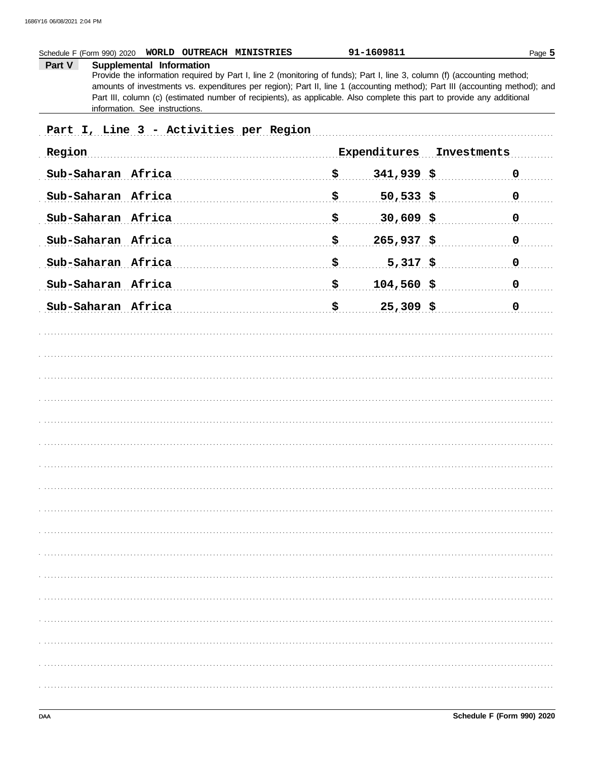|        | Schedule F (Form 990) 2020<br>WORLD OUTREACH MINISTRIES                                                                                                                                                                                                                                                                                                                                                        |                           | 91-1609811               | Page 5      |
|--------|----------------------------------------------------------------------------------------------------------------------------------------------------------------------------------------------------------------------------------------------------------------------------------------------------------------------------------------------------------------------------------------------------------------|---------------------------|--------------------------|-------------|
| Part V | Supplemental Information<br>Provide the information required by Part I, line 2 (monitoring of funds); Part I, line 3, column (f) (accounting method;<br>amounts of investments vs. expenditures per region); Part II, line 1 (accounting method); Part III (accounting method); and<br>Part III, column (c) (estimated number of recipients), as applicable. Also complete this part to provide any additional |                           |                          |             |
|        | information. See instructions.                                                                                                                                                                                                                                                                                                                                                                                 |                           |                          |             |
|        | Part I, Line 3 - Activities per Region                                                                                                                                                                                                                                                                                                                                                                         |                           |                          |             |
| Region |                                                                                                                                                                                                                                                                                                                                                                                                                |                           | Expenditures Investments |             |
|        | Sub-Saharan Africa                                                                                                                                                                                                                                                                                                                                                                                             | <u>\$</u>                 | $341,939$ \$             | $\mathbf 0$ |
|        | Sub-Saharan Africa                                                                                                                                                                                                                                                                                                                                                                                             | \$                        | $50,533$ \$              | $\mathbf 0$ |
|        | Sub-Saharan Africa                                                                                                                                                                                                                                                                                                                                                                                             | \$                        | $30,609$ \$              | $\mathbf 0$ |
|        | Sub-Saharan Africa                                                                                                                                                                                                                                                                                                                                                                                             | $\boldsymbol{\mathsf{S}}$ | $265,937$ \$             | $\mathbf 0$ |
|        | Sub-Saharan Africa                                                                                                                                                                                                                                                                                                                                                                                             | \$                        | $5,317$ \$               | $\mathbf 0$ |
|        | Sub-Saharan Africa                                                                                                                                                                                                                                                                                                                                                                                             | $\mathbf{S}_{\perp}$      | $104,560$ \$             | $\mathbf 0$ |
|        | Sub-Saharan Africa                                                                                                                                                                                                                                                                                                                                                                                             | <u>\$</u>                 | $25,309$ \$              | $\mathbf 0$ |
|        |                                                                                                                                                                                                                                                                                                                                                                                                                |                           |                          |             |
|        |                                                                                                                                                                                                                                                                                                                                                                                                                |                           |                          |             |
|        |                                                                                                                                                                                                                                                                                                                                                                                                                |                           |                          |             |
|        |                                                                                                                                                                                                                                                                                                                                                                                                                |                           |                          |             |
|        |                                                                                                                                                                                                                                                                                                                                                                                                                |                           |                          |             |
|        |                                                                                                                                                                                                                                                                                                                                                                                                                |                           |                          |             |
|        |                                                                                                                                                                                                                                                                                                                                                                                                                |                           |                          |             |
|        |                                                                                                                                                                                                                                                                                                                                                                                                                |                           |                          |             |
|        |                                                                                                                                                                                                                                                                                                                                                                                                                |                           |                          |             |
|        |                                                                                                                                                                                                                                                                                                                                                                                                                |                           |                          |             |
|        |                                                                                                                                                                                                                                                                                                                                                                                                                |                           |                          |             |
|        |                                                                                                                                                                                                                                                                                                                                                                                                                |                           |                          |             |
|        |                                                                                                                                                                                                                                                                                                                                                                                                                |                           |                          |             |
|        |                                                                                                                                                                                                                                                                                                                                                                                                                |                           |                          |             |
|        |                                                                                                                                                                                                                                                                                                                                                                                                                |                           |                          |             |
|        |                                                                                                                                                                                                                                                                                                                                                                                                                |                           |                          |             |
|        |                                                                                                                                                                                                                                                                                                                                                                                                                |                           |                          |             |
|        |                                                                                                                                                                                                                                                                                                                                                                                                                |                           |                          |             |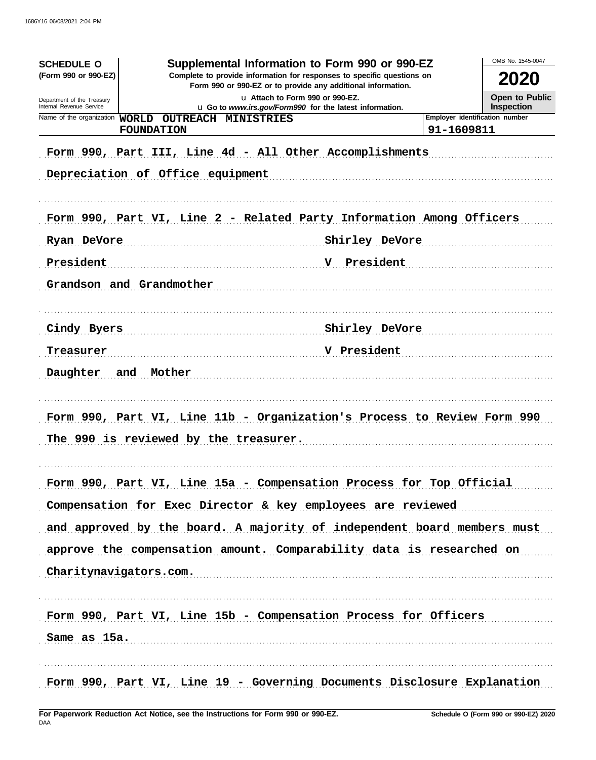| <b>SCHEDULE O</b><br>(Form 990 or 990-EZ)<br>Department of the Treasury<br>Internal Revenue Service | Supplemental Information to Form 990 or 990-EZ<br>Complete to provide information for responses to specific questions on<br>Form 990 or 990-EZ or to provide any additional information.<br>u Attach to Form 990 or 990-EZ.<br>u Go to www.irs.gov/Form990 for the latest information. |                                              |  |  |  |  |
|-----------------------------------------------------------------------------------------------------|----------------------------------------------------------------------------------------------------------------------------------------------------------------------------------------------------------------------------------------------------------------------------------------|----------------------------------------------|--|--|--|--|
| Name of the organization<br><b>WORLD</b>                                                            | <b>OUTREACH MINISTRIES</b><br><b>FOUNDATION</b>                                                                                                                                                                                                                                        | Employer identification number<br>91-1609811 |  |  |  |  |
|                                                                                                     | Form 990, Part III, Line 4d - All Other Accomplishments<br>Depreciation of Office equipment                                                                                                                                                                                            |                                              |  |  |  |  |
|                                                                                                     | Form 990, Part VI, Line 2 - Related Party Information Among Officers                                                                                                                                                                                                                   |                                              |  |  |  |  |
| Ryan DeVore                                                                                         | Shirley DeVore                                                                                                                                                                                                                                                                         |                                              |  |  |  |  |
| President                                                                                           | V President                                                                                                                                                                                                                                                                            |                                              |  |  |  |  |
| Grandson and Grandmother                                                                            |                                                                                                                                                                                                                                                                                        |                                              |  |  |  |  |
| Cindy Byers                                                                                         | Shirley DeVore                                                                                                                                                                                                                                                                         |                                              |  |  |  |  |
| Treasurer                                                                                           | V President                                                                                                                                                                                                                                                                            |                                              |  |  |  |  |
| Daughter<br>and                                                                                     | Mother                                                                                                                                                                                                                                                                                 |                                              |  |  |  |  |
|                                                                                                     | Form 990, Part VI, Line 11b - Organization's Process to Review Form 990<br>The 990 is reviewed by the treasurer.                                                                                                                                                                       |                                              |  |  |  |  |
|                                                                                                     | Form 990, Part VI, Line 15a - Compensation Process for Top Official<br>Compensation for Exec Director & key employees are reviewed                                                                                                                                                     |                                              |  |  |  |  |
|                                                                                                     |                                                                                                                                                                                                                                                                                        |                                              |  |  |  |  |
|                                                                                                     | and approved by the board. A majority of independent board members must                                                                                                                                                                                                                |                                              |  |  |  |  |
|                                                                                                     | approve the compensation amount. Comparability data is researched on                                                                                                                                                                                                                   |                                              |  |  |  |  |
| Charitynavigators.com.                                                                              |                                                                                                                                                                                                                                                                                        |                                              |  |  |  |  |
|                                                                                                     | Form 990, Part VI, Line 15b - Compensation Process for Officers                                                                                                                                                                                                                        |                                              |  |  |  |  |
| Same as 15a.                                                                                        |                                                                                                                                                                                                                                                                                        |                                              |  |  |  |  |
|                                                                                                     | Form 990, Part VI, Line 19 - Governing Documents Disclosure Explanation                                                                                                                                                                                                                |                                              |  |  |  |  |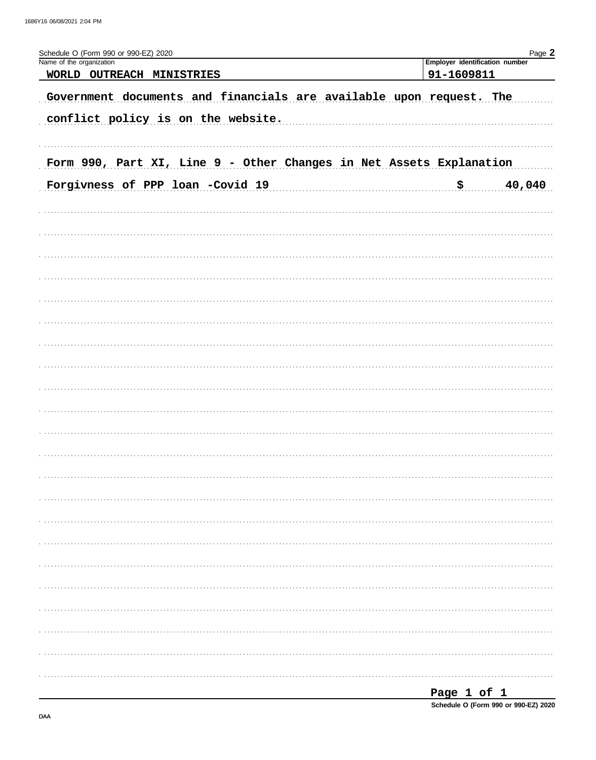| Schedule O (Form 990 or 990-EZ) 2020                                                                      | Page 2                                       |
|-----------------------------------------------------------------------------------------------------------|----------------------------------------------|
| Name of the organization<br>WORLD OUTREACH MINISTRIES                                                     | Employer identification number<br>91-1609811 |
| Government documents and financials are available upon request. The<br>conflict policy is on the website. |                                              |
| Form 990, Part XI, Line 9 - Other Changes in Net Assets Explanation<br>Forgivness of PPP loan -Covid 19   | 40,040<br>. \$                               |
|                                                                                                           |                                              |
|                                                                                                           |                                              |
|                                                                                                           |                                              |
|                                                                                                           |                                              |
|                                                                                                           |                                              |
|                                                                                                           |                                              |
|                                                                                                           |                                              |
|                                                                                                           |                                              |
|                                                                                                           |                                              |
|                                                                                                           | Page 1 of 1                                  |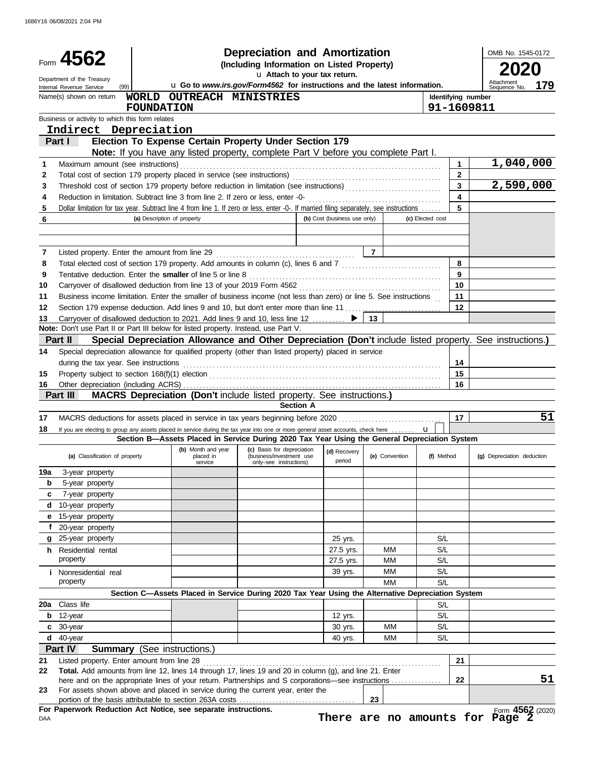|        |                                                                                                                                                                                                                             |                                    |                                            | <b>Depreciation and Amortization</b>                                                                     |                              |                        |                |                |                  |                                  | OMB No. 1545-0172               |     |
|--------|-----------------------------------------------------------------------------------------------------------------------------------------------------------------------------------------------------------------------------|------------------------------------|--------------------------------------------|----------------------------------------------------------------------------------------------------------|------------------------------|------------------------|----------------|----------------|------------------|----------------------------------|---------------------------------|-----|
|        | Form 4562                                                                                                                                                                                                                   |                                    |                                            | (Including Information on Listed Property)<br>u Attach to your tax return.                               |                              |                        |                |                |                  |                                  |                                 |     |
|        | Department of the Treasury<br>(99)<br>Internal Revenue Service                                                                                                                                                              |                                    |                                            | u Go to www.irs.gov/Form4562 for instructions and the latest information.                                |                              |                        |                |                |                  |                                  | Attachment<br>Sequence No.      | 179 |
|        | Name(s) shown on return                                                                                                                                                                                                     |                                    |                                            | WORLD OUTREACH MINISTRIES                                                                                |                              |                        |                |                |                  | Identifying number               |                                 |     |
|        |                                                                                                                                                                                                                             | <b>FOUNDATION</b>                  |                                            |                                                                                                          |                              |                        |                |                |                  | 91-1609811                       |                                 |     |
|        | Business or activity to which this form relates                                                                                                                                                                             |                                    |                                            |                                                                                                          |                              |                        |                |                |                  |                                  |                                 |     |
|        | Indirect Depreciation                                                                                                                                                                                                       |                                    |                                            |                                                                                                          |                              |                        |                |                |                  |                                  |                                 |     |
|        | Part I                                                                                                                                                                                                                      |                                    |                                            | Election To Expense Certain Property Under Section 179                                                   |                              |                        |                |                |                  |                                  |                                 |     |
|        |                                                                                                                                                                                                                             |                                    |                                            | <b>Note:</b> If you have any listed property, complete Part V before you complete Part I.                |                              |                        |                |                |                  |                                  |                                 |     |
| 1      | Maximum amount (see instructions)                                                                                                                                                                                           |                                    |                                            |                                                                                                          |                              |                        |                |                |                  | 1.                               | 1,040,000                       |     |
| 2      |                                                                                                                                                                                                                             |                                    |                                            |                                                                                                          |                              |                        |                |                |                  | $\overline{2}$<br>$\overline{3}$ |                                 |     |
| 3      | Threshold cost of section 179 property before reduction in limitation (see instructions) [[[[[[[[[[[[[[[[[[[[[                                                                                                              |                                    |                                            |                                                                                                          |                              |                        |                |                |                  | $\blacktriangle$                 | 2,590,000                       |     |
| 4<br>5 | Reduction in limitation. Subtract line 3 from line 2. If zero or less, enter -0-<br>Dollar limitation for tax year. Subtract line 4 from line 1. If zero or less, enter -0-. If married filing separately, see instructions |                                    |                                            |                                                                                                          |                              |                        |                |                |                  | 5                                |                                 |     |
| 6      |                                                                                                                                                                                                                             | (a) Description of property        |                                            |                                                                                                          | (b) Cost (business use only) |                        |                |                | (c) Elected cost |                                  |                                 |     |
|        |                                                                                                                                                                                                                             |                                    |                                            |                                                                                                          |                              |                        |                |                |                  |                                  |                                 |     |
|        |                                                                                                                                                                                                                             |                                    |                                            |                                                                                                          |                              |                        |                |                |                  |                                  |                                 |     |
| 7      | Listed property. Enter the amount from line 29                                                                                                                                                                              |                                    |                                            |                                                                                                          |                              |                        | $\overline{7}$ |                |                  |                                  |                                 |     |
| 8      | Total elected cost of section 179 property. Add amounts in column (c), lines 6 and 7 [1] [1] [1] Total elected cost of section 179 property. Add amounts in column (c), lines 6 and 7                                       |                                    |                                            |                                                                                                          |                              |                        |                |                |                  | 8                                |                                 |     |
| 9      | Tentative deduction. Enter the smaller of line 5 or line 8                                                                                                                                                                  |                                    |                                            |                                                                                                          |                              |                        |                |                |                  | 9                                |                                 |     |
| 10     | Carryover of disallowed deduction from line 13 of your 2019 Form 4562                                                                                                                                                       |                                    |                                            |                                                                                                          |                              |                        |                |                |                  | 10                               |                                 |     |
| 11     | Business income limitation. Enter the smaller of business income (not less than zero) or line 5. See instructions                                                                                                           |                                    |                                            |                                                                                                          |                              |                        |                |                |                  | 11                               |                                 |     |
| 12     |                                                                                                                                                                                                                             |                                    |                                            |                                                                                                          |                              |                        |                |                |                  | 12                               |                                 |     |
| 13     | Carryover of disallowed deduction to 2021. Add lines 9 and 10, less line 12                                                                                                                                                 |                                    |                                            |                                                                                                          |                              |                        | 13             |                |                  |                                  |                                 |     |
|        | Note: Don't use Part II or Part III below for listed property. Instead, use Part V.                                                                                                                                         |                                    |                                            |                                                                                                          |                              |                        |                |                |                  |                                  |                                 |     |
|        | Part II                                                                                                                                                                                                                     |                                    |                                            | Special Depreciation Allowance and Other Depreciation (Don't include listed property. See instructions.) |                              |                        |                |                |                  |                                  |                                 |     |
| 14     | Special depreciation allowance for qualified property (other than listed property) placed in service                                                                                                                        |                                    |                                            |                                                                                                          |                              |                        |                |                |                  |                                  |                                 |     |
|        | during the tax year. See instructions                                                                                                                                                                                       |                                    |                                            |                                                                                                          |                              |                        |                |                |                  | 14                               |                                 |     |
| 15     |                                                                                                                                                                                                                             |                                    |                                            |                                                                                                          |                              |                        |                |                |                  | 15                               |                                 |     |
| 16     | Part III                                                                                                                                                                                                                    |                                    |                                            | <b>MACRS Depreciation (Don't include listed property. See instructions.)</b>                             |                              |                        |                |                |                  | 16                               |                                 |     |
|        |                                                                                                                                                                                                                             |                                    |                                            |                                                                                                          | <b>Section A</b>             |                        |                |                |                  |                                  |                                 |     |
| 17     | MACRS deductions for assets placed in service in tax years beginning before 2020                                                                                                                                            |                                    |                                            |                                                                                                          |                              |                        |                |                |                  | 17                               |                                 | 51  |
| 18     | If you are electing to group any assets placed in service during the tax year into one or more general asset accounts, check here                                                                                           |                                    |                                            |                                                                                                          |                              |                        |                |                | $\mathbf{u}$     |                                  |                                 |     |
|        |                                                                                                                                                                                                                             |                                    |                                            | Section B-Assets Placed in Service During 2020 Tax Year Using the General Depreciation System            |                              |                        |                |                |                  |                                  |                                 |     |
|        | (a) Classification of property                                                                                                                                                                                              |                                    | (b) Month and year<br>placed in<br>service | (c) Basis for depreciation<br>(business/investment use<br>only-see instructions)                         |                              | (d) Recovery<br>period |                | (e) Convention | (f) Method       |                                  | (g) Depreciation deduction      |     |
| 19a    | 3-year property                                                                                                                                                                                                             |                                    |                                            |                                                                                                          |                              |                        |                |                |                  |                                  |                                 |     |
| b      | 5-year property                                                                                                                                                                                                             |                                    |                                            |                                                                                                          |                              |                        |                |                |                  |                                  |                                 |     |
| c      | 7-year property                                                                                                                                                                                                             |                                    |                                            |                                                                                                          |                              |                        |                |                |                  |                                  |                                 |     |
|        | d 10-year property                                                                                                                                                                                                          |                                    |                                            |                                                                                                          |                              |                        |                |                |                  |                                  |                                 |     |
| е      | 15-year property                                                                                                                                                                                                            |                                    |                                            |                                                                                                          |                              |                        |                |                |                  |                                  |                                 |     |
|        | f 20-year property                                                                                                                                                                                                          |                                    |                                            |                                                                                                          |                              |                        |                |                |                  |                                  |                                 |     |
| g      | 25-year property                                                                                                                                                                                                            |                                    |                                            |                                                                                                          |                              | 25 yrs.                |                |                | S/L              |                                  |                                 |     |
|        | <b>h</b> Residential rental                                                                                                                                                                                                 |                                    |                                            |                                                                                                          |                              | 27.5 yrs.              |                | MМ             | S/L              |                                  |                                 |     |
|        | property                                                                                                                                                                                                                    |                                    |                                            |                                                                                                          |                              | 27.5 yrs.              |                | ΜМ             | S/L              |                                  |                                 |     |
|        | <i>i</i> Nonresidential real<br>property                                                                                                                                                                                    |                                    |                                            |                                                                                                          |                              | 39 yrs.                |                | MM<br>MМ       | S/L<br>S/L       |                                  |                                 |     |
|        |                                                                                                                                                                                                                             |                                    |                                            | Section C-Assets Placed in Service During 2020 Tax Year Using the Alternative Depreciation System        |                              |                        |                |                |                  |                                  |                                 |     |
| 20a    | Class life                                                                                                                                                                                                                  |                                    |                                            |                                                                                                          |                              |                        |                |                | S/L              |                                  |                                 |     |
| b      | 12-year                                                                                                                                                                                                                     |                                    |                                            |                                                                                                          |                              | 12 yrs.                |                |                | S/L              |                                  |                                 |     |
|        | c 30-year                                                                                                                                                                                                                   |                                    |                                            |                                                                                                          |                              | 30 yrs.                |                | <b>MM</b>      | S/L              |                                  |                                 |     |
|        | $d$ 40-year                                                                                                                                                                                                                 |                                    |                                            |                                                                                                          |                              | 40 yrs.                |                | MM             | S/L              |                                  |                                 |     |
|        | Part IV                                                                                                                                                                                                                     | <b>Summary</b> (See instructions.) |                                            |                                                                                                          |                              |                        |                |                |                  |                                  |                                 |     |
| 21     | Listed property. Enter amount from line 28                                                                                                                                                                                  |                                    |                                            |                                                                                                          |                              |                        |                |                |                  | 21                               |                                 |     |
| 22     | Total. Add amounts from line 12, lines 14 through 17, lines 19 and 20 in column (g), and line 21. Enter                                                                                                                     |                                    |                                            |                                                                                                          |                              |                        |                |                |                  |                                  |                                 |     |
|        | here and on the appropriate lines of your return. Partnerships and S corporations—see instructions                                                                                                                          |                                    |                                            |                                                                                                          |                              |                        |                |                |                  | 22                               |                                 | 51  |
| 23     | For assets shown above and placed in service during the current year, enter the                                                                                                                                             |                                    |                                            |                                                                                                          |                              |                        |                |                |                  |                                  |                                 |     |
|        | For Paperwork Reduction Act Notice, see separate instructions.                                                                                                                                                              |                                    |                                            |                                                                                                          |                              |                        | 23             |                |                  |                                  | Form 4562 (2020)                |     |
| DAA    |                                                                                                                                                                                                                             |                                    |                                            |                                                                                                          |                              |                        |                |                |                  |                                  | There are no amounts for Page 2 |     |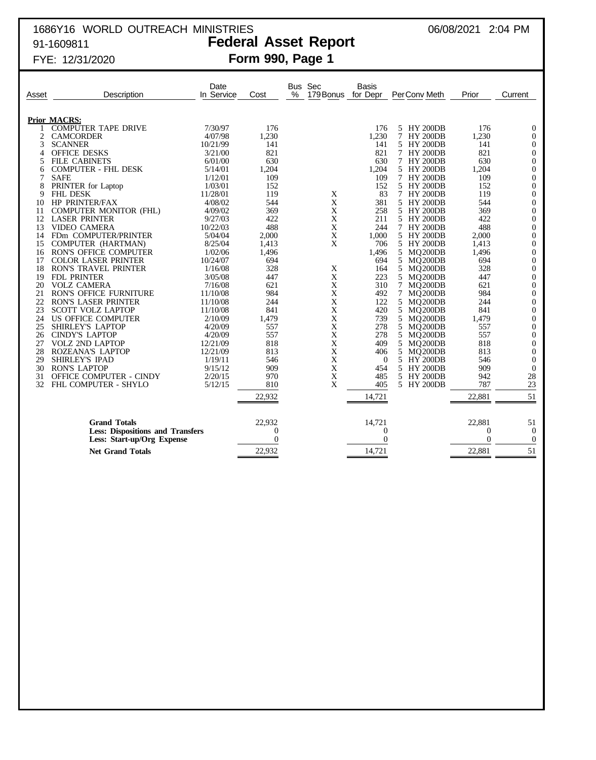# 1686Y16 WORLD OUTREACH MINISTRIES 06/08/2021 2:04 PM 91-1609811 **Federal Asset Report**

### FYE: 12/31/2020 **Form 990, Page 1**

| Asset    | Description                                               | Date<br>In Service  | Cost           | Bus Sec<br>%<br>179 Bonus | Basis<br>for Depr | PerConv Meth              | Prior          | Current                            |
|----------|-----------------------------------------------------------|---------------------|----------------|---------------------------|-------------------|---------------------------|----------------|------------------------------------|
|          |                                                           |                     |                |                           |                   |                           |                |                                    |
|          | <b>Prior MACRS:</b>                                       |                     |                |                           |                   |                           |                |                                    |
|          | <b>COMPUTER TAPE DRIVE</b>                                | 7/30/97             | 176            |                           | 176               | 5 HY 200DB                | 176            | $\theta$                           |
| 2        | <b>CAMCORDER</b>                                          | 4/07/98             | 1,230          |                           | 1,230             | 7<br><b>HY 200DB</b>      | 1,230          | $\Omega$                           |
| 3        | <b>SCANNER</b>                                            | 10/21/99            | 141            |                           | 141               | 5.<br><b>HY 200DB</b>     | 141            | $\theta$                           |
| 4        | <b>OFFICE DESKS</b>                                       | 3/21/00             | 821            |                           | 821               | 7 HY 200DB                | 821            | $\mathbf{0}$                       |
| 5        | <b>FILE CABINETS</b>                                      | 6/01/00             | 630            |                           | 630               | 7 HY 200DB                | 630            | $\mathbf{0}$                       |
| 6        | <b>COMPUTER - FHL DESK</b>                                | 5/14/01             | 1,204          |                           | 1,204             | 5 HY 200DB                | 1,204          | $\boldsymbol{0}$                   |
| 7        | <b>SAFE</b>                                               | 1/12/01             | 109            |                           | 109               | 7 HY 200DB                | 109            | $\boldsymbol{0}$                   |
| 8        | PRINTER for Laptop                                        | 1/03/01             | 152            |                           | 152               | 5 HY 200DB                | 152            | $\mathbf{0}$                       |
| 9        | <b>FHL DESK</b>                                           | 11/28/01            | 119            | X                         | 83                | 7 HY 200DB                | 119            | $\boldsymbol{0}$                   |
| 10       | <b>HP PRINTER/FAX</b>                                     | 4/08/02             | 544            | X                         | 381               | 5 HY 200DB                | 544            | $\theta$                           |
| 11       | COMPUTER MONITOR (FHL)                                    | 4/09/02             | 369            | X                         | 258               | 5 HY 200DB                | 369            | $\mathbf{0}$                       |
| 12       | <b>LASER PRINTER</b>                                      | 9/27/03             | 422            | X                         | 211               | 5 HY 200DB                | 422            | $\boldsymbol{0}$                   |
| 13       | <b>VIDEO CAMERA</b>                                       | 10/22/03            | 488            | X                         | 244               | 7 HY 200DB                | 488            | $\theta$                           |
| 14       | FDm COMPUTER/PRINTER                                      | 5/04/04             | 2,000          | X                         | 1,000             | 5 HY 200DB                | 2,000          | $\boldsymbol{0}$                   |
| 15       | COMPUTER (HARTMAN)                                        | 8/25/04             | 1,413          | X                         | 706               | 5 HY 200DB                | 1,413          | $\boldsymbol{0}$                   |
| 16       | RON'S OFFICE COMPUTER                                     | 1/02/06             | 1,496<br>694   |                           | 1,496             | MQ200DB<br>5              | 1,496          | $\boldsymbol{0}$                   |
| 17<br>18 | <b>COLOR LASER PRINTER</b><br><b>RON'S TRAVEL PRINTER</b> | 10/24/07<br>1/16/08 | 328            |                           | 694<br>164        | 5<br>MQ200DB<br>5 MO200DB | 694<br>328     | $\boldsymbol{0}$<br>$\overline{0}$ |
| 19       | FDL PRINTER                                               | 3/05/08             | 447            | X<br>$\mathbf X$          | 223               | 5<br>MQ200DB              | 447            | $\boldsymbol{0}$                   |
| 20       | <b>VOLZ CAMERA</b>                                        | 7/16/08             | 621            | X                         | 310               | 7<br>MO200DB              | 621            | $\boldsymbol{0}$                   |
| 21       | <b>RON'S OFFICE FURNITURE</b>                             | 11/10/08            | 984            | X                         | 492               | MO200DB<br>7              | 984            | $\mathbf{0}$                       |
| 22       | <b>RON'S LASER PRINTER</b>                                | 11/10/08            | 244            | X                         | 122               | 5 MQ200DB                 | 244            | $\mathbf{0}$                       |
| 23       | <b>SCOTT VOLZ LAPTOP</b>                                  | 11/10/08            | 841            | X                         | 420               | 5 MO200DB                 | 841            | $\mathbf{0}$                       |
| 24       | US OFFICE COMPUTER                                        | 2/10/09             | 1,479          | X                         | 739               | 5<br>MQ200DB              | 1,479          | $\theta$                           |
| 25       | <b>SHIRLEY'S LAPTOP</b>                                   | 4/20/09             | 557            | X                         | 278               | 5<br>MQ200DB              | 557            | $\boldsymbol{0}$                   |
| 26       | <b>CINDY'S LAPTOP</b>                                     | 4/20/09             | 557            | X                         | 278               | 5 MO200DB                 | 557            | $\mathbf{0}$                       |
| 27       | <b>VOLZ 2ND LAPTOP</b>                                    | 12/21/09            | 818            | X                         | 409               | 5<br>MQ200DB              | 818            | $\theta$                           |
| 28       | ROZEANA'S LAPTOP                                          | 12/21/09            | 813            | X                         | 406               | 5<br>MQ200DB              | 813            | $\boldsymbol{0}$                   |
| 29       | <b>SHIRLEY'S IPAD</b>                                     | 1/19/11             | 546            | X                         | $\theta$          | 5 HY 200DB                | 546            | $\Omega$                           |
| 30       | <b>RON'S LAPTOP</b>                                       | 9/15/12             | 909            | X                         | 454               | 5 HY 200DB                | 909            | $\theta$                           |
| 31       | OFFICE COMPUTER - CINDY                                   | 2/20/15             | 970            | X                         | 485               | 5 HY 200DB                | 942            | 28                                 |
| 32       | FHL COMPUTER - SHYLO                                      | 5/12/15             | 810            | X                         | 405               | 5 HY 200DB                | 787            | 23                                 |
|          |                                                           |                     | 22,932         |                           | 14,721            |                           | 22,881         | 51                                 |
|          |                                                           |                     |                |                           |                   |                           |                |                                    |
|          | <b>Grand Totals</b>                                       |                     | 22,932         |                           | 14,721            |                           | 22,881         | 51                                 |
|          | <b>Less: Dispositions and Transfers</b>                   |                     | $\theta$       |                           | $\overline{0}$    |                           | $\overline{0}$ | $\theta$                           |
|          | Less: Start-up/Org Expense                                |                     | $\overline{0}$ |                           | $\Omega$          |                           | $\theta$       | $\theta$                           |
|          | <b>Net Grand Totals</b>                                   |                     | 22,932         |                           | 14,721            |                           | 22,881         | 51                                 |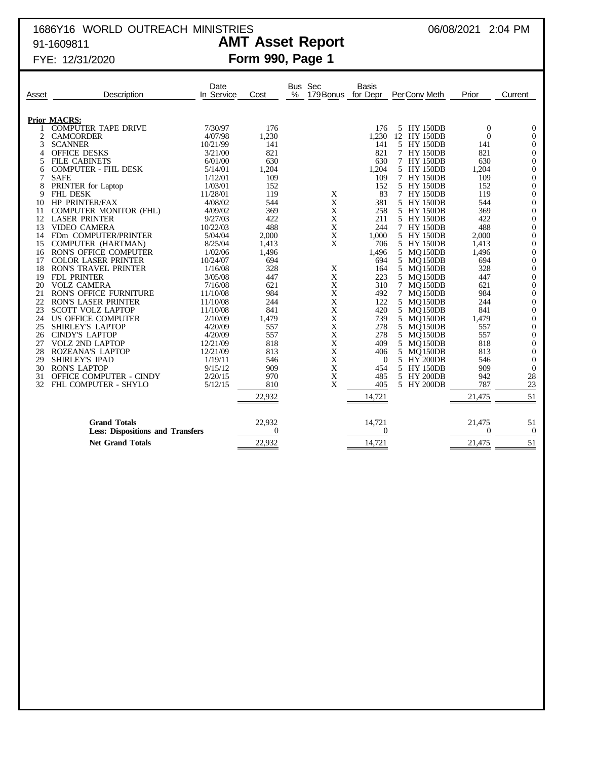# 1686Y16 WORLD OUTREACH MINISTRIES 06/08/2021 2:04 PM 91-1609811 **AMT Asset Report**

FYE: 12/31/2020 **Form 990, Page 1**

| Asset | Description                             | Date<br>In Service | Cost     | <b>Bus</b><br>% | Sec<br>179 Bonus | <b>Basis</b><br>for Depr | PerConv Meth      | Prior    | Current          |
|-------|-----------------------------------------|--------------------|----------|-----------------|------------------|--------------------------|-------------------|----------|------------------|
|       | <b>Prior MACRS:</b>                     |                    |          |                 |                  |                          |                   |          |                  |
|       | <b>COMPUTER TAPE DRIVE</b>              | 7/30/97            | 176      |                 |                  | 176                      | 5 HY 150DB        | $\theta$ | $\overline{0}$   |
| 2     | <b>CAMCORDER</b>                        | 4/07/98            | 1,230    |                 |                  | 1,230                    | 12 HY 150DB       | $\theta$ | $\boldsymbol{0}$ |
| 3     | <b>SCANNER</b>                          | 10/21/99           | 141      |                 |                  | 141                      | 5 HY 150DB        | 141      | $\theta$         |
| 4     | <b>OFFICE DESKS</b>                     | 3/21/00            | 821      |                 |                  | 821                      | 7 HY 150DB        | 821      | $\mathbf{0}$     |
| 5.    | <b>FILE CABINETS</b>                    | 6/01/00            | 630      |                 |                  | 630                      | 7 HY 150DB        | 630      | $\boldsymbol{0}$ |
| 6     | <b>COMPUTER - FHL DESK</b>              | 5/14/01            | 1,204    |                 |                  | 1,204                    | 5 HY 150DB        | 1,204    | $\overline{0}$   |
| 7     | <b>SAFE</b>                             | 1/12/01            | 109      |                 |                  | 109                      | 7 HY 150DB        | 109      | $\boldsymbol{0}$ |
| 8     | PRINTER for Laptop                      | 1/03/01            | 152      |                 |                  | 152                      | 5 HY 150DB        | 152      | $\boldsymbol{0}$ |
| 9     | <b>FHL DESK</b>                         | 11/28/01           | 119      |                 | X                | 83                       | 7 HY 150DB        | 119      | $\overline{0}$   |
| 10    | HP PRINTER/FAX                          | 4/08/02            | 544      |                 | $\mathbf X$      | 381                      | 5 HY 150DB        | 544      | $\boldsymbol{0}$ |
| 11    | <b>COMPUTER MONITOR (FHL)</b>           | 4/09/02            | 369      |                 | $\mathbf X$      | 258                      | 5 HY 150DB        | 369      | $\boldsymbol{0}$ |
| 12    | <b>LASER PRINTER</b>                    | 9/27/03            | 422      |                 | X                | 211                      | 5 HY 150DB        | 422      | $\theta$         |
| 13    | <b>VIDEO CAMERA</b>                     | 10/22/03           | 488      |                 | $\mathbf X$      | 244                      | 7 HY 150DB        | 488      | $\mathbf{0}$     |
| 14    | FDm COMPUTER/PRINTER                    | 5/04/04            | 2,000    |                 | X                | 1,000                    | 5 HY 150DB        | 2,000    | $\boldsymbol{0}$ |
|       | COMPUTER (HARTMAN)                      | 8/25/04            | 1,413    |                 | X                | 706                      | 5 HY 150DB        | 1,413    | $\overline{0}$   |
| 15    |                                         |                    |          |                 |                  |                          |                   |          |                  |
| 16    | <b>RON'S OFFICE COMPUTER</b>            | 1/02/06            | 1,496    |                 |                  | 1,496                    | 5 MQ150DB         | 1,496    | $\boldsymbol{0}$ |
| 17    | <b>COLOR LASER PRINTER</b>              | 10/24/07           | 694      |                 |                  | 694                      | 5 MQ150DB         | 694      | $\boldsymbol{0}$ |
| 18    | <b>RON'S TRAVEL PRINTER</b>             | 1/16/08            | 328      |                 | X                | 164                      | 5 MO150DB         | 328      | $\boldsymbol{0}$ |
| 19    | <b>FDL PRINTER</b>                      | 3/05/08            | 447      |                 | $\mathbf X$      | 223                      | 5 MQ150DB         | 447      | $\mathbf{0}$     |
| 20    | <b>VOLZ CAMERA</b>                      | 7/16/08            | 621      |                 | X                | 310                      | 7 MQ150DB         | 621      | $\boldsymbol{0}$ |
| 21    | <b>RON'S OFFICE FURNITURE</b>           | 11/10/08           | 984      |                 | X                | 492                      | $\tau$<br>MO150DB | 984      | $\boldsymbol{0}$ |
| 22    | <b>RON'S LASER PRINTER</b>              | 11/10/08           | 244      |                 | $\mathbf X$      | 122                      | 5 MQ150DB         | 244      | $\mathbf{0}$     |
| 23    | <b>SCOTT VOLZ LAPTOP</b>                | 11/10/08           | 841      |                 | X                | 420                      | 5 MQ150DB         | 841      | $\mathbf{0}$     |
| 24    | US OFFICE COMPUTER                      | 2/10/09            | 1,479    |                 | X                | 739                      | 5 MQ150DB         | 1,479    | $\boldsymbol{0}$ |
| 25    | <b>SHIRLEY'S LAPTOP</b>                 | 4/20/09            | 557      |                 | $\mathbf X$      | 278                      | 5 MQ150DB         | 557      | $\overline{0}$   |
| 26    | <b>CINDY'S LAPTOP</b>                   | 4/20/09            | 557      |                 | X                | 278                      | 5 MO150DB         | 557      | $\overline{0}$   |
| 27    | <b>VOLZ 2ND LAPTOP</b>                  | 12/21/09           | 818      |                 | $\mathbf X$      | 409                      | 5 MO150DB         | 818      | $\overline{0}$   |
| 28    | <b>ROZEANA'S LAPTOP</b>                 | 12/21/09           | 813      |                 | $\mathbf X$      | 406                      | 5<br>MQ150DB      | 813      | $\overline{0}$   |
| 29    | SHIRLEY'S IPAD                          | 1/19/11            | 546      |                 | X                | $\theta$                 | 5 HY 200DB        | 546      | $\overline{0}$   |
| 30    | <b>RON'S LAPTOP</b>                     | 9/15/12            | 909      |                 | X                | 454                      | 5 HY 150DB        | 909      | $\overline{0}$   |
| 31    | OFFICE COMPUTER - CINDY                 | 2/20/15            | 970      |                 | $\mathbf X$      | 485                      | 5 HY 200DB        | 942      | 28               |
| 32    | FHL COMPUTER - SHYLO                    | 5/12/15            | 810      |                 | X                | 405                      | 5 HY 200DB        | 787      | 23               |
|       |                                         |                    | 22,932   |                 |                  | 14,721                   |                   | 21,475   | 51               |
|       |                                         |                    |          |                 |                  |                          |                   |          |                  |
|       | <b>Grand Totals</b>                     |                    | 22,932   |                 |                  | 14,721                   |                   | 21,475   | 51               |
|       | <b>Less: Dispositions and Transfers</b> |                    | $\Omega$ |                 |                  | $\Omega$                 |                   | $\Omega$ | $\theta$         |
|       | <b>Net Grand Totals</b>                 |                    | 22,932   |                 |                  | 14,721                   |                   | 21,475   | 51               |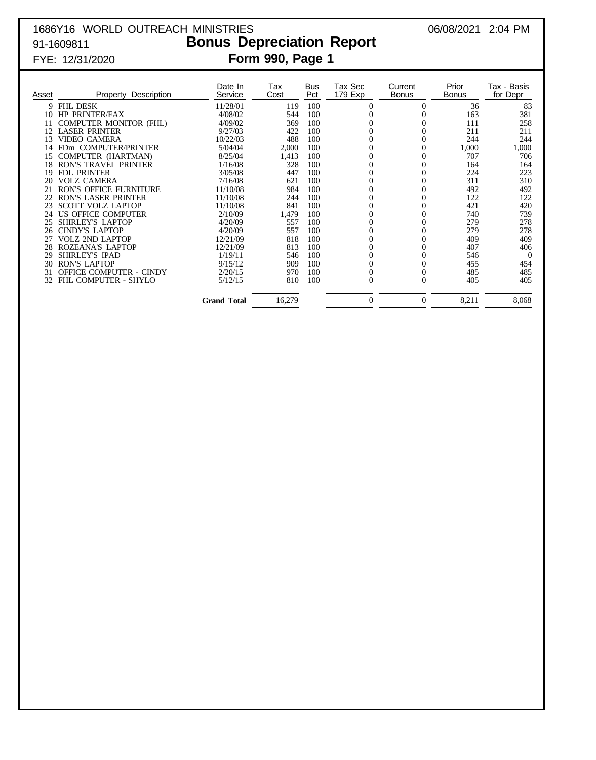# 1686Y16 WORLD OUTREACH MINISTRIES 06/08/2021 2:04 PM 91-1609811 **Bonus Depreciation Report** FYE: 12/31/2020 **Form 990, Page 1**

| Asset | Description<br>Property        | Date In<br>Service | Tax<br>Cost | <b>Bus</b><br>Pct | Tax Sec<br>179 Exp | Current<br><b>Bonus</b> | Prior<br><b>Bonus</b> | Tax - Basis<br>for Depr |
|-------|--------------------------------|--------------------|-------------|-------------------|--------------------|-------------------------|-----------------------|-------------------------|
|       | 9 FHL DESK                     | 11/28/01           | 119         | 100               | 0                  | 0                       | 36                    | 83                      |
| 10    | <b>HP PRINTER/FAX</b>          | 4/08/02            | 544         | 100               |                    |                         | 163                   | 381                     |
| 11    | <b>COMPUTER MONITOR (FHL)</b>  | 4/09/02            | 369         | 100               |                    |                         | 111                   | 258                     |
| 12    | <b>LASER PRINTER</b>           | 9/27/03            | 422         | 100               |                    | 0                       | 211                   | 211                     |
| 13    | <b>VIDEO CAMERA</b>            | 10/22/03           | 488         | 100               |                    |                         | 244                   | 244                     |
|       | FDm COMPUTER/PRINTER           | 5/04/04            | 2,000       | 100               | $\theta$           | 0                       | 1,000                 | 1,000                   |
| 15    | COMPUTER (HARTMAN)             | 8/25/04            | 1,413       | 100               | $\overline{0}$     | 0                       | 707                   | 706                     |
| 18    | <b>RON'S TRAVEL PRINTER</b>    | 1/16/08            | 328         | 100               |                    |                         | 164                   | 164                     |
| 19    | <b>FDL PRINTER</b>             | 3/05/08            | 447         | 100               | $\theta$           | $\theta$                | 224                   | 223                     |
| 20    | <b>VOLZ CAMERA</b>             | 7/16/08            | 621         | 100               | 0                  | $\overline{0}$          | 311                   | 310                     |
| 21    | <b>RON'S OFFICE FURNITURE</b>  | 11/10/08           | 984         | 100               |                    | $\overline{0}$          | 492                   | 492                     |
| 22    | RON'S LASER PRINTER            | 11/10/08           | 244         | 100               | 0                  | 0                       | 122                   | 122                     |
| 23    | <b>SCOTT VOLZ LAPTOP</b>       | 11/10/08           | 841         | 100               | $\overline{0}$     | 0                       | 421                   | 420                     |
| 24    | US OFFICE COMPUTER             | 2/10/09            | 1,479       | 100               | $\overline{0}$     | 0                       | 740                   | 739                     |
| 25    | SHIRLEY'S LAPTOP               | 4/20/09            | 557         | 100               | $\overline{0}$     | $\theta$                | 279                   | 278                     |
| 26    | <b>CINDY'S LAPTOP</b>          | 4/20/09            | 557         | 100               | $\theta$           | 0                       | 279                   | 278                     |
| 27    | VOLZ 2ND LAPTOP                | 12/21/09           | 818         | 100               | 0                  | 0                       | 409                   | 409                     |
| 28    | <b>ROZEANA'S LAPTOP</b>        | 12/21/09           | 813         | 100               | $\boldsymbol{0}$   | $\theta$                | 407                   | 406                     |
| 29    | <b>SHIRLEY'S IPAD</b>          | 1/19/11            | 546         | 100               | $\theta$           | $\theta$                | 546                   | $\Omega$                |
| 30    | <b>RON'S LAPTOP</b>            | 9/15/12            | 909         | 100               | $\overline{0}$     | $\theta$                | 455                   | 454                     |
| 31    | <b>OFFICE COMPUTER - CINDY</b> | 2/20/15            | 970         | 100               | $\boldsymbol{0}$   | $\overline{0}$          | 485                   | 485                     |
| 32    | FHL COMPUTER - SHYLO           | 5/12/15            | 810         | 100               | $\Omega$           | $\Omega$                | 405                   | 405                     |
|       |                                | <b>Grand Total</b> | 16,279      |                   | $\Omega$           | $\overline{0}$          | 8,211                 | 8,068                   |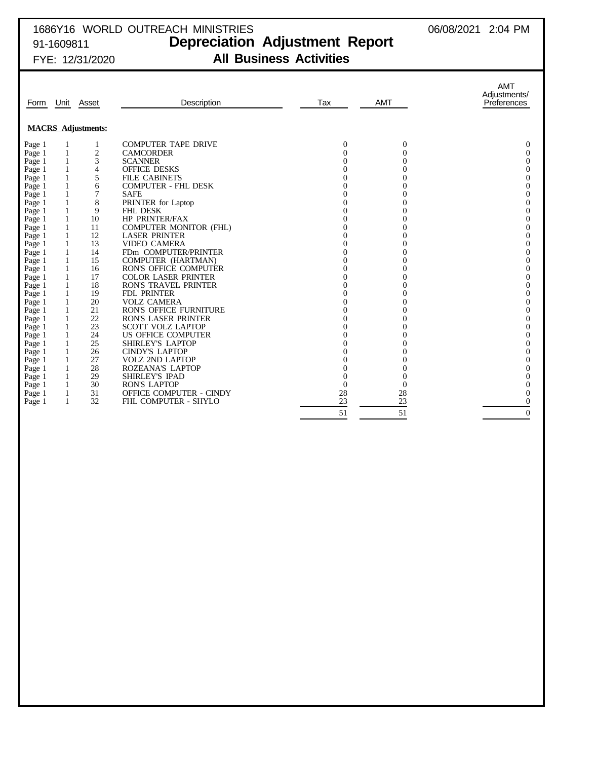## 1686Y16 WORLD OUTREACH MINISTRIES 06/08/2021 2:04 PM 91-1609811 **Depreciation Adjustment Report** FYE: 12/31/2020 **All Business Activities**

| Form   | Unit         | Asset                     | Description                    | Tax          | <b>AMT</b>       | <b>AMT</b><br>Adjustments/<br>Preferences |
|--------|--------------|---------------------------|--------------------------------|--------------|------------------|-------------------------------------------|
|        |              | <b>MACRS</b> Adjustments: |                                |              |                  |                                           |
| Page 1 |              |                           | <b>COMPUTER TAPE DRIVE</b>     | $\mathbf{0}$ | $\theta$         | 0                                         |
| Page 1 | 1            | $\overline{c}$            | <b>CAMCORDER</b>               | $\Omega$     | $\theta$         | $\overline{0}$                            |
| Page 1 | $\mathbf{1}$ | 3                         | <b>SCANNER</b>                 | 0            | $\overline{0}$   | $\overline{0}$                            |
| Page 1 | $\mathbf{1}$ | 4                         | <b>OFFICE DESKS</b>            |              | $\overline{0}$   | $\theta$                                  |
| Page 1 | 1            | 5                         | <b>FILE CABINETS</b>           | 0            | $\overline{0}$   | $\overline{0}$                            |
| Page 1 | 1            | 6                         | <b>COMPUTER - FHL DESK</b>     | 0            | $\overline{0}$   | $\overline{0}$                            |
| Page 1 | 1            | 7                         | <b>SAFE</b>                    | 0            | $\overline{0}$   | $\overline{0}$                            |
| Page 1 | $\mathbf{1}$ | 8                         | PRINTER for Laptop             | 0            | $\overline{0}$   | $\overline{0}$                            |
| Page 1 | $\mathbf{1}$ | 9                         | <b>FHL DESK</b>                |              | $\theta$         | $\theta$                                  |
| Page 1 | 1            | 10                        | <b>HP PRINTER/FAX</b>          | 0            | $\overline{0}$   | $\overline{0}$                            |
| Page 1 | 1            | 11                        | <b>COMPUTER MONITOR (FHL)</b>  | 0            | $\overline{0}$   | $\mathbf{0}$                              |
| Page 1 | 1            | 12                        | <b>LASER PRINTER</b>           | 0            | $\overline{0}$   | $\overline{0}$                            |
| Page 1 | 1            | 13                        | <b>VIDEO CAMERA</b>            | 0            | $\overline{0}$   | $\overline{0}$                            |
| Page 1 | 1            | 14                        | FDm COMPUTER/PRINTER           | 0            | $\overline{0}$   | $\overline{0}$                            |
| Page 1 | 1            | 15                        | COMPUTER (HARTMAN)             | 0            | $\overline{0}$   | $\overline{0}$                            |
| Page 1 |              | 16                        | <b>RON'S OFFICE COMPUTER</b>   | 0            | $\theta$         | $\overline{0}$                            |
| Page 1 | 1            | 17                        | <b>COLOR LASER PRINTER</b>     | 0            | $\overline{0}$   | $\overline{0}$                            |
| Page 1 | 1            | 18                        | <b>RON'S TRAVEL PRINTER</b>    | 0            | $\overline{0}$   | $\overline{0}$                            |
| Page 1 | 1            | 19                        | <b>FDL PRINTER</b>             |              | $\overline{0}$   | $\overline{0}$                            |
| Page 1 | 1            | 20                        | <b>VOLZ CAMERA</b>             | 0            | $\overline{0}$   | $\overline{0}$                            |
| Page 1 |              | 21                        | <b>RON'S OFFICE FURNITURE</b>  | 0            | $\theta$         | $\overline{0}$                            |
| Page 1 | 1            | 22                        | <b>RON'S LASER PRINTER</b>     | 0            | $\overline{0}$   | $\overline{0}$                            |
| Page 1 | 1            | 23                        | <b>SCOTT VOLZ LAPTOP</b>       | 0            | $\overline{0}$   | $\overline{0}$                            |
| Page 1 | $\mathbf{1}$ | 24                        | US OFFICE COMPUTER             | $\Omega$     | $\overline{0}$   | $\overline{0}$                            |
| Page 1 | 1            | 25                        | SHIRLEY'S LAPTOP               | 0            | $\overline{0}$   | $\overline{0}$                            |
| Page 1 |              | 26                        | <b>CINDY'S LAPTOP</b>          | 0            | $\theta$         | $\theta$                                  |
| Page 1 | 1            | 27                        | <b>VOLZ 2ND LAPTOP</b>         | 0            | $\overline{0}$   | $\theta$                                  |
| Page 1 | 1            | 28                        | ROZEANA'S LAPTOP               |              | $\boldsymbol{0}$ | $\overline{0}$                            |
| Page 1 | $\mathbf{1}$ | 29                        | <b>SHIRLEY'S IPAD</b>          | $\Omega$     | $\overline{0}$   | $\overline{0}$                            |
| Page 1 | 1            | 30                        | <b>RON'S LAPTOP</b>            | $\mathbf{0}$ | $\theta$         | $\overline{0}$                            |
| Page 1 | 1            | 31                        | <b>OFFICE COMPUTER - CINDY</b> | 28           | 28               | $\theta$                                  |
| Page 1 | 1            | 32                        | <b>FHL COMPUTER - SHYLO</b>    | 23           | 23               | $\overline{0}$                            |
|        |              |                           |                                |              |                  |                                           |
|        |              |                           |                                | 51           | 51               | $\overline{0}$                            |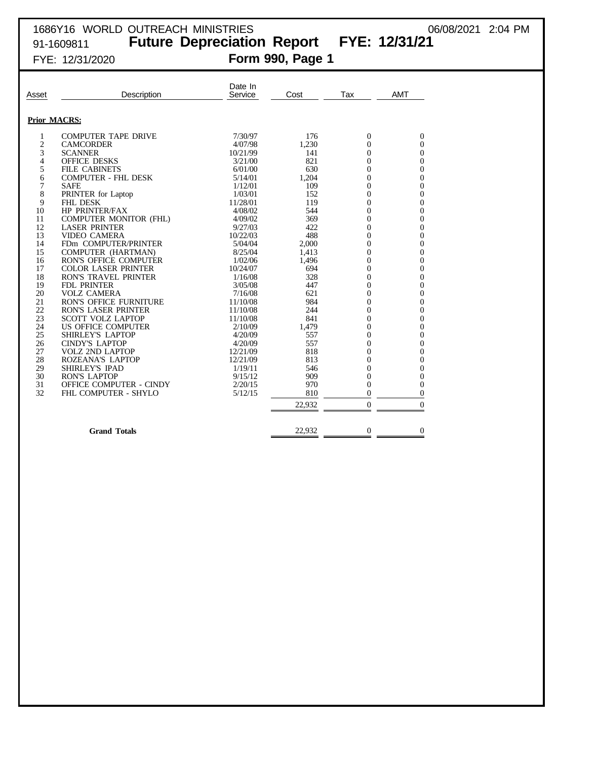# 1686Y16 WORLD OUTREACH MINISTRIES 06/08/2021 2:04 PM 91-1609811 **Future Depreciation Report FYE: 12/31/21** FYE: 12/31/2020 **Form 990, Page 1**

| Asset          | Description                    | Date In<br>Service | Cost   | Tax            | <b>AMT</b>       |
|----------------|--------------------------------|--------------------|--------|----------------|------------------|
|                | <b>Prior MACRS:</b>            |                    |        |                |                  |
| 1              | <b>COMPUTER TAPE DRIVE</b>     | 7/30/97            | 176    | $\mathbf{0}$   | $\overline{0}$   |
| $\overline{c}$ | <b>CAMCORDER</b>               | 4/07/98            | 1,230  | $\overline{0}$ | $\overline{0}$   |
| 3              | <b>SCANNER</b>                 | 10/21/99           | 141    | $\overline{0}$ | 0                |
| 4              | <b>OFFICE DESKS</b>            | 3/21/00            | 821    | $\overline{0}$ | $\boldsymbol{0}$ |
| 5              | <b>FILE CABINETS</b>           | 6/01/00            | 630    | $\overline{0}$ | $\boldsymbol{0}$ |
| 6              | <b>COMPUTER - FHL DESK</b>     | 5/14/01            | 1,204  | $\overline{0}$ | $\boldsymbol{0}$ |
| 7              | <b>SAFE</b>                    | 1/12/01            | 109    | $\Omega$       | $\overline{0}$   |
| 8              | PRINTER for Laptop             | 1/03/01            | 152    | $\overline{0}$ | $\boldsymbol{0}$ |
| 9              | <b>FHL DESK</b>                | 11/28/01           | 119    | $\theta$       | $\boldsymbol{0}$ |
| 10             | HP PRINTER/FAX                 | 4/08/02            | 544    | $\overline{0}$ | $\boldsymbol{0}$ |
| 11             | COMPUTER MONITOR (FHL)         | 4/09/02            | 369    | $\overline{0}$ | $\boldsymbol{0}$ |
| 12             | <b>LASER PRINTER</b>           | 9/27/03            | 422    | $\overline{0}$ | $\boldsymbol{0}$ |
| 13             | <b>VIDEO CAMERA</b>            | 10/22/03           | 488    | $\overline{0}$ | $\boldsymbol{0}$ |
| 14             | FDm COMPUTER/PRINTER           | 5/04/04            | 2,000  | $\overline{0}$ | $\boldsymbol{0}$ |
| 15             | COMPUTER (HARTMAN)             | 8/25/04            | 1,413  | $\overline{0}$ | $\boldsymbol{0}$ |
| 16             | <b>RON'S OFFICE COMPUTER</b>   | 1/02/06            | 1,496  | $\overline{0}$ | $\boldsymbol{0}$ |
| 17             | <b>COLOR LASER PRINTER</b>     | 10/24/07           | 694    | $\theta$       | $\boldsymbol{0}$ |
| 18             | <b>RON'S TRAVEL PRINTER</b>    | 1/16/08            | 328    | $\overline{0}$ | $\boldsymbol{0}$ |
| 19             | <b>FDL PRINTER</b>             | 3/05/08            | 447    | $\overline{0}$ | $\boldsymbol{0}$ |
| 20             | <b>VOLZ CAMERA</b>             | 7/16/08            | 621    | $\overline{0}$ | $\boldsymbol{0}$ |
| 21             | <b>RON'S OFFICE FURNITURE</b>  | 11/10/08           | 984    | $\overline{0}$ | $\boldsymbol{0}$ |
| 22             | <b>RON'S LASER PRINTER</b>     | 11/10/08           | 244    | $\overline{0}$ | $\boldsymbol{0}$ |
| 23             | <b>SCOTT VOLZ LAPTOP</b>       | 11/10/08           | 841    | $\overline{0}$ | $\boldsymbol{0}$ |
| 24             | US OFFICE COMPUTER             | 2/10/09            | 1,479  | $\overline{0}$ | $\boldsymbol{0}$ |
| 25             | <b>SHIRLEY'S LAPTOP</b>        | 4/20/09            | 557    | $\theta$       | $\boldsymbol{0}$ |
| 26             | <b>CINDY'S LAPTOP</b>          | 4/20/09            | 557    | $\overline{0}$ | $\boldsymbol{0}$ |
| 27             | <b>VOLZ 2ND LAPTOP</b>         | 12/21/09           | 818    | $\theta$       | $\boldsymbol{0}$ |
| 28             | ROZEANA'S LAPTOP               | 12/21/09           | 813    | $\overline{0}$ | $\boldsymbol{0}$ |
| 29             | <b>SHIRLEY'S IPAD</b>          | 1/19/11            | 546    | $\theta$       | $\boldsymbol{0}$ |
| 30             | <b>RON'S LAPTOP</b>            | 9/15/12            | 909    | $\overline{0}$ | $\boldsymbol{0}$ |
| 31             | <b>OFFICE COMPUTER - CINDY</b> | 2/20/15            | 970    | $\overline{0}$ | $\boldsymbol{0}$ |
| 32             | FHL COMPUTER - SHYLO           | 5/12/15            | 810    | $\overline{0}$ | $\overline{0}$   |
|                |                                |                    |        |                |                  |
|                |                                |                    | 22,932 | $\overline{0}$ | $\overline{0}$   |
|                | <b>Grand Totals</b>            |                    | 22,932 | $\overline{0}$ | $\theta$         |
|                |                                |                    |        |                |                  |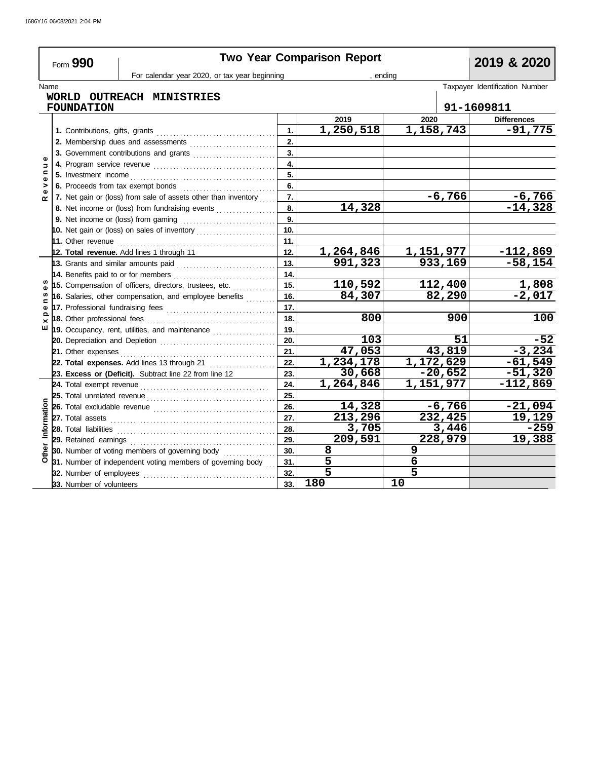|                                | Form 990                            |                                                                |     | <b>Two Year Comparison Report</b> |                |          | 2019 & 2020                    |
|--------------------------------|-------------------------------------|----------------------------------------------------------------|-----|-----------------------------------|----------------|----------|--------------------------------|
|                                |                                     | For calendar year 2020, or tax year beginning                  |     | . endina                          |                |          |                                |
| Name                           |                                     |                                                                |     |                                   |                |          | Taxpayer Identification Number |
|                                |                                     | WORLD OUTREACH MINISTRIES                                      |     |                                   |                |          |                                |
|                                | <b>FOUNDATION</b>                   |                                                                |     |                                   |                |          | 91-1609811                     |
|                                |                                     |                                                                |     | 2019                              | 2020           |          | <b>Differences</b>             |
|                                |                                     |                                                                | 1.  | 1,250,518                         | 1,158,743      |          | $-91,775$                      |
|                                |                                     | 2. Membership dues and assessments                             | 2.  |                                   |                |          |                                |
|                                |                                     | 3. Government contributions and grants                         | 3.  |                                   |                |          |                                |
| Ξ                              |                                     |                                                                | 4.  |                                   |                |          |                                |
| $\mathbf{C}$<br>$\pmb{\omega}$ |                                     |                                                                | 5.  |                                   |                |          |                                |
| >                              |                                     | 6. Proceeds from tax exempt bonds                              | 6.  |                                   |                |          |                                |
| $\alpha$                       |                                     | 7. Net gain or (loss) from sale of assets other than inventory | 7.  |                                   |                | $-6,766$ | $-6,766$                       |
|                                |                                     | 8. Net income or (loss) from fundraising events                | 8.  | 14,328                            |                |          | $-14,328$                      |
|                                |                                     |                                                                | 9.  |                                   |                |          |                                |
|                                |                                     |                                                                |     |                                   |                |          |                                |
|                                |                                     |                                                                | 11. |                                   |                |          |                                |
|                                |                                     | 12. Total revenue. Add lines 1 through 11                      | 12. | 1,264,846                         | 1,151,977      |          | $-112,869$                     |
|                                | 13. Grants and similar amounts paid |                                                                | 13. | 991, 323                          | 933,169        |          | $-58,154$                      |
|                                |                                     | 14. Benefits paid to or for members                            | 14. |                                   |                |          |                                |
|                                |                                     | 15. Compensation of officers, directors, trustees, etc.        | 15. | 110,592                           | 112,400        |          | 1,808                          |
| w<br>⊆                         |                                     | 16. Salaries, other compensation, and employee benefits        | 16. | 84,307                            |                | 82,290   | $-2,017$                       |
| Ф                              |                                     |                                                                | 17. |                                   |                |          |                                |
| ≏<br>$\times$                  |                                     |                                                                | 18. | 800                               |                | 900      | 100                            |
| ш                              |                                     |                                                                | 19. |                                   |                |          |                                |
|                                |                                     | 20. Depreciation and Depletion                                 | 20. | 103                               |                | 51       | $-52$                          |
|                                | 21. Other expenses                  |                                                                | 21. | $\overline{47,053}$               |                | 43,819   | $-3,234$                       |
|                                |                                     | 22. Total expenses. Add lines 13 through 21                    | 22. | $\overline{1,234,178}$            | 1,172,629      |          | $-61,549$                      |
|                                |                                     | 23. Excess or (Deficit). Subtract line 22 from line 12         | 23. | 30,668                            | $-20,652$      |          | $-51,320$                      |
|                                |                                     |                                                                | 24. | 1,264,846                         | 1,151,977      |          | $-112,869$                     |
|                                |                                     |                                                                | 25. |                                   |                |          |                                |
|                                |                                     |                                                                | 26. | 14,328                            |                | $-6,766$ | $-21,094$                      |
|                                |                                     |                                                                | 27. | 213,296                           | 232, 425       |          | 19,129                         |
| Informatio                     | 28. Total liabilities               |                                                                | 28. | 3,705                             |                | 3,446    | $-259$                         |
|                                |                                     |                                                                | 29. | 209,591                           | 228,979        |          | 19,388                         |
|                                |                                     | 30. Number of voting members of governing body                 | 30. | 8                                 | 9              |          |                                |
|                                |                                     | 31. Number of independent voting members of governing body     | 31. | 5                                 | 6              |          |                                |
|                                | 32. Number of employees             |                                                                | 32. | $\overline{\mathsf{5}}$           | $\overline{5}$ |          |                                |
|                                | 33. Number of volunteers            |                                                                | 33. | 180                               | 10             |          |                                |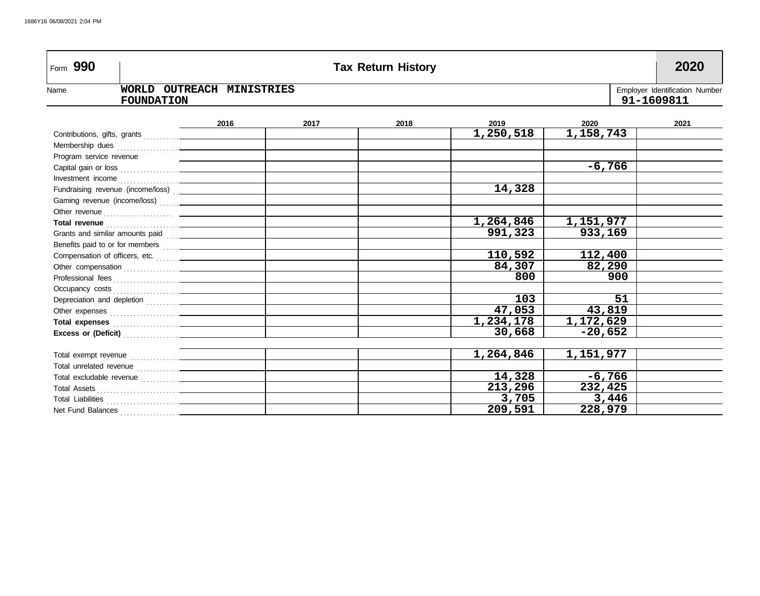| Form 990                                |                                                                                                |      | <b>Tax Return History</b> |                          |           | 2020 |  |  |  |
|-----------------------------------------|------------------------------------------------------------------------------------------------|------|---------------------------|--------------------------|-----------|------|--|--|--|
| Name                                    | WORLD OUTREACH MINISTRIES<br>Employer Identification Number<br>91-1609811<br><b>FOUNDATION</b> |      |                           |                          |           |      |  |  |  |
|                                         | 2016                                                                                           | 2017 | 2018                      | 2019                     | 2020      | 2021 |  |  |  |
|                                         |                                                                                                |      |                           | $\overline{1,250}$ , 518 | 1,158,743 |      |  |  |  |
|                                         |                                                                                                |      |                           |                          |           |      |  |  |  |
| Program service revenue                 |                                                                                                |      |                           |                          |           |      |  |  |  |
|                                         |                                                                                                |      |                           |                          | $-6,766$  |      |  |  |  |
|                                         |                                                                                                |      |                           |                          |           |      |  |  |  |
| Fundraising revenue (income/loss) [100] |                                                                                                |      |                           | 14,328                   |           |      |  |  |  |
|                                         |                                                                                                |      |                           |                          |           |      |  |  |  |
|                                         |                                                                                                |      |                           |                          |           |      |  |  |  |
|                                         |                                                                                                |      |                           | 1,264,846                | 1,151,977 |      |  |  |  |
| Grants and similar amounts paid         |                                                                                                |      |                           | 991,323                  | 933,169   |      |  |  |  |
|                                         |                                                                                                |      |                           |                          |           |      |  |  |  |
| Compensation of officers, etc.          |                                                                                                |      |                           | 110,592                  | 112,400   |      |  |  |  |
|                                         |                                                                                                |      |                           | 84,307                   | 82,290    |      |  |  |  |
|                                         |                                                                                                |      |                           | 800                      | 900       |      |  |  |  |
|                                         |                                                                                                |      |                           |                          |           |      |  |  |  |
|                                         |                                                                                                |      |                           | 103                      | 51        |      |  |  |  |
|                                         |                                                                                                |      |                           | 47,053                   | 43,819    |      |  |  |  |
|                                         |                                                                                                |      |                           | 1,234,178                | 1,172,629 |      |  |  |  |
|                                         |                                                                                                |      |                           | 30,668                   | $-20,652$ |      |  |  |  |
|                                         |                                                                                                |      |                           |                          |           |      |  |  |  |
|                                         |                                                                                                |      |                           | 1,264,846                | 1,151,977 |      |  |  |  |
|                                         |                                                                                                |      |                           |                          |           |      |  |  |  |
|                                         |                                                                                                |      |                           | 14,328                   | $-6,766$  |      |  |  |  |
|                                         |                                                                                                |      |                           | 213,296                  | 232,425   |      |  |  |  |
|                                         |                                                                                                |      |                           | 3,705                    | 3,446     |      |  |  |  |
|                                         |                                                                                                |      |                           | 209,591                  | 228,979   |      |  |  |  |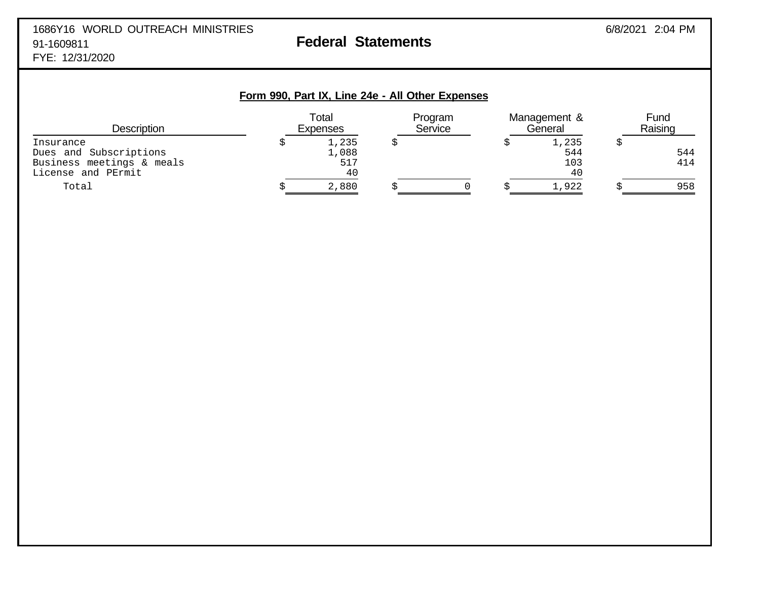### 1686Y16 WORLD OUTREACH MINISTRIES 6/8/2021 2:04 PM 91-1609811 **Federal Statements** FYE: 12/31/2020

# **Form 990, Part IX, Line 24e - All Other Expenses** Total Program Management & Fund<br>Expenses Service General Raising Description Expenses Service General Raising Insurance  $\qquad \qquad \zeta \qquad \qquad 1,235 \qquad \zeta \qquad \qquad \zeta \qquad \qquad 1,235 \qquad \zeta$ Dues and Subscriptions 1,088 544 544 Business meetings & meals 517<br>
License and PErmit 40 License and PErmit Total \$ 2,880 \$ 0 \$ 1,922 \$ 958